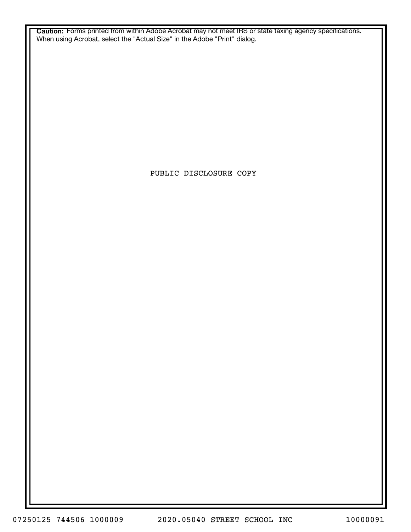**Caution:** Forms printed from within Adobe Acrobat may not meet IRS or state taxing agency specifications. When using Acrobat, select the "Actual Size" in the Adobe "Print" dialog.

PUBLIC DISCLOSURE COPY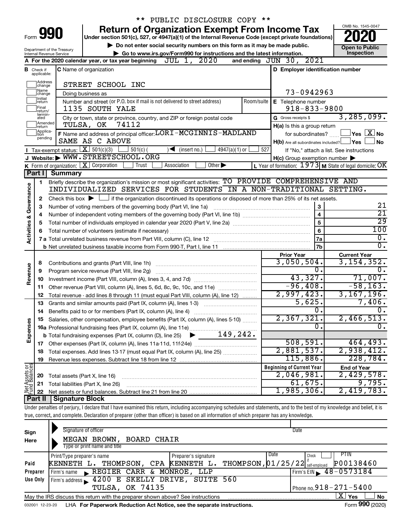|                                                                                                                                                |                         |                                       | PUBLIC DISCLOSURE COPY **                                                                                                                                                  |     |                                                     |                                                           |  |  |  |
|------------------------------------------------------------------------------------------------------------------------------------------------|-------------------------|---------------------------------------|----------------------------------------------------------------------------------------------------------------------------------------------------------------------------|-----|-----------------------------------------------------|-----------------------------------------------------------|--|--|--|
|                                                                                                                                                |                         |                                       | <b>Return of Organization Exempt From Income Tax</b>                                                                                                                       |     |                                                     | OMB No. 1545-0047                                         |  |  |  |
| Form 990                                                                                                                                       |                         |                                       | Under section 501(c), 527, or 4947(a)(1) of the Internal Revenue Code (except private foundations)                                                                         |     |                                                     |                                                           |  |  |  |
| Do not enter social security numbers on this form as it may be made public.                                                                    |                         |                                       |                                                                                                                                                                            |     |                                                     | Open to Public                                            |  |  |  |
| Department of the Treasury<br>Inspection<br>Go to www.irs.gov/Form990 for instructions and the latest information.<br>Internal Revenue Service |                         |                                       |                                                                                                                                                                            |     |                                                     |                                                           |  |  |  |
|                                                                                                                                                |                         |                                       | A For the 2020 calendar year, or tax year beginning $JUL$ 1, $2020$                                                                                                        |     | and ending JUN 30, 2021                             |                                                           |  |  |  |
| в                                                                                                                                              | Check if<br>applicable: |                                       | <b>C</b> Name of organization                                                                                                                                              |     | D Employer identification number                    |                                                           |  |  |  |
|                                                                                                                                                | Address<br>change       |                                       | STREET SCHOOL INC                                                                                                                                                          |     |                                                     |                                                           |  |  |  |
|                                                                                                                                                | Name<br>change          |                                       | Doing business as                                                                                                                                                          |     | 73-0942963                                          |                                                           |  |  |  |
|                                                                                                                                                | Initial<br>return       |                                       | Number and street (or P.O. box if mail is not delivered to street address)                                                                                                 |     | Room/suite   E Telephone number                     |                                                           |  |  |  |
|                                                                                                                                                | Final<br>return/        |                                       | 1135 SOUTH YALE                                                                                                                                                            |     | $918 - 833 - 9800$                                  |                                                           |  |  |  |
|                                                                                                                                                | termin-<br>ated         |                                       | City or town, state or province, country, and ZIP or foreign postal code                                                                                                   |     | G Gross receipts \$                                 | 3, 285, 099.                                              |  |  |  |
|                                                                                                                                                | Amended<br>return       |                                       | 74112<br>TULSA, OK                                                                                                                                                         |     | H(a) Is this a group return                         |                                                           |  |  |  |
|                                                                                                                                                | Applica-<br>tion        |                                       | F Name and address of principal officer: LORI-MCGINNIS-MADLAND                                                                                                             |     | for subordinates?                                   | $ {\mathsf Y}\mathsf{es}\ \overline{{\mathsf X}}$ No      |  |  |  |
|                                                                                                                                                | pending                 |                                       | SAME AS C ABOVE                                                                                                                                                            |     | $H(b)$ Are all subordinates included?               | ⊥Yes<br><b>No</b>                                         |  |  |  |
|                                                                                                                                                |                         | Tax-exempt status: $X \ 501(c)(3)$    | $4947(a)(1)$ or<br>$501(c)$ (<br>$\sqrt{\frac{1}{1}}$ (insert no.)                                                                                                         | 527 |                                                     | If "No," attach a list. See instructions                  |  |  |  |
|                                                                                                                                                |                         |                                       | J Website: WWW.STREETSCHOOL.ORG                                                                                                                                            |     | $H(c)$ Group exemption number $\blacktriangleright$ |                                                           |  |  |  |
|                                                                                                                                                |                         | K Form of organization: X Corporation | Trust<br>Association<br>Other $\blacktriangleright$                                                                                                                        |     |                                                     | L Year of formation: $1973$ M State of legal domicile: OK |  |  |  |
|                                                                                                                                                | Part I                  | <b>Summary</b>                        |                                                                                                                                                                            |     |                                                     |                                                           |  |  |  |
|                                                                                                                                                | 1                       |                                       | Briefly describe the organization's mission or most significant activities: TO PROVIDE COMPREHENSIVE AND                                                                   |     |                                                     |                                                           |  |  |  |
|                                                                                                                                                |                         |                                       | INDIVIDUALIZED SERVICES FOR STUDENTS IN A NON-TRADITIONAL SETTING.                                                                                                         |     |                                                     |                                                           |  |  |  |
|                                                                                                                                                | 2                       |                                       | Check this box $\blacktriangleright$ $\Box$ if the organization discontinued its operations or disposed of more than 25% of its net assets.                                |     |                                                     |                                                           |  |  |  |
| Governance                                                                                                                                     | З                       |                                       | Number of voting members of the governing body (Part VI, line 1a)                                                                                                          |     | 3                                                   | 21                                                        |  |  |  |
|                                                                                                                                                | 4                       |                                       |                                                                                                                                                                            |     | $\overline{\mathbf{4}}$                             | $\overline{21}$                                           |  |  |  |
| <b>Activities &amp;</b>                                                                                                                        | 5                       |                                       |                                                                                                                                                                            |     | 5                                                   | 29                                                        |  |  |  |
|                                                                                                                                                | 6                       |                                       |                                                                                                                                                                            |     | 6                                                   | 100                                                       |  |  |  |
|                                                                                                                                                |                         |                                       |                                                                                                                                                                            |     | <b>7a</b>                                           | $\overline{0}$ .<br>σ.                                    |  |  |  |
|                                                                                                                                                |                         |                                       |                                                                                                                                                                            |     | 7b                                                  |                                                           |  |  |  |
|                                                                                                                                                |                         |                                       |                                                                                                                                                                            |     | <b>Prior Year</b><br>3,050,504.                     | <b>Current Year</b><br>3, 154, 352.                       |  |  |  |
| Revenue                                                                                                                                        | 8<br>9                  |                                       | Program service revenue (Part VIII, line 2g)                                                                                                                               |     | 0.                                                  | 0.                                                        |  |  |  |
|                                                                                                                                                | 10                      |                                       |                                                                                                                                                                            |     | 43,327.                                             | 71,007.                                                   |  |  |  |
|                                                                                                                                                | 11                      |                                       | Other revenue (Part VIII, column (A), lines 5, 6d, 8c, 9c, 10c, and 11e)                                                                                                   |     | $-96,408.$                                          | $-58, 163.$                                               |  |  |  |
|                                                                                                                                                | 12                      |                                       | Total revenue - add lines 8 through 11 (must equal Part VIII, column (A), line 12)                                                                                         |     | 2,997,423.                                          | 3, 167, 196.                                              |  |  |  |
|                                                                                                                                                | 13                      |                                       | Grants and similar amounts paid (Part IX, column (A), lines 1-3)                                                                                                           |     | 5,625.                                              | 7,406.                                                    |  |  |  |
|                                                                                                                                                | 14                      |                                       | Benefits paid to or for members (Part IX, column (A), line 4)                                                                                                              |     | 0.                                                  | $\mathbf 0$ .                                             |  |  |  |
|                                                                                                                                                |                         |                                       | Salaries, other compensation, employee benefits (Part IX, column (A), lines 5-10)                                                                                          |     | 2,367,321.                                          | $2,466,513$ .                                             |  |  |  |
| Expenses                                                                                                                                       |                         |                                       |                                                                                                                                                                            |     | 0.                                                  | $\mathbf 0$ .                                             |  |  |  |
|                                                                                                                                                |                         |                                       |                                                                                                                                                                            |     |                                                     |                                                           |  |  |  |
|                                                                                                                                                | 17                      |                                       |                                                                                                                                                                            |     | 508, 591.                                           | 464, 493.                                                 |  |  |  |
|                                                                                                                                                | 18                      |                                       | Total expenses. Add lines 13-17 (must equal Part IX, column (A), line 25)                                                                                                  |     | 2,881,537.                                          | 2,938,412.                                                |  |  |  |
|                                                                                                                                                | 19                      |                                       |                                                                                                                                                                            |     | 115,886.                                            | 228, 784.                                                 |  |  |  |
|                                                                                                                                                |                         |                                       |                                                                                                                                                                            |     | <b>Beginning of Current Year</b>                    | <b>End of Year</b>                                        |  |  |  |
| Net Assets or                                                                                                                                  | 20                      | Total assets (Part X, line 16)        |                                                                                                                                                                            |     | 2,046,981.                                          | 2,429,578.                                                |  |  |  |
|                                                                                                                                                | 21                      |                                       | Total liabilities (Part X, line 26)                                                                                                                                        |     | 61,675.                                             | 9,795.                                                    |  |  |  |
|                                                                                                                                                | 22                      |                                       |                                                                                                                                                                            |     | 1,985,306.                                          | 2,419,783.                                                |  |  |  |
|                                                                                                                                                | Part II                 | Signature Block                       |                                                                                                                                                                            |     |                                                     |                                                           |  |  |  |
|                                                                                                                                                |                         |                                       | Under penalties of perjury, I declare that I have examined this return, including accompanying schedules and statements, and to the best of my knowledge and belief, it is |     |                                                     |                                                           |  |  |  |
|                                                                                                                                                |                         |                                       | true, correct, and complete. Declaration of preparer (other than officer) is based on all information of which preparer has any knowledge.                                 |     |                                                     |                                                           |  |  |  |
|                                                                                                                                                |                         | Signature of officer                  |                                                                                                                                                                            |     | Date                                                |                                                           |  |  |  |
| Sign                                                                                                                                           |                         |                                       |                                                                                                                                                                            |     |                                                     |                                                           |  |  |  |

| Sign     | <b>Signally OF OTIGER</b>                                                                                        | Dalt                               |  |  |  |  |  |  |
|----------|------------------------------------------------------------------------------------------------------------------|------------------------------------|--|--|--|--|--|--|
| Here     | MEGAN BROWN, BOARD CHAIR                                                                                         |                                    |  |  |  |  |  |  |
|          | Type or print name and title                                                                                     |                                    |  |  |  |  |  |  |
|          | Print/Type preparer's name<br>Preparer's signature                                                               | Date<br>PIIN<br>Check              |  |  |  |  |  |  |
| Paid     | THOMPSON, CPA KENNETH L. THOMPSON, 01/25/22 self-employed<br>KENNETH L.                                          | P00138460                          |  |  |  |  |  |  |
| Preparer | REGIER CARR & MONROE, LLP<br>Firm's name                                                                         | $1$ Firm's EIN $\geq 48 - 0573184$ |  |  |  |  |  |  |
| Use Only | Firm's address 1200 E SKELLY DRIVE, SUITE 560                                                                    |                                    |  |  |  |  |  |  |
|          | <b>TULSA, OK 74135</b>                                                                                           | Phone no. $918 - 271 - 5400$       |  |  |  |  |  |  |
|          | $\mathbf{X}$ Yes<br><b>No</b><br>May the IRS discuss this return with the preparer shown above? See instructions |                                    |  |  |  |  |  |  |
|          | Form 990 (2020)<br>LHA For Paperwork Reduction Act Notice, see the separate instructions.<br>032001 12-23-20     |                                    |  |  |  |  |  |  |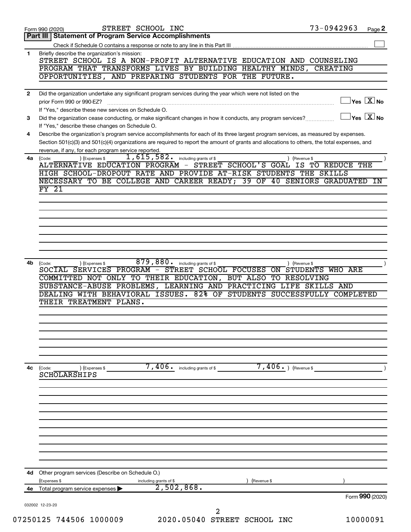|              | STREET SCHOOL INC<br>Form 990 (2020)                                                                                                                                 | 73-0942963                                       | Page 2 |
|--------------|----------------------------------------------------------------------------------------------------------------------------------------------------------------------|--------------------------------------------------|--------|
|              | Part III   Statement of Program Service Accomplishments                                                                                                              |                                                  |        |
|              |                                                                                                                                                                      |                                                  |        |
| 1            | Briefly describe the organization's mission:<br>STREET SCHOOL IS A NON-PROFIT ALTERNATIVE EDUCATION AND COUNSELING                                                   |                                                  |        |
|              | PROGRAM THAT TRANSFORMS LIVES BY BUILDING HEALTHY MINDS, CREATING                                                                                                    |                                                  |        |
|              | OPPORTUNITIES, AND PREPARING STUDENTS FOR THE FUTURE.                                                                                                                |                                                  |        |
|              |                                                                                                                                                                      |                                                  |        |
| $\mathbf{2}$ | Did the organization undertake any significant program services during the year which were not listed on the                                                         |                                                  |        |
|              | prior Form 990 or 990-EZ?                                                                                                                                            | $\overline{\ }$ Yes $\overline{\rm{X}}$ No       |        |
| 3            | If "Yes," describe these new services on Schedule O.<br>Did the organization cease conducting, or make significant changes in how it conducts, any program services? | $\overline{\ }$ Yes $\overline{\phantom{a}X}$ No |        |
|              | If "Yes," describe these changes on Schedule O.                                                                                                                      |                                                  |        |
| 4            | Describe the organization's program service accomplishments for each of its three largest program services, as measured by expenses.                                 |                                                  |        |
|              | Section 501(c)(3) and 501(c)(4) organizations are required to report the amount of grants and allocations to others, the total expenses, and                         |                                                  |        |
|              | revenue, if any, for each program service reported.                                                                                                                  |                                                  |        |
| 4a           | 1,615,582.<br>including grants of \$<br>) (Expenses \$<br>(Code:<br>ALTERNATIVE EDUCATION PROGRAM - STREET SCHOOL'S GOAL                                             | ) (Revenue \$<br>IS TO REDUCE THE                |        |
|              | HIGH SCHOOL-DROPOUT RATE AND PROVIDE AT-RISK STUDENTS THE SKILLS                                                                                                     |                                                  |        |
|              | NECESSARY TO BE COLLEGE AND CAREER READY; 39 OF 40 SENIORS GRADUATED                                                                                                 |                                                  | IN     |
|              | FY 21                                                                                                                                                                |                                                  |        |
|              |                                                                                                                                                                      |                                                  |        |
|              |                                                                                                                                                                      |                                                  |        |
|              |                                                                                                                                                                      |                                                  |        |
|              |                                                                                                                                                                      |                                                  |        |
|              |                                                                                                                                                                      |                                                  |        |
|              |                                                                                                                                                                      |                                                  |        |
|              |                                                                                                                                                                      |                                                  |        |
| 4b           | 879,880.<br>including grants of \$<br>(Expenses \$<br>(Code:                                                                                                         | ) (Revenue \$                                    |        |
|              | SOCIAL SERVICES PROGRAM - STREET SCHOOL FOCUSES ON STUDENTS WHO ARE                                                                                                  |                                                  |        |
|              | COMMITTED NOT ONLY TO THEIR EDUCATION,<br>BUT ALSO TO RESOLVING                                                                                                      |                                                  |        |
|              | SUBSTANCE-ABUSE PROBLEMS, LEARNING AND PRACTICING LIFE SKILLS AND                                                                                                    |                                                  |        |
|              | DEALING WITH BEHAVIORAL ISSUES. 82% OF STUDENTS SUCCESSFULLY COMPLETED<br>THEIR TREATMENT PLANS.                                                                     |                                                  |        |
|              |                                                                                                                                                                      |                                                  |        |
|              |                                                                                                                                                                      |                                                  |        |
|              |                                                                                                                                                                      |                                                  |        |
|              |                                                                                                                                                                      |                                                  |        |
|              |                                                                                                                                                                      |                                                  |        |
|              |                                                                                                                                                                      |                                                  |        |
|              |                                                                                                                                                                      |                                                  |        |
| 4c           | $7,406.$ (Revenue \$)<br>$7,406$ $\cdot$ including grants of \$<br>(Code:<br>) (Expenses \$<br><b>SCHOLARSHIPS</b>                                                   |                                                  |        |
|              |                                                                                                                                                                      |                                                  |        |
|              |                                                                                                                                                                      |                                                  |        |
|              |                                                                                                                                                                      |                                                  |        |
|              |                                                                                                                                                                      |                                                  |        |
|              |                                                                                                                                                                      |                                                  |        |
|              |                                                                                                                                                                      |                                                  |        |
|              |                                                                                                                                                                      |                                                  |        |
|              |                                                                                                                                                                      |                                                  |        |
|              |                                                                                                                                                                      |                                                  |        |
|              |                                                                                                                                                                      |                                                  |        |
| 4d           | Other program services (Describe on Schedule O.)                                                                                                                     |                                                  |        |
|              | (Expenses \$<br>including grants of \$<br>(Revenue \$                                                                                                                |                                                  |        |
| 4е           | 2,502,868.<br>Total program service expenses                                                                                                                         |                                                  |        |
|              |                                                                                                                                                                      | Form 990 (2020)                                  |        |
|              | 032002 12-23-20                                                                                                                                                      |                                                  |        |
|              | 2<br>2020.05040 STREET SCHOOL INC<br>07250125 744506 1000009                                                                                                         | 10000091                                         |        |
|              |                                                                                                                                                                      |                                                  |        |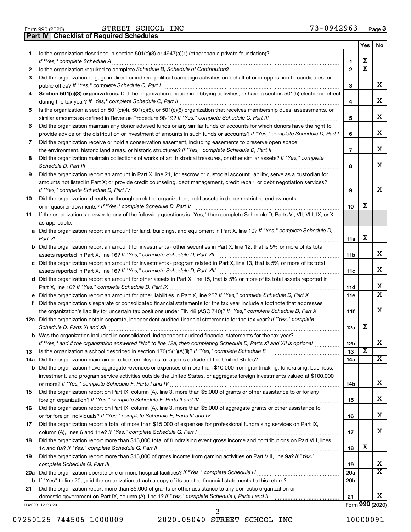|  | Form 990 (2020) |
|--|-----------------|

**Part IV Checklist of Required Schedules**

|     |                                                                                                                                                                       |                 | Yes                     | No                      |
|-----|-----------------------------------------------------------------------------------------------------------------------------------------------------------------------|-----------------|-------------------------|-------------------------|
| 1   | Is the organization described in section 501(c)(3) or 4947(a)(1) (other than a private foundation)?                                                                   |                 |                         |                         |
|     | If "Yes," complete Schedule A                                                                                                                                         | 1               | X                       |                         |
| 2   | Is the organization required to complete Schedule B, Schedule of Contributors? [111] [12] the organization required to complete Schedule B, Schedule of Contributors? | $\overline{2}$  | $\overline{\mathtt{x}}$ |                         |
| З   | Did the organization engage in direct or indirect political campaign activities on behalf of or in opposition to candidates for                                       |                 |                         |                         |
|     | public office? If "Yes," complete Schedule C, Part I                                                                                                                  | 3               |                         | x                       |
| 4   | Section 501(c)(3) organizations. Did the organization engage in lobbying activities, or have a section 501(h) election in effect                                      |                 |                         | x                       |
|     |                                                                                                                                                                       | 4               |                         |                         |
| 5   | Is the organization a section 501(c)(4), 501(c)(5), or 501(c)(6) organization that receives membership dues, assessments, or                                          | 5               |                         | x                       |
|     | Did the organization maintain any donor advised funds or any similar funds or accounts for which donors have the right to                                             |                 |                         |                         |
| 6   | provide advice on the distribution or investment of amounts in such funds or accounts? If "Yes," complete Schedule D, Part I                                          | 6               |                         | x                       |
| 7   | Did the organization receive or hold a conservation easement, including easements to preserve open space,                                                             |                 |                         |                         |
|     |                                                                                                                                                                       | $\overline{7}$  |                         | x                       |
| 8   | Did the organization maintain collections of works of art, historical treasures, or other similar assets? If "Yes," complete                                          |                 |                         |                         |
|     |                                                                                                                                                                       | 8               |                         | x                       |
| 9   | Did the organization report an amount in Part X, line 21, for escrow or custodial account liability, serve as a custodian for                                         |                 |                         |                         |
|     | amounts not listed in Part X; or provide credit counseling, debt management, credit repair, or debt negotiation services?                                             |                 |                         |                         |
|     |                                                                                                                                                                       | 9               |                         | x                       |
| 10  | Did the organization, directly or through a related organization, hold assets in donor-restricted endowments                                                          |                 |                         |                         |
|     |                                                                                                                                                                       | 10              | X                       |                         |
| 11  | If the organization's answer to any of the following questions is "Yes," then complete Schedule D, Parts VI, VII, VIII, IX, or X                                      |                 |                         |                         |
|     | as applicable.                                                                                                                                                        |                 |                         |                         |
|     | a Did the organization report an amount for land, buildings, and equipment in Part X, line 10? If "Yes," complete Schedule D,                                         |                 |                         |                         |
|     |                                                                                                                                                                       | 11a             | X                       |                         |
|     | <b>b</b> Did the organization report an amount for investments - other securities in Part X, line 12, that is 5% or more of its total                                 |                 |                         |                         |
|     | assets reported in Part X, line 16? If "Yes," complete Schedule D, Part VII [[[[[[[[[[[[[[[[[[[[[[[[[[[[[[[[[                                                         | 11b             |                         | x                       |
|     | c Did the organization report an amount for investments - program related in Part X, line 13, that is 5% or more of its total                                         |                 |                         |                         |
|     |                                                                                                                                                                       | 11c             |                         | x                       |
|     | d Did the organization report an amount for other assets in Part X, line 15, that is 5% or more of its total assets reported in                                       |                 |                         |                         |
|     |                                                                                                                                                                       | 11d             |                         | x                       |
|     |                                                                                                                                                                       | 11e             |                         | $\overline{\mathtt{x}}$ |
| f.  | Did the organization's separate or consolidated financial statements for the tax year include a footnote that addresses                                               |                 |                         |                         |
|     | the organization's liability for uncertain tax positions under FIN 48 (ASC 740)? If "Yes," complete Schedule D, Part X                                                | 11f             |                         | x                       |
|     | 12a Did the organization obtain separate, independent audited financial statements for the tax year? If "Yes," complete                                               |                 |                         |                         |
|     |                                                                                                                                                                       | 12a             | X                       |                         |
|     | <b>b</b> Was the organization included in consolidated, independent audited financial statements for the tax year?                                                    |                 |                         |                         |
|     | If "Yes," and if the organization answered "No" to line 12a, then completing Schedule D, Parts XI and XII is optional                                                 | 12 <sub>b</sub> | $\overline{\mathbf{X}}$ | х                       |
| 13  |                                                                                                                                                                       | 13              |                         | X                       |
| 14a |                                                                                                                                                                       | 14a             |                         |                         |
| b   | Did the organization have aggregate revenues or expenses of more than \$10,000 from grantmaking, fundraising, business,                                               |                 |                         |                         |
|     | investment, and program service activities outside the United States, or aggregate foreign investments valued at \$100,000                                            | 14b             |                         | x                       |
| 15  | Did the organization report on Part IX, column (A), line 3, more than \$5,000 of grants or other assistance to or for any                                             |                 |                         |                         |
|     |                                                                                                                                                                       | 15              |                         | x                       |
| 16  | Did the organization report on Part IX, column (A), line 3, more than \$5,000 of aggregate grants or other assistance to                                              |                 |                         |                         |
|     |                                                                                                                                                                       | 16              |                         | x                       |
| 17  | Did the organization report a total of more than \$15,000 of expenses for professional fundraising services on Part IX,                                               |                 |                         |                         |
|     |                                                                                                                                                                       | 17              |                         | x                       |
| 18  | Did the organization report more than \$15,000 total of fundraising event gross income and contributions on Part VIII, lines                                          |                 |                         |                         |
|     |                                                                                                                                                                       | 18              | х                       |                         |
| 19  | Did the organization report more than \$15,000 of gross income from gaming activities on Part VIII, line 9a? If "Yes,"                                                |                 |                         |                         |
|     |                                                                                                                                                                       | 19              |                         | x                       |
| 20a |                                                                                                                                                                       | 20a             |                         | $\overline{\mathbf{X}}$ |
| b   |                                                                                                                                                                       | 20 <sub>b</sub> |                         |                         |
| 21  | Did the organization report more than \$5,000 of grants or other assistance to any domestic organization or                                                           |                 |                         |                         |
|     |                                                                                                                                                                       | 21              |                         | x                       |
|     | 032003 12-23-20                                                                                                                                                       |                 |                         | Form 990 (2020)         |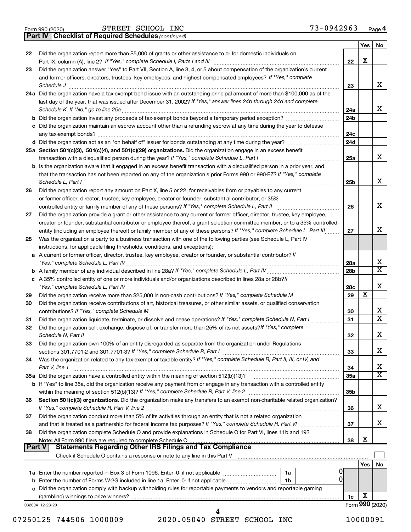|  | Form 990 (2020) |
|--|-----------------|
|  |                 |

**Part IV Checklist of Required Schedules**

STREET SCHOOL INC 73-0942963

*(continued)*

|        |                                                                                                                                    |                 | Yes | No                           |
|--------|------------------------------------------------------------------------------------------------------------------------------------|-----------------|-----|------------------------------|
| 22     | Did the organization report more than \$5,000 of grants or other assistance to or for domestic individuals on                      |                 |     |                              |
|        |                                                                                                                                    | 22              | х   |                              |
| 23     | Did the organization answer "Yes" to Part VII, Section A, line 3, 4, or 5 about compensation of the organization's current         |                 |     |                              |
|        | and former officers, directors, trustees, key employees, and highest compensated employees? If "Yes," complete                     |                 |     |                              |
|        | Schedule J <b>Execute Schedule J Execute Schedule J Execute Schedule J Execute Schedule J</b>                                      | 23              |     | X.                           |
|        | 24a Did the organization have a tax-exempt bond issue with an outstanding principal amount of more than \$100,000 as of the        |                 |     |                              |
|        | last day of the year, that was issued after December 31, 2002? If "Yes," answer lines 24b through 24d and complete                 |                 |     |                              |
|        |                                                                                                                                    | 24a             |     | x.                           |
|        |                                                                                                                                    | 24 <sub>b</sub> |     |                              |
|        | c Did the organization maintain an escrow account other than a refunding escrow at any time during the year to defease             |                 |     |                              |
|        |                                                                                                                                    | 24c             |     |                              |
|        |                                                                                                                                    | 24d             |     |                              |
|        | 25a Section 501(c)(3), 501(c)(4), and 501(c)(29) organizations. Did the organization engage in an excess benefit                   |                 |     |                              |
|        |                                                                                                                                    | 25a             |     | X.                           |
|        | b Is the organization aware that it engaged in an excess benefit transaction with a disqualified person in a prior year, and       |                 |     |                              |
|        | that the transaction has not been reported on any of the organization's prior Forms 990 or 990-EZ? If "Yes," complete              |                 |     |                              |
|        | Schedule L, Part I                                                                                                                 | 25b             |     | x                            |
| 26     | Did the organization report any amount on Part X, line 5 or 22, for receivables from or payables to any current                    |                 |     |                              |
|        | or former officer, director, trustee, key employee, creator or founder, substantial contributor, or 35%                            |                 |     |                              |
|        | controlled entity or family member of any of these persons? If "Yes," complete Schedule L, Part II                                 | 26              |     | x.                           |
|        |                                                                                                                                    |                 |     |                              |
| 27     | Did the organization provide a grant or other assistance to any current or former officer, director, trustee, key employee,        |                 |     |                              |
|        | creator or founder, substantial contributor or employee thereof, a grant selection committee member, or to a 35% controlled        |                 |     | x                            |
|        | entity (including an employee thereof) or family member of any of these persons? If "Yes," complete Schedule L, Part III           | 27              |     |                              |
| 28     | Was the organization a party to a business transaction with one of the following parties (see Schedule L, Part IV                  |                 |     |                              |
|        | instructions, for applicable filing thresholds, conditions, and exceptions):                                                       |                 |     |                              |
| a      | A current or former officer, director, trustee, key employee, creator or founder, or substantial contributor? If                   |                 |     | х                            |
|        |                                                                                                                                    | 28a             |     | $\overline{\mathtt{x}}$      |
|        |                                                                                                                                    | 28 <sub>b</sub> |     |                              |
|        | c A 35% controlled entity of one or more individuals and/or organizations described in lines 28a or 28b?If                         |                 |     | x                            |
| 29     |                                                                                                                                    | 28c<br>29       | X   |                              |
| 30     |                                                                                                                                    |                 |     |                              |
|        | Did the organization receive contributions of art, historical treasures, or other similar assets, or qualified conservation        |                 |     | x                            |
|        | contributions? If "Yes," complete Schedule M                                                                                       | 30              |     | $\overline{\text{x}}$        |
| 31     | Did the organization liquidate, terminate, or dissolve and cease operations? If "Yes," complete Schedule N, Part I                 | 31              |     |                              |
| 32     | Did the organization sell, exchange, dispose of, or transfer more than 25% of its net assets? If "Yes," complete                   |                 |     | x                            |
|        | Schedule N, Part II                                                                                                                | 32              |     |                              |
| 33     | Did the organization own 100% of an entity disregarded as separate from the organization under Regulations                         |                 |     | х                            |
|        |                                                                                                                                    | 33              |     |                              |
| 34     | Was the organization related to any tax-exempt or taxable entity? If "Yes," complete Schedule R, Part II, III, or IV, and          |                 |     |                              |
|        | Part V, line 1                                                                                                                     | 34              |     | х<br>$\overline{\texttt{x}}$ |
|        | 35a Did the organization have a controlled entity within the meaning of section 512(b)(13)?                                        | 35a             |     |                              |
|        | <b>b</b> If "Yes" to line 35a, did the organization receive any payment from or engage in any transaction with a controlled entity |                 |     |                              |
|        |                                                                                                                                    | 35b             |     |                              |
| 36     | Section 501(c)(3) organizations. Did the organization make any transfers to an exempt non-charitable related organization?         |                 |     |                              |
|        |                                                                                                                                    | 36              |     | х                            |
| 37     | Did the organization conduct more than 5% of its activities through an entity that is not a related organization                   |                 |     |                              |
|        |                                                                                                                                    | 37              |     | x.                           |
| 38     | Did the organization complete Schedule O and provide explanations in Schedule O for Part VI, lines 11b and 19?                     |                 |     |                              |
|        | Note: All Form 990 filers are required to complete Schedule O                                                                      | 38              | х   |                              |
| Part V | <b>Statements Regarding Other IRS Filings and Tax Compliance</b>                                                                   |                 |     |                              |
|        |                                                                                                                                    |                 |     |                              |
|        |                                                                                                                                    |                 | Yes | No                           |
|        | 1a                                                                                                                                 |                 |     |                              |
|        | b Enter the number of Forms W-2G included in line 1a. Enter -0- if not applicable<br>1b                                            |                 |     |                              |
|        | c Did the organization comply with backup withholding rules for reportable payments to vendors and reportable gaming               |                 |     |                              |
|        |                                                                                                                                    | 1c              | X   |                              |
|        | 032004 12-23-20<br>4                                                                                                               |                 |     | Form 990 (2020)              |
|        |                                                                                                                                    |                 |     |                              |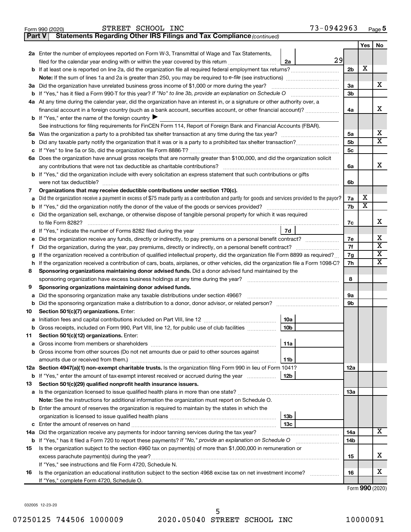| INC<br>SCHOOL<br>ᇑᇚᇛᇛ<br>aг<br>. נז<br>, 990 (2020)<br>-<br>Form<br>- 22 L<br>.nd<br><b>A</b><br>ີ | $\cdots$<br>Page <b>ວ</b><br>ິບ.<br>. . |
|----------------------------------------------------------------------------------------------------|-----------------------------------------|
|----------------------------------------------------------------------------------------------------|-----------------------------------------|

| Yes<br>2a Enter the number of employees reported on Form W-3, Transmittal of Wage and Tax Statements,<br>29<br>filed for the calendar year ending with or within the year covered by this return<br>2a<br>X<br>b If at least one is reported on line 2a, did the organization file all required federal employment tax returns?<br>2 <sub>b</sub><br>3a Did the organization have unrelated business gross income of \$1,000 or more during the year?<br>За<br>3b<br>4a At any time during the calendar year, did the organization have an interest in, or a signature or other authority over, a<br>financial account in a foreign country (such as a bank account, securities account, or other financial account)?<br>4a<br><b>b</b> If "Yes," enter the name of the foreign country $\blacktriangleright$<br>See instructions for filing requirements for FinCEN Form 114, Report of Foreign Bank and Financial Accounts (FBAR).<br>х<br>5a<br>5а<br>х<br>5b<br>5c<br>с<br>6a Does the organization have annual gross receipts that are normally greater than \$100,000, and did the organization solicit<br>x<br>6a<br>b If "Yes," did the organization include with every solicitation an express statement that such contributions or gifts<br>were not tax deductible?<br>6b<br>Organizations that may receive deductible contributions under section 170(c).<br>7<br>х<br>Did the organization receive a payment in excess of \$75 made partly as a contribution and partly for goods and services provided to the payor?<br>7a<br>X<br>7b<br>Did the organization sell, exchange, or otherwise dispose of tangible personal property for which it was required<br>х<br>7c<br>7d<br>х<br>Did the organization receive any funds, directly or indirectly, to pay premiums on a personal benefit contract?<br>7е<br>X<br>7f<br>Did the organization, during the year, pay premiums, directly or indirectly, on a personal benefit contract?<br>t<br>X<br>If the organization received a contribution of qualified intellectual property, did the organization file Form 8899 as required?<br>7g<br>х<br>7h<br>If the organization received a contribution of cars, boats, airplanes, or other vehicles, did the organization file a Form 1098-C?<br>h<br>Sponsoring organizations maintaining donor advised funds. Did a donor advised fund maintained by the<br>8<br>8<br>sponsoring organization have excess business holdings at any time during the year?<br>Sponsoring organizations maintaining donor advised funds.<br>9<br>Did the sponsoring organization make any taxable distributions under section 4966?<br>9а<br>а<br>9b<br>b<br>Section 501(c)(7) organizations. Enter:<br>10a<br>b Gross receipts, included on Form 990, Part VIII, line 12, for public use of club facilities<br>10b<br>Section 501(c)(12) organizations. Enter:<br>11<br>11a<br>b Gross income from other sources (Do not net amounts due or paid to other sources against<br>11b<br>12a<br>b If "Yes," enter the amount of tax-exempt interest received or accrued during the year<br>12b<br>Section 501(c)(29) qualified nonprofit health insurance issuers.<br>a Is the organization licensed to issue qualified health plans in more than one state?<br>1За<br>Note: See the instructions for additional information the organization must report on Schedule O.<br><b>b</b> Enter the amount of reserves the organization is required to maintain by the states in which the<br>13b<br>13c<br>х<br>14a<br><b>b</b> If "Yes," has it filed a Form 720 to report these payments? If "No," provide an explanation on Schedule O<br>14b<br>Is the organization subject to the section 4960 tax on payment(s) of more than \$1,000,000 in remuneration or<br>x<br>excess parachute payment(s) during the year?<br>15<br>If "Yes," see instructions and file Form 4720, Schedule N.<br>x<br>Is the organization an educational institution subject to the section 4968 excise tax on net investment income?<br>16<br>If "Yes," complete Form 4720, Schedule O.<br>Form 990 (2020) | Part V | Statements Regarding Other IRS Filings and Tax Compliance (continued) |  |    |
|---------------------------------------------------------------------------------------------------------------------------------------------------------------------------------------------------------------------------------------------------------------------------------------------------------------------------------------------------------------------------------------------------------------------------------------------------------------------------------------------------------------------------------------------------------------------------------------------------------------------------------------------------------------------------------------------------------------------------------------------------------------------------------------------------------------------------------------------------------------------------------------------------------------------------------------------------------------------------------------------------------------------------------------------------------------------------------------------------------------------------------------------------------------------------------------------------------------------------------------------------------------------------------------------------------------------------------------------------------------------------------------------------------------------------------------------------------------------------------------------------------------------------------------------------------------------------------------------------------------------------------------------------------------------------------------------------------------------------------------------------------------------------------------------------------------------------------------------------------------------------------------------------------------------------------------------------------------------------------------------------------------------------------------------------------------------------------------------------------------------------------------------------------------------------------------------------------------------------------------------------------------------------------------------------------------------------------------------------------------------------------------------------------------------------------------------------------------------------------------------------------------------------------------------------------------------------------------------------------------------------------------------------------------------------------------------------------------------------------------------------------------------------------------------------------------------------------------------------------------------------------------------------------------------------------------------------------------------------------------------------------------------------------------------------------------------------------------------------------------------------------------------------------------------------------------------------------------------------------------------------------------------------------------------------------------------------------------------------------------------------------------------------------------------------------------------------------------------------------------------------------------------------------------------------------------------------------------------------------------------------------------------------------------------------------------------------------------------------------------------------------------------------------------------------------------------------------------------------------------------------------------------------------------------------------------------------------------------------------------------------------------------------------------------------------------------------|--------|-----------------------------------------------------------------------|--|----|
|                                                                                                                                                                                                                                                                                                                                                                                                                                                                                                                                                                                                                                                                                                                                                                                                                                                                                                                                                                                                                                                                                                                                                                                                                                                                                                                                                                                                                                                                                                                                                                                                                                                                                                                                                                                                                                                                                                                                                                                                                                                                                                                                                                                                                                                                                                                                                                                                                                                                                                                                                                                                                                                                                                                                                                                                                                                                                                                                                                                                                                                                                                                                                                                                                                                                                                                                                                                                                                                                                                                                                                                                                                                                                                                                                                                                                                                                                                                                                                                                                                                                           |        |                                                                       |  | No |
|                                                                                                                                                                                                                                                                                                                                                                                                                                                                                                                                                                                                                                                                                                                                                                                                                                                                                                                                                                                                                                                                                                                                                                                                                                                                                                                                                                                                                                                                                                                                                                                                                                                                                                                                                                                                                                                                                                                                                                                                                                                                                                                                                                                                                                                                                                                                                                                                                                                                                                                                                                                                                                                                                                                                                                                                                                                                                                                                                                                                                                                                                                                                                                                                                                                                                                                                                                                                                                                                                                                                                                                                                                                                                                                                                                                                                                                                                                                                                                                                                                                                           |        |                                                                       |  |    |
|                                                                                                                                                                                                                                                                                                                                                                                                                                                                                                                                                                                                                                                                                                                                                                                                                                                                                                                                                                                                                                                                                                                                                                                                                                                                                                                                                                                                                                                                                                                                                                                                                                                                                                                                                                                                                                                                                                                                                                                                                                                                                                                                                                                                                                                                                                                                                                                                                                                                                                                                                                                                                                                                                                                                                                                                                                                                                                                                                                                                                                                                                                                                                                                                                                                                                                                                                                                                                                                                                                                                                                                                                                                                                                                                                                                                                                                                                                                                                                                                                                                                           |        |                                                                       |  |    |
|                                                                                                                                                                                                                                                                                                                                                                                                                                                                                                                                                                                                                                                                                                                                                                                                                                                                                                                                                                                                                                                                                                                                                                                                                                                                                                                                                                                                                                                                                                                                                                                                                                                                                                                                                                                                                                                                                                                                                                                                                                                                                                                                                                                                                                                                                                                                                                                                                                                                                                                                                                                                                                                                                                                                                                                                                                                                                                                                                                                                                                                                                                                                                                                                                                                                                                                                                                                                                                                                                                                                                                                                                                                                                                                                                                                                                                                                                                                                                                                                                                                                           |        |                                                                       |  |    |
|                                                                                                                                                                                                                                                                                                                                                                                                                                                                                                                                                                                                                                                                                                                                                                                                                                                                                                                                                                                                                                                                                                                                                                                                                                                                                                                                                                                                                                                                                                                                                                                                                                                                                                                                                                                                                                                                                                                                                                                                                                                                                                                                                                                                                                                                                                                                                                                                                                                                                                                                                                                                                                                                                                                                                                                                                                                                                                                                                                                                                                                                                                                                                                                                                                                                                                                                                                                                                                                                                                                                                                                                                                                                                                                                                                                                                                                                                                                                                                                                                                                                           |        |                                                                       |  |    |
|                                                                                                                                                                                                                                                                                                                                                                                                                                                                                                                                                                                                                                                                                                                                                                                                                                                                                                                                                                                                                                                                                                                                                                                                                                                                                                                                                                                                                                                                                                                                                                                                                                                                                                                                                                                                                                                                                                                                                                                                                                                                                                                                                                                                                                                                                                                                                                                                                                                                                                                                                                                                                                                                                                                                                                                                                                                                                                                                                                                                                                                                                                                                                                                                                                                                                                                                                                                                                                                                                                                                                                                                                                                                                                                                                                                                                                                                                                                                                                                                                                                                           |        |                                                                       |  | x  |
|                                                                                                                                                                                                                                                                                                                                                                                                                                                                                                                                                                                                                                                                                                                                                                                                                                                                                                                                                                                                                                                                                                                                                                                                                                                                                                                                                                                                                                                                                                                                                                                                                                                                                                                                                                                                                                                                                                                                                                                                                                                                                                                                                                                                                                                                                                                                                                                                                                                                                                                                                                                                                                                                                                                                                                                                                                                                                                                                                                                                                                                                                                                                                                                                                                                                                                                                                                                                                                                                                                                                                                                                                                                                                                                                                                                                                                                                                                                                                                                                                                                                           |        |                                                                       |  |    |
|                                                                                                                                                                                                                                                                                                                                                                                                                                                                                                                                                                                                                                                                                                                                                                                                                                                                                                                                                                                                                                                                                                                                                                                                                                                                                                                                                                                                                                                                                                                                                                                                                                                                                                                                                                                                                                                                                                                                                                                                                                                                                                                                                                                                                                                                                                                                                                                                                                                                                                                                                                                                                                                                                                                                                                                                                                                                                                                                                                                                                                                                                                                                                                                                                                                                                                                                                                                                                                                                                                                                                                                                                                                                                                                                                                                                                                                                                                                                                                                                                                                                           |        |                                                                       |  |    |
|                                                                                                                                                                                                                                                                                                                                                                                                                                                                                                                                                                                                                                                                                                                                                                                                                                                                                                                                                                                                                                                                                                                                                                                                                                                                                                                                                                                                                                                                                                                                                                                                                                                                                                                                                                                                                                                                                                                                                                                                                                                                                                                                                                                                                                                                                                                                                                                                                                                                                                                                                                                                                                                                                                                                                                                                                                                                                                                                                                                                                                                                                                                                                                                                                                                                                                                                                                                                                                                                                                                                                                                                                                                                                                                                                                                                                                                                                                                                                                                                                                                                           |        |                                                                       |  | x  |
|                                                                                                                                                                                                                                                                                                                                                                                                                                                                                                                                                                                                                                                                                                                                                                                                                                                                                                                                                                                                                                                                                                                                                                                                                                                                                                                                                                                                                                                                                                                                                                                                                                                                                                                                                                                                                                                                                                                                                                                                                                                                                                                                                                                                                                                                                                                                                                                                                                                                                                                                                                                                                                                                                                                                                                                                                                                                                                                                                                                                                                                                                                                                                                                                                                                                                                                                                                                                                                                                                                                                                                                                                                                                                                                                                                                                                                                                                                                                                                                                                                                                           |        |                                                                       |  |    |
|                                                                                                                                                                                                                                                                                                                                                                                                                                                                                                                                                                                                                                                                                                                                                                                                                                                                                                                                                                                                                                                                                                                                                                                                                                                                                                                                                                                                                                                                                                                                                                                                                                                                                                                                                                                                                                                                                                                                                                                                                                                                                                                                                                                                                                                                                                                                                                                                                                                                                                                                                                                                                                                                                                                                                                                                                                                                                                                                                                                                                                                                                                                                                                                                                                                                                                                                                                                                                                                                                                                                                                                                                                                                                                                                                                                                                                                                                                                                                                                                                                                                           |        |                                                                       |  |    |
|                                                                                                                                                                                                                                                                                                                                                                                                                                                                                                                                                                                                                                                                                                                                                                                                                                                                                                                                                                                                                                                                                                                                                                                                                                                                                                                                                                                                                                                                                                                                                                                                                                                                                                                                                                                                                                                                                                                                                                                                                                                                                                                                                                                                                                                                                                                                                                                                                                                                                                                                                                                                                                                                                                                                                                                                                                                                                                                                                                                                                                                                                                                                                                                                                                                                                                                                                                                                                                                                                                                                                                                                                                                                                                                                                                                                                                                                                                                                                                                                                                                                           |        |                                                                       |  |    |
|                                                                                                                                                                                                                                                                                                                                                                                                                                                                                                                                                                                                                                                                                                                                                                                                                                                                                                                                                                                                                                                                                                                                                                                                                                                                                                                                                                                                                                                                                                                                                                                                                                                                                                                                                                                                                                                                                                                                                                                                                                                                                                                                                                                                                                                                                                                                                                                                                                                                                                                                                                                                                                                                                                                                                                                                                                                                                                                                                                                                                                                                                                                                                                                                                                                                                                                                                                                                                                                                                                                                                                                                                                                                                                                                                                                                                                                                                                                                                                                                                                                                           |        |                                                                       |  |    |
|                                                                                                                                                                                                                                                                                                                                                                                                                                                                                                                                                                                                                                                                                                                                                                                                                                                                                                                                                                                                                                                                                                                                                                                                                                                                                                                                                                                                                                                                                                                                                                                                                                                                                                                                                                                                                                                                                                                                                                                                                                                                                                                                                                                                                                                                                                                                                                                                                                                                                                                                                                                                                                                                                                                                                                                                                                                                                                                                                                                                                                                                                                                                                                                                                                                                                                                                                                                                                                                                                                                                                                                                                                                                                                                                                                                                                                                                                                                                                                                                                                                                           |        |                                                                       |  |    |
|                                                                                                                                                                                                                                                                                                                                                                                                                                                                                                                                                                                                                                                                                                                                                                                                                                                                                                                                                                                                                                                                                                                                                                                                                                                                                                                                                                                                                                                                                                                                                                                                                                                                                                                                                                                                                                                                                                                                                                                                                                                                                                                                                                                                                                                                                                                                                                                                                                                                                                                                                                                                                                                                                                                                                                                                                                                                                                                                                                                                                                                                                                                                                                                                                                                                                                                                                                                                                                                                                                                                                                                                                                                                                                                                                                                                                                                                                                                                                                                                                                                                           |        |                                                                       |  |    |
|                                                                                                                                                                                                                                                                                                                                                                                                                                                                                                                                                                                                                                                                                                                                                                                                                                                                                                                                                                                                                                                                                                                                                                                                                                                                                                                                                                                                                                                                                                                                                                                                                                                                                                                                                                                                                                                                                                                                                                                                                                                                                                                                                                                                                                                                                                                                                                                                                                                                                                                                                                                                                                                                                                                                                                                                                                                                                                                                                                                                                                                                                                                                                                                                                                                                                                                                                                                                                                                                                                                                                                                                                                                                                                                                                                                                                                                                                                                                                                                                                                                                           |        |                                                                       |  |    |
|                                                                                                                                                                                                                                                                                                                                                                                                                                                                                                                                                                                                                                                                                                                                                                                                                                                                                                                                                                                                                                                                                                                                                                                                                                                                                                                                                                                                                                                                                                                                                                                                                                                                                                                                                                                                                                                                                                                                                                                                                                                                                                                                                                                                                                                                                                                                                                                                                                                                                                                                                                                                                                                                                                                                                                                                                                                                                                                                                                                                                                                                                                                                                                                                                                                                                                                                                                                                                                                                                                                                                                                                                                                                                                                                                                                                                                                                                                                                                                                                                                                                           |        |                                                                       |  |    |
|                                                                                                                                                                                                                                                                                                                                                                                                                                                                                                                                                                                                                                                                                                                                                                                                                                                                                                                                                                                                                                                                                                                                                                                                                                                                                                                                                                                                                                                                                                                                                                                                                                                                                                                                                                                                                                                                                                                                                                                                                                                                                                                                                                                                                                                                                                                                                                                                                                                                                                                                                                                                                                                                                                                                                                                                                                                                                                                                                                                                                                                                                                                                                                                                                                                                                                                                                                                                                                                                                                                                                                                                                                                                                                                                                                                                                                                                                                                                                                                                                                                                           |        |                                                                       |  |    |
|                                                                                                                                                                                                                                                                                                                                                                                                                                                                                                                                                                                                                                                                                                                                                                                                                                                                                                                                                                                                                                                                                                                                                                                                                                                                                                                                                                                                                                                                                                                                                                                                                                                                                                                                                                                                                                                                                                                                                                                                                                                                                                                                                                                                                                                                                                                                                                                                                                                                                                                                                                                                                                                                                                                                                                                                                                                                                                                                                                                                                                                                                                                                                                                                                                                                                                                                                                                                                                                                                                                                                                                                                                                                                                                                                                                                                                                                                                                                                                                                                                                                           |        |                                                                       |  |    |
|                                                                                                                                                                                                                                                                                                                                                                                                                                                                                                                                                                                                                                                                                                                                                                                                                                                                                                                                                                                                                                                                                                                                                                                                                                                                                                                                                                                                                                                                                                                                                                                                                                                                                                                                                                                                                                                                                                                                                                                                                                                                                                                                                                                                                                                                                                                                                                                                                                                                                                                                                                                                                                                                                                                                                                                                                                                                                                                                                                                                                                                                                                                                                                                                                                                                                                                                                                                                                                                                                                                                                                                                                                                                                                                                                                                                                                                                                                                                                                                                                                                                           |        |                                                                       |  |    |
|                                                                                                                                                                                                                                                                                                                                                                                                                                                                                                                                                                                                                                                                                                                                                                                                                                                                                                                                                                                                                                                                                                                                                                                                                                                                                                                                                                                                                                                                                                                                                                                                                                                                                                                                                                                                                                                                                                                                                                                                                                                                                                                                                                                                                                                                                                                                                                                                                                                                                                                                                                                                                                                                                                                                                                                                                                                                                                                                                                                                                                                                                                                                                                                                                                                                                                                                                                                                                                                                                                                                                                                                                                                                                                                                                                                                                                                                                                                                                                                                                                                                           |        |                                                                       |  |    |
| 10<br>12a Section 4947(a)(1) non-exempt charitable trusts. Is the organization filing Form 990 in lieu of Form 1041?<br>13<br>14a Did the organization receive any payments for indoor tanning services during the tax year?<br>15<br>16                                                                                                                                                                                                                                                                                                                                                                                                                                                                                                                                                                                                                                                                                                                                                                                                                                                                                                                                                                                                                                                                                                                                                                                                                                                                                                                                                                                                                                                                                                                                                                                                                                                                                                                                                                                                                                                                                                                                                                                                                                                                                                                                                                                                                                                                                                                                                                                                                                                                                                                                                                                                                                                                                                                                                                                                                                                                                                                                                                                                                                                                                                                                                                                                                                                                                                                                                                                                                                                                                                                                                                                                                                                                                                                                                                                                                                  |        |                                                                       |  |    |
|                                                                                                                                                                                                                                                                                                                                                                                                                                                                                                                                                                                                                                                                                                                                                                                                                                                                                                                                                                                                                                                                                                                                                                                                                                                                                                                                                                                                                                                                                                                                                                                                                                                                                                                                                                                                                                                                                                                                                                                                                                                                                                                                                                                                                                                                                                                                                                                                                                                                                                                                                                                                                                                                                                                                                                                                                                                                                                                                                                                                                                                                                                                                                                                                                                                                                                                                                                                                                                                                                                                                                                                                                                                                                                                                                                                                                                                                                                                                                                                                                                                                           |        |                                                                       |  |    |
|                                                                                                                                                                                                                                                                                                                                                                                                                                                                                                                                                                                                                                                                                                                                                                                                                                                                                                                                                                                                                                                                                                                                                                                                                                                                                                                                                                                                                                                                                                                                                                                                                                                                                                                                                                                                                                                                                                                                                                                                                                                                                                                                                                                                                                                                                                                                                                                                                                                                                                                                                                                                                                                                                                                                                                                                                                                                                                                                                                                                                                                                                                                                                                                                                                                                                                                                                                                                                                                                                                                                                                                                                                                                                                                                                                                                                                                                                                                                                                                                                                                                           |        |                                                                       |  |    |
|                                                                                                                                                                                                                                                                                                                                                                                                                                                                                                                                                                                                                                                                                                                                                                                                                                                                                                                                                                                                                                                                                                                                                                                                                                                                                                                                                                                                                                                                                                                                                                                                                                                                                                                                                                                                                                                                                                                                                                                                                                                                                                                                                                                                                                                                                                                                                                                                                                                                                                                                                                                                                                                                                                                                                                                                                                                                                                                                                                                                                                                                                                                                                                                                                                                                                                                                                                                                                                                                                                                                                                                                                                                                                                                                                                                                                                                                                                                                                                                                                                                                           |        |                                                                       |  |    |
|                                                                                                                                                                                                                                                                                                                                                                                                                                                                                                                                                                                                                                                                                                                                                                                                                                                                                                                                                                                                                                                                                                                                                                                                                                                                                                                                                                                                                                                                                                                                                                                                                                                                                                                                                                                                                                                                                                                                                                                                                                                                                                                                                                                                                                                                                                                                                                                                                                                                                                                                                                                                                                                                                                                                                                                                                                                                                                                                                                                                                                                                                                                                                                                                                                                                                                                                                                                                                                                                                                                                                                                                                                                                                                                                                                                                                                                                                                                                                                                                                                                                           |        |                                                                       |  |    |
|                                                                                                                                                                                                                                                                                                                                                                                                                                                                                                                                                                                                                                                                                                                                                                                                                                                                                                                                                                                                                                                                                                                                                                                                                                                                                                                                                                                                                                                                                                                                                                                                                                                                                                                                                                                                                                                                                                                                                                                                                                                                                                                                                                                                                                                                                                                                                                                                                                                                                                                                                                                                                                                                                                                                                                                                                                                                                                                                                                                                                                                                                                                                                                                                                                                                                                                                                                                                                                                                                                                                                                                                                                                                                                                                                                                                                                                                                                                                                                                                                                                                           |        |                                                                       |  |    |
|                                                                                                                                                                                                                                                                                                                                                                                                                                                                                                                                                                                                                                                                                                                                                                                                                                                                                                                                                                                                                                                                                                                                                                                                                                                                                                                                                                                                                                                                                                                                                                                                                                                                                                                                                                                                                                                                                                                                                                                                                                                                                                                                                                                                                                                                                                                                                                                                                                                                                                                                                                                                                                                                                                                                                                                                                                                                                                                                                                                                                                                                                                                                                                                                                                                                                                                                                                                                                                                                                                                                                                                                                                                                                                                                                                                                                                                                                                                                                                                                                                                                           |        |                                                                       |  |    |
|                                                                                                                                                                                                                                                                                                                                                                                                                                                                                                                                                                                                                                                                                                                                                                                                                                                                                                                                                                                                                                                                                                                                                                                                                                                                                                                                                                                                                                                                                                                                                                                                                                                                                                                                                                                                                                                                                                                                                                                                                                                                                                                                                                                                                                                                                                                                                                                                                                                                                                                                                                                                                                                                                                                                                                                                                                                                                                                                                                                                                                                                                                                                                                                                                                                                                                                                                                                                                                                                                                                                                                                                                                                                                                                                                                                                                                                                                                                                                                                                                                                                           |        |                                                                       |  |    |
|                                                                                                                                                                                                                                                                                                                                                                                                                                                                                                                                                                                                                                                                                                                                                                                                                                                                                                                                                                                                                                                                                                                                                                                                                                                                                                                                                                                                                                                                                                                                                                                                                                                                                                                                                                                                                                                                                                                                                                                                                                                                                                                                                                                                                                                                                                                                                                                                                                                                                                                                                                                                                                                                                                                                                                                                                                                                                                                                                                                                                                                                                                                                                                                                                                                                                                                                                                                                                                                                                                                                                                                                                                                                                                                                                                                                                                                                                                                                                                                                                                                                           |        |                                                                       |  |    |
|                                                                                                                                                                                                                                                                                                                                                                                                                                                                                                                                                                                                                                                                                                                                                                                                                                                                                                                                                                                                                                                                                                                                                                                                                                                                                                                                                                                                                                                                                                                                                                                                                                                                                                                                                                                                                                                                                                                                                                                                                                                                                                                                                                                                                                                                                                                                                                                                                                                                                                                                                                                                                                                                                                                                                                                                                                                                                                                                                                                                                                                                                                                                                                                                                                                                                                                                                                                                                                                                                                                                                                                                                                                                                                                                                                                                                                                                                                                                                                                                                                                                           |        |                                                                       |  |    |
|                                                                                                                                                                                                                                                                                                                                                                                                                                                                                                                                                                                                                                                                                                                                                                                                                                                                                                                                                                                                                                                                                                                                                                                                                                                                                                                                                                                                                                                                                                                                                                                                                                                                                                                                                                                                                                                                                                                                                                                                                                                                                                                                                                                                                                                                                                                                                                                                                                                                                                                                                                                                                                                                                                                                                                                                                                                                                                                                                                                                                                                                                                                                                                                                                                                                                                                                                                                                                                                                                                                                                                                                                                                                                                                                                                                                                                                                                                                                                                                                                                                                           |        |                                                                       |  |    |
|                                                                                                                                                                                                                                                                                                                                                                                                                                                                                                                                                                                                                                                                                                                                                                                                                                                                                                                                                                                                                                                                                                                                                                                                                                                                                                                                                                                                                                                                                                                                                                                                                                                                                                                                                                                                                                                                                                                                                                                                                                                                                                                                                                                                                                                                                                                                                                                                                                                                                                                                                                                                                                                                                                                                                                                                                                                                                                                                                                                                                                                                                                                                                                                                                                                                                                                                                                                                                                                                                                                                                                                                                                                                                                                                                                                                                                                                                                                                                                                                                                                                           |        |                                                                       |  |    |
|                                                                                                                                                                                                                                                                                                                                                                                                                                                                                                                                                                                                                                                                                                                                                                                                                                                                                                                                                                                                                                                                                                                                                                                                                                                                                                                                                                                                                                                                                                                                                                                                                                                                                                                                                                                                                                                                                                                                                                                                                                                                                                                                                                                                                                                                                                                                                                                                                                                                                                                                                                                                                                                                                                                                                                                                                                                                                                                                                                                                                                                                                                                                                                                                                                                                                                                                                                                                                                                                                                                                                                                                                                                                                                                                                                                                                                                                                                                                                                                                                                                                           |        |                                                                       |  |    |
|                                                                                                                                                                                                                                                                                                                                                                                                                                                                                                                                                                                                                                                                                                                                                                                                                                                                                                                                                                                                                                                                                                                                                                                                                                                                                                                                                                                                                                                                                                                                                                                                                                                                                                                                                                                                                                                                                                                                                                                                                                                                                                                                                                                                                                                                                                                                                                                                                                                                                                                                                                                                                                                                                                                                                                                                                                                                                                                                                                                                                                                                                                                                                                                                                                                                                                                                                                                                                                                                                                                                                                                                                                                                                                                                                                                                                                                                                                                                                                                                                                                                           |        |                                                                       |  |    |
|                                                                                                                                                                                                                                                                                                                                                                                                                                                                                                                                                                                                                                                                                                                                                                                                                                                                                                                                                                                                                                                                                                                                                                                                                                                                                                                                                                                                                                                                                                                                                                                                                                                                                                                                                                                                                                                                                                                                                                                                                                                                                                                                                                                                                                                                                                                                                                                                                                                                                                                                                                                                                                                                                                                                                                                                                                                                                                                                                                                                                                                                                                                                                                                                                                                                                                                                                                                                                                                                                                                                                                                                                                                                                                                                                                                                                                                                                                                                                                                                                                                                           |        |                                                                       |  |    |
|                                                                                                                                                                                                                                                                                                                                                                                                                                                                                                                                                                                                                                                                                                                                                                                                                                                                                                                                                                                                                                                                                                                                                                                                                                                                                                                                                                                                                                                                                                                                                                                                                                                                                                                                                                                                                                                                                                                                                                                                                                                                                                                                                                                                                                                                                                                                                                                                                                                                                                                                                                                                                                                                                                                                                                                                                                                                                                                                                                                                                                                                                                                                                                                                                                                                                                                                                                                                                                                                                                                                                                                                                                                                                                                                                                                                                                                                                                                                                                                                                                                                           |        |                                                                       |  |    |
|                                                                                                                                                                                                                                                                                                                                                                                                                                                                                                                                                                                                                                                                                                                                                                                                                                                                                                                                                                                                                                                                                                                                                                                                                                                                                                                                                                                                                                                                                                                                                                                                                                                                                                                                                                                                                                                                                                                                                                                                                                                                                                                                                                                                                                                                                                                                                                                                                                                                                                                                                                                                                                                                                                                                                                                                                                                                                                                                                                                                                                                                                                                                                                                                                                                                                                                                                                                                                                                                                                                                                                                                                                                                                                                                                                                                                                                                                                                                                                                                                                                                           |        |                                                                       |  |    |
|                                                                                                                                                                                                                                                                                                                                                                                                                                                                                                                                                                                                                                                                                                                                                                                                                                                                                                                                                                                                                                                                                                                                                                                                                                                                                                                                                                                                                                                                                                                                                                                                                                                                                                                                                                                                                                                                                                                                                                                                                                                                                                                                                                                                                                                                                                                                                                                                                                                                                                                                                                                                                                                                                                                                                                                                                                                                                                                                                                                                                                                                                                                                                                                                                                                                                                                                                                                                                                                                                                                                                                                                                                                                                                                                                                                                                                                                                                                                                                                                                                                                           |        |                                                                       |  |    |
|                                                                                                                                                                                                                                                                                                                                                                                                                                                                                                                                                                                                                                                                                                                                                                                                                                                                                                                                                                                                                                                                                                                                                                                                                                                                                                                                                                                                                                                                                                                                                                                                                                                                                                                                                                                                                                                                                                                                                                                                                                                                                                                                                                                                                                                                                                                                                                                                                                                                                                                                                                                                                                                                                                                                                                                                                                                                                                                                                                                                                                                                                                                                                                                                                                                                                                                                                                                                                                                                                                                                                                                                                                                                                                                                                                                                                                                                                                                                                                                                                                                                           |        |                                                                       |  |    |
|                                                                                                                                                                                                                                                                                                                                                                                                                                                                                                                                                                                                                                                                                                                                                                                                                                                                                                                                                                                                                                                                                                                                                                                                                                                                                                                                                                                                                                                                                                                                                                                                                                                                                                                                                                                                                                                                                                                                                                                                                                                                                                                                                                                                                                                                                                                                                                                                                                                                                                                                                                                                                                                                                                                                                                                                                                                                                                                                                                                                                                                                                                                                                                                                                                                                                                                                                                                                                                                                                                                                                                                                                                                                                                                                                                                                                                                                                                                                                                                                                                                                           |        |                                                                       |  |    |
|                                                                                                                                                                                                                                                                                                                                                                                                                                                                                                                                                                                                                                                                                                                                                                                                                                                                                                                                                                                                                                                                                                                                                                                                                                                                                                                                                                                                                                                                                                                                                                                                                                                                                                                                                                                                                                                                                                                                                                                                                                                                                                                                                                                                                                                                                                                                                                                                                                                                                                                                                                                                                                                                                                                                                                                                                                                                                                                                                                                                                                                                                                                                                                                                                                                                                                                                                                                                                                                                                                                                                                                                                                                                                                                                                                                                                                                                                                                                                                                                                                                                           |        |                                                                       |  |    |
|                                                                                                                                                                                                                                                                                                                                                                                                                                                                                                                                                                                                                                                                                                                                                                                                                                                                                                                                                                                                                                                                                                                                                                                                                                                                                                                                                                                                                                                                                                                                                                                                                                                                                                                                                                                                                                                                                                                                                                                                                                                                                                                                                                                                                                                                                                                                                                                                                                                                                                                                                                                                                                                                                                                                                                                                                                                                                                                                                                                                                                                                                                                                                                                                                                                                                                                                                                                                                                                                                                                                                                                                                                                                                                                                                                                                                                                                                                                                                                                                                                                                           |        |                                                                       |  |    |
|                                                                                                                                                                                                                                                                                                                                                                                                                                                                                                                                                                                                                                                                                                                                                                                                                                                                                                                                                                                                                                                                                                                                                                                                                                                                                                                                                                                                                                                                                                                                                                                                                                                                                                                                                                                                                                                                                                                                                                                                                                                                                                                                                                                                                                                                                                                                                                                                                                                                                                                                                                                                                                                                                                                                                                                                                                                                                                                                                                                                                                                                                                                                                                                                                                                                                                                                                                                                                                                                                                                                                                                                                                                                                                                                                                                                                                                                                                                                                                                                                                                                           |        |                                                                       |  |    |
|                                                                                                                                                                                                                                                                                                                                                                                                                                                                                                                                                                                                                                                                                                                                                                                                                                                                                                                                                                                                                                                                                                                                                                                                                                                                                                                                                                                                                                                                                                                                                                                                                                                                                                                                                                                                                                                                                                                                                                                                                                                                                                                                                                                                                                                                                                                                                                                                                                                                                                                                                                                                                                                                                                                                                                                                                                                                                                                                                                                                                                                                                                                                                                                                                                                                                                                                                                                                                                                                                                                                                                                                                                                                                                                                                                                                                                                                                                                                                                                                                                                                           |        |                                                                       |  |    |
|                                                                                                                                                                                                                                                                                                                                                                                                                                                                                                                                                                                                                                                                                                                                                                                                                                                                                                                                                                                                                                                                                                                                                                                                                                                                                                                                                                                                                                                                                                                                                                                                                                                                                                                                                                                                                                                                                                                                                                                                                                                                                                                                                                                                                                                                                                                                                                                                                                                                                                                                                                                                                                                                                                                                                                                                                                                                                                                                                                                                                                                                                                                                                                                                                                                                                                                                                                                                                                                                                                                                                                                                                                                                                                                                                                                                                                                                                                                                                                                                                                                                           |        |                                                                       |  |    |
|                                                                                                                                                                                                                                                                                                                                                                                                                                                                                                                                                                                                                                                                                                                                                                                                                                                                                                                                                                                                                                                                                                                                                                                                                                                                                                                                                                                                                                                                                                                                                                                                                                                                                                                                                                                                                                                                                                                                                                                                                                                                                                                                                                                                                                                                                                                                                                                                                                                                                                                                                                                                                                                                                                                                                                                                                                                                                                                                                                                                                                                                                                                                                                                                                                                                                                                                                                                                                                                                                                                                                                                                                                                                                                                                                                                                                                                                                                                                                                                                                                                                           |        |                                                                       |  |    |
|                                                                                                                                                                                                                                                                                                                                                                                                                                                                                                                                                                                                                                                                                                                                                                                                                                                                                                                                                                                                                                                                                                                                                                                                                                                                                                                                                                                                                                                                                                                                                                                                                                                                                                                                                                                                                                                                                                                                                                                                                                                                                                                                                                                                                                                                                                                                                                                                                                                                                                                                                                                                                                                                                                                                                                                                                                                                                                                                                                                                                                                                                                                                                                                                                                                                                                                                                                                                                                                                                                                                                                                                                                                                                                                                                                                                                                                                                                                                                                                                                                                                           |        |                                                                       |  |    |
|                                                                                                                                                                                                                                                                                                                                                                                                                                                                                                                                                                                                                                                                                                                                                                                                                                                                                                                                                                                                                                                                                                                                                                                                                                                                                                                                                                                                                                                                                                                                                                                                                                                                                                                                                                                                                                                                                                                                                                                                                                                                                                                                                                                                                                                                                                                                                                                                                                                                                                                                                                                                                                                                                                                                                                                                                                                                                                                                                                                                                                                                                                                                                                                                                                                                                                                                                                                                                                                                                                                                                                                                                                                                                                                                                                                                                                                                                                                                                                                                                                                                           |        |                                                                       |  |    |
|                                                                                                                                                                                                                                                                                                                                                                                                                                                                                                                                                                                                                                                                                                                                                                                                                                                                                                                                                                                                                                                                                                                                                                                                                                                                                                                                                                                                                                                                                                                                                                                                                                                                                                                                                                                                                                                                                                                                                                                                                                                                                                                                                                                                                                                                                                                                                                                                                                                                                                                                                                                                                                                                                                                                                                                                                                                                                                                                                                                                                                                                                                                                                                                                                                                                                                                                                                                                                                                                                                                                                                                                                                                                                                                                                                                                                                                                                                                                                                                                                                                                           |        |                                                                       |  |    |
|                                                                                                                                                                                                                                                                                                                                                                                                                                                                                                                                                                                                                                                                                                                                                                                                                                                                                                                                                                                                                                                                                                                                                                                                                                                                                                                                                                                                                                                                                                                                                                                                                                                                                                                                                                                                                                                                                                                                                                                                                                                                                                                                                                                                                                                                                                                                                                                                                                                                                                                                                                                                                                                                                                                                                                                                                                                                                                                                                                                                                                                                                                                                                                                                                                                                                                                                                                                                                                                                                                                                                                                                                                                                                                                                                                                                                                                                                                                                                                                                                                                                           |        |                                                                       |  |    |
|                                                                                                                                                                                                                                                                                                                                                                                                                                                                                                                                                                                                                                                                                                                                                                                                                                                                                                                                                                                                                                                                                                                                                                                                                                                                                                                                                                                                                                                                                                                                                                                                                                                                                                                                                                                                                                                                                                                                                                                                                                                                                                                                                                                                                                                                                                                                                                                                                                                                                                                                                                                                                                                                                                                                                                                                                                                                                                                                                                                                                                                                                                                                                                                                                                                                                                                                                                                                                                                                                                                                                                                                                                                                                                                                                                                                                                                                                                                                                                                                                                                                           |        |                                                                       |  |    |
|                                                                                                                                                                                                                                                                                                                                                                                                                                                                                                                                                                                                                                                                                                                                                                                                                                                                                                                                                                                                                                                                                                                                                                                                                                                                                                                                                                                                                                                                                                                                                                                                                                                                                                                                                                                                                                                                                                                                                                                                                                                                                                                                                                                                                                                                                                                                                                                                                                                                                                                                                                                                                                                                                                                                                                                                                                                                                                                                                                                                                                                                                                                                                                                                                                                                                                                                                                                                                                                                                                                                                                                                                                                                                                                                                                                                                                                                                                                                                                                                                                                                           |        |                                                                       |  |    |
|                                                                                                                                                                                                                                                                                                                                                                                                                                                                                                                                                                                                                                                                                                                                                                                                                                                                                                                                                                                                                                                                                                                                                                                                                                                                                                                                                                                                                                                                                                                                                                                                                                                                                                                                                                                                                                                                                                                                                                                                                                                                                                                                                                                                                                                                                                                                                                                                                                                                                                                                                                                                                                                                                                                                                                                                                                                                                                                                                                                                                                                                                                                                                                                                                                                                                                                                                                                                                                                                                                                                                                                                                                                                                                                                                                                                                                                                                                                                                                                                                                                                           |        |                                                                       |  |    |

032005 12-23-20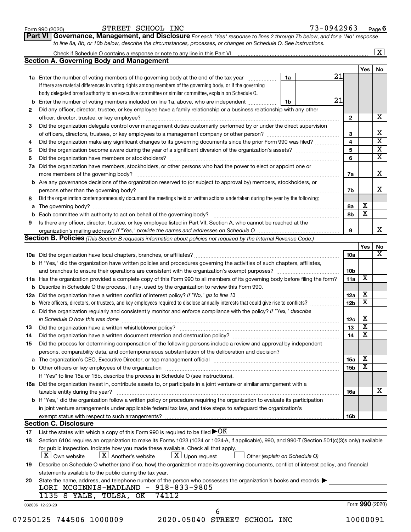| Form 990 (2020) |  |
|-----------------|--|
|-----------------|--|

Form 990 (2020) STREET SCHOOL INC 73-0942963 <sub>Page</sub>

**Part VI** Governance, Management, and Disclosure For each "Yes" response to lines 2 through 7b below, and for a "No" response *to line 8a, 8b, or 10b below, describe the circumstances, processes, or changes on Schedule O. See instructions.*

|     | Check if Schedule O contains a response or note to any line in this Part VI                                                                                                         |    |  |                 |                         | $\overline{\mathbf{X}}$ |
|-----|-------------------------------------------------------------------------------------------------------------------------------------------------------------------------------------|----|--|-----------------|-------------------------|-------------------------|
|     | <b>Section A. Governing Body and Management</b>                                                                                                                                     |    |  |                 |                         |                         |
|     |                                                                                                                                                                                     |    |  |                 | Yes                     | No                      |
|     | 1a Enter the number of voting members of the governing body at the end of the tax year <i>manamer</i>                                                                               | 1a |  | 21              |                         |                         |
|     | If there are material differences in voting rights among members of the governing body, or if the governing                                                                         |    |  |                 |                         |                         |
|     | body delegated broad authority to an executive committee or similar committee, explain on Schedule O.                                                                               |    |  |                 |                         |                         |
| b   | Enter the number of voting members included on line 1a, above, who are independent                                                                                                  | 1b |  | 21              |                         |                         |
| 2   | Did any officer, director, trustee, or key employee have a family relationship or a business relationship with any other                                                            |    |  |                 |                         |                         |
|     |                                                                                                                                                                                     |    |  | $\mathbf{2}$    |                         |                         |
| 3   | Did the organization delegate control over management duties customarily performed by or under the direct supervision                                                               |    |  |                 |                         |                         |
|     |                                                                                                                                                                                     |    |  | 3               |                         |                         |
| 4   | Did the organization make any significant changes to its governing documents since the prior Form 990 was filed?                                                                    |    |  | 4               |                         |                         |
| 5   |                                                                                                                                                                                     |    |  | 5               |                         |                         |
| 6   |                                                                                                                                                                                     |    |  | 6               |                         |                         |
| 7a  | Did the organization have members, stockholders, or other persons who had the power to elect or appoint one or                                                                      |    |  |                 |                         |                         |
|     |                                                                                                                                                                                     |    |  | 7a              |                         |                         |
| b   | Are any governance decisions of the organization reserved to (or subject to approval by) members, stockholders, or                                                                  |    |  |                 |                         |                         |
|     | persons other than the governing body?                                                                                                                                              |    |  | 7b              |                         |                         |
| 8   | Did the organization contemporaneously document the meetings held or written actions undertaken during the year by the following:                                                   |    |  |                 |                         |                         |
| а   |                                                                                                                                                                                     |    |  | 8а              | х                       |                         |
|     |                                                                                                                                                                                     |    |  | 8b              | $\overline{\textbf{x}}$ |                         |
| 9   | Is there any officer, director, trustee, or key employee listed in Part VII, Section A, who cannot be reached at the                                                                |    |  |                 |                         |                         |
|     |                                                                                                                                                                                     |    |  | 9               |                         |                         |
|     | Section B. Policies (This Section B requests information about policies not required by the Internal Revenue Code.)                                                                 |    |  |                 |                         |                         |
|     |                                                                                                                                                                                     |    |  |                 | Yes                     |                         |
|     |                                                                                                                                                                                     |    |  | 10a             |                         |                         |
|     |                                                                                                                                                                                     |    |  |                 |                         |                         |
|     | <b>b</b> If "Yes," did the organization have written policies and procedures governing the activities of such chapters, affiliates,                                                 |    |  |                 |                         |                         |
|     | and branches to ensure their operations are consistent with the organization's exempt purposes? www.www.www.www.                                                                    |    |  | 10 <sub>b</sub> |                         |                         |
|     | 11a Has the organization provided a complete copy of this Form 990 to all members of its governing body before filing the form?                                                     |    |  | 11a             | X                       |                         |
|     | Describe in Schedule O the process, if any, used by the organization to review this Form 990.                                                                                       |    |  |                 |                         |                         |
| 12a |                                                                                                                                                                                     |    |  | 12a             | х                       |                         |
|     | Were officers, directors, or trustees, and key employees required to disclose annually interests that could give rise to conflicts?                                                 |    |  | 12 <sub>b</sub> | $\overline{\text{x}}$   |                         |
| с   | Did the organization regularly and consistently monitor and enforce compliance with the policy? If "Yes," describe                                                                  |    |  |                 |                         |                         |
|     | in Schedule O how this was done manufactured and continuum and contract the state of the state of the state of                                                                      |    |  | 12c             | Х                       |                         |
| 13  |                                                                                                                                                                                     |    |  | 13              | $\overline{\textbf{x}}$ |                         |
| 14  | Did the organization have a written document retention and destruction policy? [11] manufaction model of the organization have a written document retention and destruction policy? |    |  | 14              | $\overline{\mathbf{X}}$ |                         |
| 15  | Did the process for determining compensation of the following persons include a review and approval by independent                                                                  |    |  |                 |                         |                         |
|     | persons, comparability data, and contemporaneous substantiation of the deliberation and decision?                                                                                   |    |  |                 |                         |                         |
| а   |                                                                                                                                                                                     |    |  | 15a             | х                       |                         |
|     |                                                                                                                                                                                     |    |  | 15b             | $\overline{\text{x}}$   |                         |
|     | If "Yes" to line 15a or 15b, describe the process in Schedule O (see instructions).                                                                                                 |    |  |                 |                         |                         |
|     | 16a Did the organization invest in, contribute assets to, or participate in a joint venture or similar arrangement with a                                                           |    |  |                 |                         |                         |
|     | taxable entity during the year?                                                                                                                                                     |    |  | 16a             |                         |                         |
|     | b If "Yes," did the organization follow a written policy or procedure requiring the organization to evaluate its participation                                                      |    |  |                 |                         |                         |
|     | in joint venture arrangements under applicable federal tax law, and take steps to safeguard the organization's                                                                      |    |  |                 |                         |                         |
|     |                                                                                                                                                                                     |    |  | 16b             |                         |                         |
|     | <b>Section C. Disclosure</b>                                                                                                                                                        |    |  |                 |                         |                         |
| 17  | List the states with which a copy of this Form 990 is required to be filed $\blacktriangleright$ OK                                                                                 |    |  |                 |                         |                         |
| 18  | Section 6104 requires an organization to make its Forms 1023 (1024 or 1024-A, if applicable), 990, and 990-T (Section 501(c)(3)s only) available                                    |    |  |                 |                         |                         |
|     | for public inspection. Indicate how you made these available. Check all that apply.                                                                                                 |    |  |                 |                         |                         |
|     | $\lfloor x \rfloor$ Another's website<br>$\lfloor x \rfloor$ Upon request<br>  X   Own website<br>Other (explain on Schedule O)                                                     |    |  |                 |                         |                         |
|     | Describe on Schedule O whether (and if so, how) the organization made its governing documents, conflict of interest policy, and financial                                           |    |  |                 |                         |                         |
| 19  |                                                                                                                                                                                     |    |  |                 |                         |                         |
|     | statements available to the public during the tax year.                                                                                                                             |    |  |                 |                         |                         |
| 20  | State the name, address, and telephone number of the person who possesses the organization's books and records                                                                      |    |  |                 |                         |                         |
|     | LORI MCGINNIS-MADLAND - 918-833-9805                                                                                                                                                |    |  |                 |                         |                         |
|     | 74112<br>1135 S YALE, TULSA, OK                                                                                                                                                     |    |  |                 |                         |                         |
|     | 032006 12-23-20                                                                                                                                                                     |    |  |                 | Form 990 (2020)         |                         |
|     | 6                                                                                                                                                                                   |    |  |                 |                         |                         |
|     | 2020.05040 STREET SCHOOL INC<br>07250125 744506 1000009                                                                                                                             |    |  |                 | 10000091                |                         |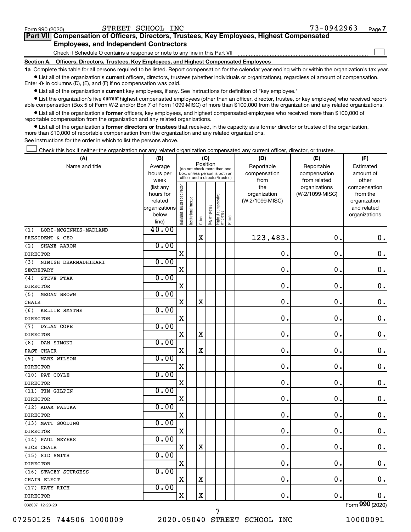$\Box$ 

| Part VII Compensation of Officers, Directors, Trustees, Key Employees, Highest Compensated |  |  |
|--------------------------------------------------------------------------------------------|--|--|
| <b>Employees, and Independent Contractors</b>                                              |  |  |

Check if Schedule O contains a response or note to any line in this Part VII

**Section A. Officers, Directors, Trustees, Key Employees, and Highest Compensated Employees**

**1a**  Complete this table for all persons required to be listed. Report compensation for the calendar year ending with or within the organization's tax year.  $\bullet$  List all of the organization's current officers, directors, trustees (whether individuals or organizations), regardless of amount of compensation.

Enter -0- in columns (D), (E), and (F) if no compensation was paid.

**•** List all of the organization's current key employees, if any. See instructions for definition of "key employee."

• List the organization's five *current* highest compensated employees (other than an officer, director, trustee, or key employee) who received reportable compensation (Box 5 of Form W-2 and/or Box 7 of Form 1099-MISC) of more than \$100,000 from the organization and any related organizations.

 $\bullet$  List all of the organization's former officers, key employees, and highest compensated employees who received more than \$100,000 of reportable compensation from the organization and any related organizations.

**•** List all of the organization's former directors or trustees that received, in the capacity as a former director or trustee of the organization, more than \$10,000 of reportable compensation from the organization and any related organizations.

See instructions for the order in which to list the persons above.

Check this box if neither the organization nor any related organization compensated any current officer, director, or trustee.  $\Box$ 

| (A)                          | (B)                  |                                |                                                                  | (C)         |              |                                   |        | (D)                             | (E)             | (F)                      |
|------------------------------|----------------------|--------------------------------|------------------------------------------------------------------|-------------|--------------|-----------------------------------|--------|---------------------------------|-----------------|--------------------------|
| Name and title               | Average              |                                | (do not check more than one                                      | Position    |              |                                   |        | Reportable                      | Reportable      | Estimated                |
|                              | hours per            |                                | box, unless person is both an<br>officer and a director/trustee) |             |              |                                   |        | compensation                    | compensation    | amount of                |
|                              | week                 |                                |                                                                  |             |              |                                   |        | from                            | from related    | other                    |
|                              | (list any            |                                |                                                                  |             |              |                                   |        | the                             | organizations   | compensation             |
|                              | hours for<br>related |                                |                                                                  |             |              |                                   |        | organization<br>(W-2/1099-MISC) | (W-2/1099-MISC) | from the<br>organization |
|                              | organizations        |                                |                                                                  |             |              |                                   |        |                                 |                 | and related              |
|                              | below                | Individual trustee or director | Institutional trustee                                            |             | Key employee |                                   |        |                                 |                 | organizations            |
|                              | line)                |                                |                                                                  | Officer     |              | Highest compensated<br>  employee | Former |                                 |                 |                          |
| LORI-MCGINNIS-MADLAND<br>(1) | 40.00                |                                |                                                                  |             |              |                                   |        |                                 |                 |                          |
| PRESIDENT & CEO              |                      |                                |                                                                  | $\mathbf X$ |              |                                   |        | 123,483.                        | $\mathbf 0$ .   | $\mathbf 0$ .            |
| (2)<br>SHANE AARON           | 0.00                 |                                |                                                                  |             |              |                                   |        |                                 |                 |                          |
| <b>DIRECTOR</b>              |                      | $\mathbf X$                    |                                                                  |             |              |                                   |        | 0.                              | $\mathbf 0$ .   | $\mathbf 0$ .            |
| (3)<br>NIMISH DHARMADHIKARI  | 0.00                 |                                |                                                                  |             |              |                                   |        |                                 |                 |                          |
| <b>SECRETARY</b>             |                      | X                              |                                                                  |             |              |                                   |        | $\mathbf 0$ .                   | 0.              | 0.                       |
| STEVE PTAK<br>(4)            | 0.00                 |                                |                                                                  |             |              |                                   |        |                                 |                 |                          |
| <b>DIRECTOR</b>              |                      | $\mathbf X$                    |                                                                  |             |              |                                   |        | $\mathbf 0$ .                   | $\mathbf 0$ .   | $\mathbf 0$ .            |
| (5)<br>MEGAN BROWN           | 0.00                 |                                |                                                                  |             |              |                                   |        |                                 |                 |                          |
| <b>CHAIR</b>                 |                      | $\mathbf X$                    |                                                                  | X           |              |                                   |        | $\mathbf 0$ .                   | $\mathbf 0$ .   | $\mathbf 0$ .            |
| KELLIE SMYTHE<br>(6)         | 0.00                 |                                |                                                                  |             |              |                                   |        |                                 |                 |                          |
| <b>DIRECTOR</b>              |                      | $\mathbf X$                    |                                                                  |             |              |                                   |        | $\mathbf 0$ .                   | $\mathbf 0$ .   | 0.                       |
| DYLAN COPE<br>(7)            | 0.00                 |                                |                                                                  |             |              |                                   |        |                                 |                 |                          |
| <b>DIRECTOR</b>              |                      | $\mathbf X$                    |                                                                  | $\mathbf X$ |              |                                   |        | $\mathbf 0$ .                   | $\mathbf 0$ .   | $\mathbf 0$ .            |
| (8)<br>DAN SIMONI            | 0.00                 |                                |                                                                  |             |              |                                   |        |                                 |                 |                          |
| PAST CHAIR                   |                      | $\mathbf X$                    |                                                                  | $\mathbf X$ |              |                                   |        | $\mathbf 0$ .                   | $\mathbf 0$ .   | $\mathbf 0$ .            |
| (9)<br><b>MARK WILSON</b>    | 0.00                 |                                |                                                                  |             |              |                                   |        |                                 |                 |                          |
| <b>DIRECTOR</b>              |                      | $\mathbf X$                    |                                                                  |             |              |                                   |        | 0.                              | $\mathbf 0$ .   | $0$ .                    |
| (10) PAT COYLE               | 0.00                 |                                |                                                                  |             |              |                                   |        |                                 |                 |                          |
| <b>DIRECTOR</b>              |                      | $\mathbf X$                    |                                                                  |             |              |                                   |        | 0.                              | $\mathbf 0$ .   | $\mathbf 0$ .            |
| (11) TIM GILPIN              | 0.00                 |                                |                                                                  |             |              |                                   |        |                                 |                 |                          |
| <b>DIRECTOR</b>              |                      | $\mathbf X$                    |                                                                  |             |              |                                   |        | $\mathbf 0$ .                   | $\mathbf 0$     | $\mathbf 0$ .            |
| (12) ADAM PALUKA             | 0.00                 |                                |                                                                  |             |              |                                   |        |                                 |                 |                          |
| <b>DIRECTOR</b>              |                      | $\mathbf X$                    |                                                                  |             |              |                                   |        | $\mathbf 0$ .                   | $\mathbf 0$ .   | $\mathbf 0$ .            |
| (13) MATT GOODING            | 0.00                 |                                |                                                                  |             |              |                                   |        |                                 |                 |                          |
| <b>DIRECTOR</b>              |                      | $\mathbf X$                    |                                                                  |             |              |                                   |        | 0.                              | $\mathbf 0$ .   | $\mathbf 0$ .            |
| (14) PAUL MEYERS             | 0.00                 |                                |                                                                  |             |              |                                   |        |                                 |                 |                          |
| VICE CHAIR                   |                      | $\mathbf X$                    |                                                                  | $\mathbf X$ |              |                                   |        | 0.                              | $\mathbf 0$ .   | $\mathbf 0$ .            |
| (15) SID SMITH               | 0.00                 |                                |                                                                  |             |              |                                   |        |                                 |                 |                          |
| <b>DIRECTOR</b>              |                      | $\mathbf X$                    |                                                                  |             |              |                                   |        | $\mathbf 0$ .                   | 0.              | $\mathbf 0$ .            |
| (16) STACEY STURGESS         | 0.00                 |                                |                                                                  |             |              |                                   |        |                                 |                 |                          |
| CHAIR ELECT                  |                      | $\mathbf X$                    |                                                                  | $\mathbf X$ |              |                                   |        | 0.                              | $\mathbf 0$ .   | $\mathbf 0$ .            |
| (17) KATY RICH               | 0.00                 |                                |                                                                  |             |              |                                   |        |                                 |                 |                          |
| <b>DIRECTOR</b>              |                      | $\mathbf X$                    |                                                                  | X           |              |                                   |        | 0.                              | $\mathbf 0$ .   | 0.                       |
| 032007 12-23-20              |                      |                                |                                                                  |             |              |                                   |        |                                 |                 | Form 990 (2020)          |

7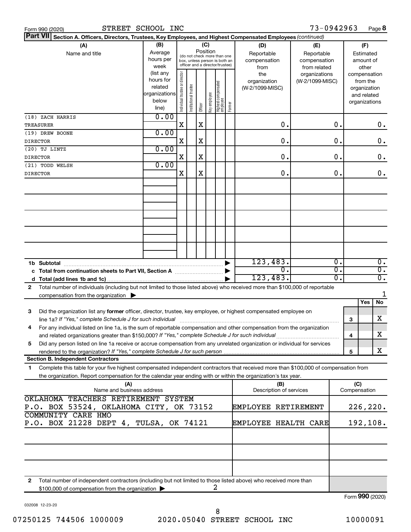|  | Form 990 (2020) |
|--|-----------------|
|  |                 |

| Part VII Section A. Officers, Directors, Trustees, Key Employees, and Highest Compensated Employees (continued)                            |               |                                |                       |          |              |                                   |        |                         |                 |                  |     |                 |    |
|--------------------------------------------------------------------------------------------------------------------------------------------|---------------|--------------------------------|-----------------------|----------|--------------|-----------------------------------|--------|-------------------------|-----------------|------------------|-----|-----------------|----|
| (A)                                                                                                                                        | (B)           |                                |                       |          | (C)          |                                   |        | (D)                     | (E)             |                  |     | (F)             |    |
| Name and title                                                                                                                             | Average       |                                |                       | Position |              | (do not check more than one       |        | Reportable              | Reportable      |                  |     | Estimated       |    |
|                                                                                                                                            | hours per     |                                |                       |          |              | box, unless person is both an     |        | compensation            | compensation    |                  |     | amount of       |    |
|                                                                                                                                            | week          |                                |                       |          |              | officer and a director/trustee)   |        | from                    | from related    |                  |     | other           |    |
|                                                                                                                                            | (list any     |                                |                       |          |              |                                   |        | the                     | organizations   |                  |     | compensation    |    |
|                                                                                                                                            | hours for     |                                |                       |          |              |                                   |        | organization            | (W-2/1099-MISC) |                  |     | from the        |    |
|                                                                                                                                            | related       |                                |                       |          |              |                                   |        | (W-2/1099-MISC)         |                 |                  |     | organization    |    |
|                                                                                                                                            | organizations | Individual trustee or director | Institutional trustee |          | Key employee |                                   |        |                         |                 |                  |     | and related     |    |
|                                                                                                                                            | below         |                                |                       |          |              |                                   | Former |                         |                 |                  |     | organizations   |    |
|                                                                                                                                            | line)         |                                |                       | Officer  |              | Highest compensated<br>  employee |        |                         |                 |                  |     |                 |    |
| (18) ZACH HARRIS                                                                                                                           | 0.00          |                                |                       |          |              |                                   |        |                         |                 |                  |     |                 |    |
| <b>TREASURER</b>                                                                                                                           |               | X                              |                       | X        |              |                                   |        | 0.                      |                 | 0.               |     |                 | 0. |
| (19) DREW BOONE                                                                                                                            | 0.00          |                                |                       |          |              |                                   |        |                         |                 |                  |     |                 |    |
| <b>DIRECTOR</b>                                                                                                                            |               | X                              |                       | X        |              |                                   |        | 0.                      |                 | 0.               |     |                 | 0. |
| $(20)$ TJ LINTZ                                                                                                                            | 0.00          |                                |                       |          |              |                                   |        |                         |                 |                  |     |                 |    |
| <b>DIRECTOR</b>                                                                                                                            |               | X                              |                       | X        |              |                                   |        | 0.                      |                 | 0.               |     |                 | 0. |
| (21) TODD WELSH                                                                                                                            | 0.00          |                                |                       |          |              |                                   |        |                         |                 |                  |     |                 |    |
| <b>DIRECTOR</b>                                                                                                                            |               | X                              |                       | X        |              |                                   |        | 0.                      |                 | О.               |     |                 | 0. |
|                                                                                                                                            |               |                                |                       |          |              |                                   |        |                         |                 |                  |     |                 |    |
|                                                                                                                                            |               |                                |                       |          |              |                                   |        |                         |                 |                  |     |                 |    |
|                                                                                                                                            |               |                                |                       |          |              |                                   |        |                         |                 |                  |     |                 |    |
|                                                                                                                                            |               |                                |                       |          |              |                                   |        |                         |                 |                  |     |                 |    |
|                                                                                                                                            |               |                                |                       |          |              |                                   |        |                         |                 |                  |     |                 |    |
|                                                                                                                                            |               |                                |                       |          |              |                                   |        |                         |                 |                  |     |                 |    |
|                                                                                                                                            |               |                                |                       |          |              |                                   |        |                         |                 |                  |     |                 |    |
|                                                                                                                                            |               |                                |                       |          |              |                                   |        |                         |                 |                  |     |                 |    |
|                                                                                                                                            |               |                                |                       |          |              |                                   |        |                         |                 |                  |     |                 |    |
|                                                                                                                                            |               |                                |                       |          |              |                                   |        |                         |                 |                  |     |                 |    |
|                                                                                                                                            |               |                                |                       |          |              |                                   |        |                         |                 |                  |     |                 |    |
|                                                                                                                                            |               |                                |                       |          |              |                                   |        | 123,483.                |                 | $\overline{0}$ . |     |                 | 0. |
| 1b Subtotal                                                                                                                                |               |                                |                       |          |              |                                   |        | 0.                      |                 | σ.               |     |                 | σ. |
| c Total from continuation sheets to Part VII, Section A manufactured by                                                                    |               |                                |                       |          |              |                                   |        |                         |                 | σ.               |     |                 | σ. |
|                                                                                                                                            |               |                                |                       |          |              |                                   |        | 123,483.                |                 |                  |     |                 |    |
| Total number of individuals (including but not limited to those listed above) who received more than \$100,000 of reportable<br>2          |               |                                |                       |          |              |                                   |        |                         |                 |                  |     |                 |    |
| compensation from the organization $\blacktriangleright$                                                                                   |               |                                |                       |          |              |                                   |        |                         |                 |                  |     |                 | 1  |
|                                                                                                                                            |               |                                |                       |          |              |                                   |        |                         |                 |                  |     | Yes<br>No       |    |
| Did the organization list any former officer, director, trustee, key employee, or highest compensated employee on<br>3                     |               |                                |                       |          |              |                                   |        |                         |                 |                  |     |                 |    |
| line 1a? If "Yes," complete Schedule J for such individual                                                                                 |               |                                |                       |          |              |                                   |        |                         |                 |                  | 3   | x               |    |
| For any individual listed on line 1a, is the sum of reportable compensation and other compensation from the organization<br>4              |               |                                |                       |          |              |                                   |        |                         |                 |                  |     |                 |    |
| and related organizations greater than \$150,000? If "Yes," complete Schedule J for such individual                                        |               |                                |                       |          |              |                                   |        |                         |                 |                  | 4   | X               |    |
| Did any person listed on line 1a receive or accrue compensation from any unrelated organization or individual for services<br>5            |               |                                |                       |          |              |                                   |        |                         |                 |                  |     |                 |    |
|                                                                                                                                            |               |                                |                       |          |              |                                   |        |                         |                 |                  | 5   | x               |    |
| <b>Section B. Independent Contractors</b>                                                                                                  |               |                                |                       |          |              |                                   |        |                         |                 |                  |     |                 |    |
|                                                                                                                                            |               |                                |                       |          |              |                                   |        |                         |                 |                  |     |                 |    |
| Complete this table for your five highest compensated independent contractors that received more than \$100,000 of compensation from<br>1. |               |                                |                       |          |              |                                   |        |                         |                 |                  |     |                 |    |
| the organization. Report compensation for the calendar year ending with or within the organization's tax year.                             |               |                                |                       |          |              |                                   |        |                         |                 |                  |     |                 |    |
| (A)                                                                                                                                        |               |                                |                       |          |              |                                   |        | (B)                     |                 |                  | (C) |                 |    |
| Name and business address                                                                                                                  |               |                                |                       |          |              |                                   |        | Description of services |                 |                  |     | Compensation    |    |
| OKLAHOMA TEACHERS RETIREMENT SYSTEM                                                                                                        |               |                                |                       |          |              |                                   |        |                         |                 |                  |     |                 |    |
| P.O. BOX 53524, OKLAHOMA CITY, OK 73152                                                                                                    |               |                                |                       |          |              |                                   |        | EMPLOYEE RETIREMENT     |                 |                  |     | 226,220.        |    |
| <b>COMMUNITY CARE HMO</b>                                                                                                                  |               |                                |                       |          |              |                                   |        |                         |                 |                  |     |                 |    |
| P.O. BOX 21228 DEPT 4, TULSA, OK 74121<br><b>EMPLOYEE HEALTH CARE</b>                                                                      |               |                                |                       |          |              |                                   |        |                         |                 |                  |     | 192,108.        |    |
|                                                                                                                                            |               |                                |                       |          |              |                                   |        |                         |                 |                  |     |                 |    |
|                                                                                                                                            |               |                                |                       |          |              |                                   |        |                         |                 |                  |     |                 |    |
|                                                                                                                                            |               |                                |                       |          |              |                                   |        |                         |                 |                  |     |                 |    |
|                                                                                                                                            |               |                                |                       |          |              |                                   |        |                         |                 |                  |     |                 |    |
|                                                                                                                                            |               |                                |                       |          |              |                                   |        |                         |                 |                  |     |                 |    |
|                                                                                                                                            |               |                                |                       |          |              |                                   |        |                         |                 |                  |     |                 |    |
|                                                                                                                                            |               |                                |                       |          |              |                                   |        |                         |                 |                  |     |                 |    |
| Total number of independent contractors (including but not limited to those listed above) who received more than<br>2                      |               |                                |                       |          |              |                                   |        |                         |                 |                  |     |                 |    |
| \$100,000 of compensation from the organization                                                                                            |               |                                |                       |          |              | 2                                 |        |                         |                 |                  |     |                 |    |
|                                                                                                                                            |               |                                |                       |          |              |                                   |        |                         |                 |                  |     | Form 990 (2020) |    |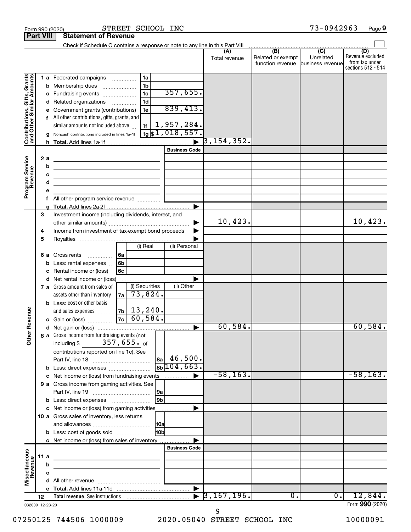|                                                           |             |                        |                                                                                                                                                                                                                                                                                                                                                                                                                                |                       | Total revenue            | Related or exempt<br>function revenue business revenue | Unrelated | (D)<br>Revenue excluded<br>from tax under<br>sections 512 - 514 |
|-----------------------------------------------------------|-------------|------------------------|--------------------------------------------------------------------------------------------------------------------------------------------------------------------------------------------------------------------------------------------------------------------------------------------------------------------------------------------------------------------------------------------------------------------------------|-----------------------|--------------------------|--------------------------------------------------------|-----------|-----------------------------------------------------------------|
| Contributions, Gifts, Grants<br>and Other Similar Amounts |             | b<br>с<br>d<br>f<br>h. | 1 a Federated campaigns<br>1a<br>1 <sub>b</sub><br>Membership dues<br>357,655.<br>1 <sub>c</sub><br>Fundraising events<br>1 <sub>d</sub><br>Related organizations<br>839,413.<br>1e<br>Government grants (contributions)<br>All other contributions, gifts, grants, and<br>$\frac{1}{19}$ 1, 957, 284.<br>$\frac{1}{19}$ \$1, 018, 557.<br>similar amounts not included above<br>Noncash contributions included in lines 1a-1f |                       | $\overline{3}$ ,154,352. |                                                        |           |                                                                 |
| Program Service<br>Revenue                                |             | 2a<br>b<br>c<br>d<br>f | <b>Business Code</b><br>the control of the control of the control of the control of the control of<br>the control of the control of the control of the control of the control of<br>the control of the control of the control of the control of the control of<br><u> 1989 - Johann Barbara, martin a bhaile an t-Alban Barbara ann an t-Alban Barbara ann an t-Alban Barbara ann an</u><br>All other program service revenue  | ▶                     |                          |                                                        |           |                                                                 |
|                                                           | 3<br>4<br>5 |                        | Investment income (including dividends, interest, and<br>Income from investment of tax-exempt bond proceeds                                                                                                                                                                                                                                                                                                                    |                       | 10,423.                  |                                                        |           | 10,423.                                                         |
|                                                           |             | 6а<br>b<br>d           | (i) Real<br>(ii) Personal<br>Gross rents<br>  6a<br>.<br>6b<br>Less: rental expenses<br>6с<br>Rental income or (loss)<br>Net rental income or (loss)                                                                                                                                                                                                                                                                           |                       |                          |                                                        |           |                                                                 |
| Revenue                                                   |             |                        | (i) Securities<br>(ii) Other<br>7 a Gross amount from sales of<br>73,824.<br>assets other than inventory<br>7a<br><b>b</b> Less: cost or other basis<br>$ z_{\text{b}} $ 13,240.<br>and sales expenses<br>60,584.                                                                                                                                                                                                              |                       |                          |                                                        |           |                                                                 |
|                                                           |             |                        | 7c <br>c Gain or (loss)                                                                                                                                                                                                                                                                                                                                                                                                        |                       | 60,584.                  |                                                        |           | 60,584.                                                         |
| ৯<br>Ĕ                                                    |             |                        | 8 a Gross income from fundraising events (not $\begin{bmatrix} \end{bmatrix}$<br>357,655. <sub>of</sub><br>including \$<br>contributions reported on line 1c). See<br>46,500.<br>l 8a<br>$8b \, 104, 663$ .<br><b>b</b> Less: direct expenses <i>manually contained</i>                                                                                                                                                        |                       |                          |                                                        |           |                                                                 |
|                                                           |             |                        | c Net income or (loss) from fundraising events                                                                                                                                                                                                                                                                                                                                                                                 |                       | $-58, 163.$              |                                                        |           | $-58, 163.$                                                     |
|                                                           |             |                        | 9 a Gross income from gaming activities. See<br> 9a                                                                                                                                                                                                                                                                                                                                                                            |                       |                          |                                                        |           |                                                                 |
|                                                           |             |                        | 9 <sub>b</sub>                                                                                                                                                                                                                                                                                                                                                                                                                 |                       |                          |                                                        |           |                                                                 |
|                                                           |             |                        | c Net income or (loss) from gaming activities<br>10 a Gross sales of inventory, less returns<br> 10a                                                                                                                                                                                                                                                                                                                           |                       |                          |                                                        |           |                                                                 |
|                                                           |             |                        | 10bl<br><b>b</b> Less: cost of goods sold                                                                                                                                                                                                                                                                                                                                                                                      |                       |                          |                                                        |           |                                                                 |
|                                                           |             |                        | c Net income or (loss) from sales of inventory                                                                                                                                                                                                                                                                                                                                                                                 |                       |                          |                                                        |           |                                                                 |
| Miscellaneous<br>Revenue                                  | 11a         |                        | <b>Business Code</b><br><u> 1989 - Johann Barbara, martin a bhann an t-Alban an t-Alban an t-Alban an t-Alban an t-Alban an t-Alban an t-</u>                                                                                                                                                                                                                                                                                  |                       |                          |                                                        |           |                                                                 |
|                                                           |             | b                      |                                                                                                                                                                                                                                                                                                                                                                                                                                |                       |                          |                                                        |           |                                                                 |
|                                                           |             | c                      | <u> 1989 - Johann Barbara, martin a</u>                                                                                                                                                                                                                                                                                                                                                                                        |                       |                          |                                                        |           |                                                                 |
|                                                           |             |                        |                                                                                                                                                                                                                                                                                                                                                                                                                                |                       |                          |                                                        |           |                                                                 |
|                                                           |             |                        |                                                                                                                                                                                                                                                                                                                                                                                                                                | $\blacktriangleright$ | $\overline{3,167,196}$ . | 0.                                                     | 0.        | 12,844.                                                         |
| 032009 12-23-20                                           | 12          |                        |                                                                                                                                                                                                                                                                                                                                                                                                                                |                       |                          |                                                        |           | Form 990 (2020)                                                 |

Form 990 (2020) S'I'REE'I' SCHOOL INC 7 3-0 9 4 2 9 6 3 Page

STREET SCHOOL INC 73-0942963

032009 12-23-20

9

**9**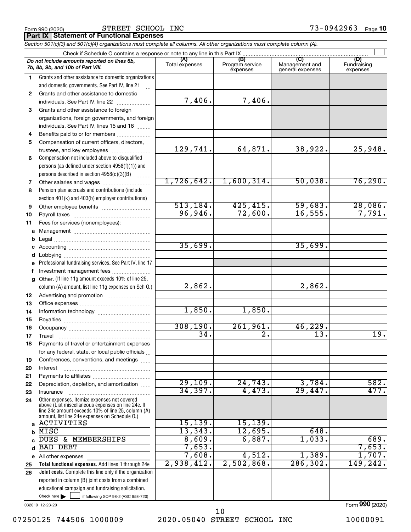Form 990 (2020) STREET SCHOOL INC 73-0942963 <sub>Page</sub>

**Part IX Statement of Functional Expenses**

*Section 501(c)(3) and 501(c)(4) organizations must complete all columns. All other organizations must complete column (A).*

|              | Do not include amounts reported on lines 6b,<br>7b, 8b, 9b, and 10b of Part VIII.                    | (A)<br>Total expenses | (B)<br>Program service<br>expenses | (C)<br>Management and<br>general expenses | (D)<br>Fundraising<br>expenses |
|--------------|------------------------------------------------------------------------------------------------------|-----------------------|------------------------------------|-------------------------------------------|--------------------------------|
| 1.           | Grants and other assistance to domestic organizations                                                |                       |                                    |                                           |                                |
|              | and domestic governments. See Part IV, line 21                                                       |                       |                                    |                                           |                                |
| $\mathbf{2}$ | Grants and other assistance to domestic                                                              |                       |                                    |                                           |                                |
|              | individuals. See Part IV, line 22                                                                    | 7,406.                | 7,406.                             |                                           |                                |
| 3            | Grants and other assistance to foreign                                                               |                       |                                    |                                           |                                |
|              | organizations, foreign governments, and foreign                                                      |                       |                                    |                                           |                                |
|              | individuals. See Part IV, lines 15 and 16                                                            |                       |                                    |                                           |                                |
| 4            | Benefits paid to or for members                                                                      |                       |                                    |                                           |                                |
| 5            | Compensation of current officers, directors,                                                         |                       |                                    |                                           |                                |
|              | trustees, and key employees                                                                          | 129,741.              | 64,871.                            | 38,922.                                   | 25,948.                        |
| 6            | Compensation not included above to disqualified                                                      |                       |                                    |                                           |                                |
|              | persons (as defined under section 4958(f)(1)) and                                                    |                       |                                    |                                           |                                |
|              | persons described in section 4958(c)(3)(B)                                                           |                       |                                    |                                           |                                |
| 7            | Other salaries and wages                                                                             | 1,726,642.            | 1,600,314.                         | 50,038.                                   | 76, 290.                       |
| 8            | Pension plan accruals and contributions (include                                                     |                       |                                    |                                           |                                |
|              | section 401(k) and 403(b) employer contributions)                                                    |                       |                                    |                                           |                                |
| 9            | Other employee benefits                                                                              | 513, 184.             | 425, 415.                          | 59,683.                                   | 28,086.                        |
| 10           |                                                                                                      | 96,946.               | 72,600.                            | 16, 555.                                  | 7,791.                         |
| 11           | Fees for services (nonemployees):                                                                    |                       |                                    |                                           |                                |
| a            |                                                                                                      |                       |                                    |                                           |                                |
| b            |                                                                                                      |                       |                                    |                                           |                                |
| с            |                                                                                                      | 35,699.               |                                    | 35,699.                                   |                                |
| d            |                                                                                                      |                       |                                    |                                           |                                |
| e            | Professional fundraising services. See Part IV, line 17                                              |                       |                                    |                                           |                                |
| f            | Investment management fees                                                                           |                       |                                    |                                           |                                |
| g            | Other. (If line 11g amount exceeds 10% of line 25,                                                   |                       |                                    |                                           |                                |
|              | column (A) amount, list line 11g expenses on Sch O.)                                                 | 2,862.                |                                    | 2,862.                                    |                                |
| 12           |                                                                                                      |                       |                                    |                                           |                                |
| 13           |                                                                                                      | 1,850.                | 1,850.                             |                                           |                                |
| 14           |                                                                                                      |                       |                                    |                                           |                                |
| 15           |                                                                                                      | 308, 190.             | 261,961.                           | 46,229.                                   |                                |
| 16           |                                                                                                      | 34.                   | 2.                                 | 13.                                       | 19.                            |
| 17           | Travel                                                                                               |                       |                                    |                                           |                                |
| 18           | Payments of travel or entertainment expenses                                                         |                       |                                    |                                           |                                |
|              | for any federal, state, or local public officials                                                    |                       |                                    |                                           |                                |
| 19           | Conferences, conventions, and meetings<br>Interest                                                   |                       |                                    |                                           |                                |
| 20           |                                                                                                      |                       |                                    |                                           |                                |
| 21<br>22     | Depreciation, depletion, and amortization                                                            | 29,109.               | 24,743.                            | 3,784.                                    | 582.                           |
| 23           | Insurance                                                                                            | 34,397.               | 4,473.                             | 29,447.                                   | 477.                           |
| 24           | Other expenses. Itemize expenses not covered                                                         |                       |                                    |                                           |                                |
|              | above (List miscellaneous expenses on line 24e. If                                                   |                       |                                    |                                           |                                |
|              | line 24e amount exceeds 10% of line 25, column (A)<br>amount, list line 24e expenses on Schedule O.) |                       |                                    |                                           |                                |
| a            | <b>ACTIVITIES</b>                                                                                    | 15, 139.              | 15, 139.                           |                                           |                                |
| b            | <b>MISC</b>                                                                                          | 13,343.               | 12,695.                            | 648.                                      |                                |
| c            | <b>DUES &amp; MEMBERSHIPS</b>                                                                        | 8,609.                | 6,887.                             | 1,033.                                    | 689.                           |
| d            | <b>BAD DEBT</b>                                                                                      | 7,653.                |                                    |                                           | 7,653.                         |
| е            | All other expenses                                                                                   | 7,608.                | 4,512.                             | 1,389.                                    | 1,707.                         |
| 25           | Total functional expenses. Add lines 1 through 24e                                                   | 2,938,412.            | 2,502,868.                         | 286, 302.                                 | 149,242.                       |
| 26           | <b>Joint costs.</b> Complete this line only if the organization                                      |                       |                                    |                                           |                                |
|              | reported in column (B) joint costs from a combined                                                   |                       |                                    |                                           |                                |
|              | educational campaign and fundraising solicitation.                                                   |                       |                                    |                                           |                                |
|              | Check here $\blacktriangleright$<br>if following SOP 98-2 (ASC 958-720)                              |                       |                                    |                                           |                                |

032010 12-23-20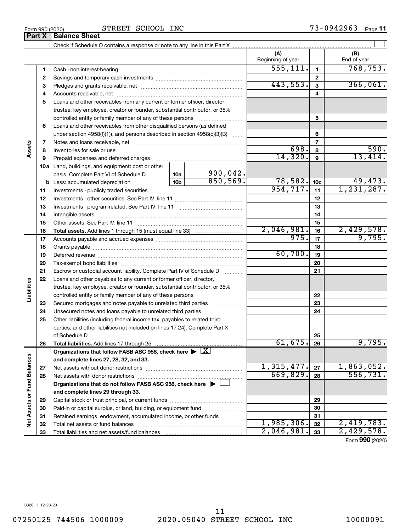**Part X Balance Sheet**<br>**Part X Balance Sheet** 

Form 990 (2020) STREET SCHOOL INC 73-0942963 Page 73-0942963 Page 11

|                             | $\mathbf{u}$ | טטווטט טווטט                                                                                           |            |                          |                 |                                           |
|-----------------------------|--------------|--------------------------------------------------------------------------------------------------------|------------|--------------------------|-----------------|-------------------------------------------|
|                             |              |                                                                                                        |            |                          |                 |                                           |
|                             |              |                                                                                                        |            | (A)<br>Beginning of year |                 | (B)<br>End of year                        |
|                             | 1            |                                                                                                        |            | 555, 111.                | $\mathbf{1}$    | 768, 753.                                 |
|                             | 2            |                                                                                                        |            |                          | $\mathbf{2}$    |                                           |
|                             | з            |                                                                                                        |            | 443,553.                 | 3               | 366,061.                                  |
|                             | 4            |                                                                                                        |            |                          | 4               |                                           |
|                             | 5            | Loans and other receivables from any current or former officer, director,                              |            |                          |                 |                                           |
|                             |              | trustee, key employee, creator or founder, substantial contributor, or 35%                             |            |                          |                 |                                           |
|                             |              | controlled entity or family member of any of these persons                                             |            |                          | 5               |                                           |
|                             | 6            | Loans and other receivables from other disqualified persons (as defined                                |            |                          |                 |                                           |
|                             |              | under section 4958(f)(1)), and persons described in section 4958(c)(3)(B)                              |            |                          | 6               |                                           |
|                             | 7            |                                                                                                        |            |                          | $\overline{7}$  |                                           |
| Assets                      | 8            |                                                                                                        |            | 698.                     | 8               | 590.                                      |
|                             | 9            | Prepaid expenses and deferred charges                                                                  |            | 14,320.                  | 9               | 13,414.                                   |
|                             |              | 10a Land, buildings, and equipment: cost or other                                                      |            |                          |                 |                                           |
|                             |              | basis. Complete Part VI of Schedule D  10a                                                             | 900,042.   |                          |                 |                                           |
|                             |              |                                                                                                        | 850, 569.  | 78,582.                  | 10 <sub>c</sub> | 49,473.                                   |
|                             | 11           |                                                                                                        |            | 954, 717.                | 11              | 1, 231, 287.                              |
|                             | 12           |                                                                                                        |            |                          | 12              |                                           |
|                             | 13           |                                                                                                        |            | 13                       |                 |                                           |
|                             | 14           |                                                                                                        |            | 14                       |                 |                                           |
|                             | 15           |                                                                                                        | 2,046,981. | 15                       | 2,429,578.      |                                           |
|                             | 16           |                                                                                                        | 975.       | 16                       | 9,795.          |                                           |
|                             | 17           |                                                                                                        |            | 17                       |                 |                                           |
|                             | 18<br>19     |                                                                                                        | 60,700.    | 18<br>19                 |                 |                                           |
|                             | 20           |                                                                                                        |            |                          | 20              |                                           |
|                             | 21           | Escrow or custodial account liability. Complete Part IV of Schedule D                                  |            |                          | 21              |                                           |
|                             | 22           | Loans and other payables to any current or former officer, director,                                   |            |                          |                 |                                           |
| Liabilities                 |              | trustee, key employee, creator or founder, substantial contributor, or 35%                             |            |                          |                 |                                           |
|                             |              | controlled entity or family member of any of these persons                                             |            |                          | 22              |                                           |
|                             | 23           | Secured mortgages and notes payable to unrelated third parties                                         |            |                          | 23              |                                           |
|                             | 24           | Unsecured notes and loans payable to unrelated third parties                                           |            |                          | 24              |                                           |
|                             | 25           | Other liabilities (including federal income tax, payables to related third                             |            |                          |                 |                                           |
|                             |              | parties, and other liabilities not included on lines 17-24). Complete Part X                           |            |                          |                 |                                           |
|                             |              | of Schedule D                                                                                          |            |                          | 25              |                                           |
|                             | 26           | Total liabilities. Add lines 17 through 25                                                             |            | 61,675.                  | 26              | 9,795.                                    |
|                             |              | Organizations that follow FASB ASC 958, check here $\blacktriangleright \lfloor \underline{X} \rfloor$ |            |                          |                 |                                           |
|                             |              | and complete lines 27, 28, 32, and 33.                                                                 |            |                          |                 |                                           |
|                             | 27           | Net assets without donor restrictions                                                                  |            | 1,315,477.               | 27              | $\frac{1,863,052.}{556,731.}$             |
|                             | 28           |                                                                                                        |            | 669,829.                 | 28              |                                           |
|                             |              | Organizations that do not follow FASB ASC 958, check here $\blacktriangleright$                        |            |                          |                 |                                           |
|                             |              | and complete lines 29 through 33.                                                                      |            |                          |                 |                                           |
| Net Assets or Fund Balances | 29           |                                                                                                        |            |                          | 29              |                                           |
|                             | 30           | Paid-in or capital surplus, or land, building, or equipment fund                                       |            |                          | 30              |                                           |
|                             | 31           | Retained earnings, endowment, accumulated income, or other funds                                       |            |                          | 31              |                                           |
|                             | 32           |                                                                                                        |            | 1,985,306.               | 32              | 2,419,783.                                |
|                             | 33           |                                                                                                        |            | 2,046,981.               | 33              | 2,429,578.<br>$E_{\text{arm}}$ QQ0 (2020) |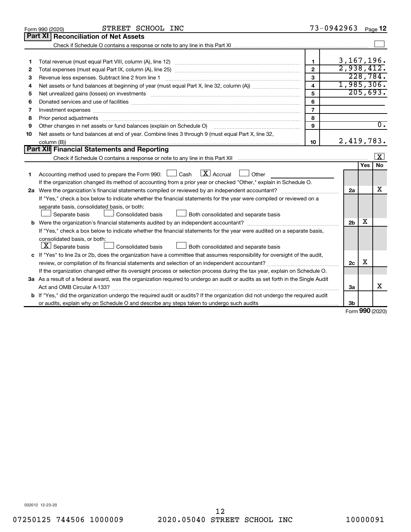|    | STREET SCHOOL INC<br>Form 990 (2020)                                                                                                                                                                                           |                         | 73-0942963     |              | Page 12          |
|----|--------------------------------------------------------------------------------------------------------------------------------------------------------------------------------------------------------------------------------|-------------------------|----------------|--------------|------------------|
|    | Part XI<br><b>Reconciliation of Net Assets</b>                                                                                                                                                                                 |                         |                |              |                  |
|    |                                                                                                                                                                                                                                |                         |                |              |                  |
|    |                                                                                                                                                                                                                                |                         |                |              |                  |
| 1  |                                                                                                                                                                                                                                | 1.                      | 3, 167, 196.   |              |                  |
| 2  |                                                                                                                                                                                                                                | $\mathbf{2}$            | 2,938,412.     |              |                  |
| 3  | Revenue less expenses. Subtract line 2 from line 1                                                                                                                                                                             | $\mathbf{3}$            |                |              | 228, 784.        |
| 4  |                                                                                                                                                                                                                                | $\overline{\mathbf{4}}$ | 1,985,306.     |              |                  |
| 5  |                                                                                                                                                                                                                                | 5                       |                |              | 205,693.         |
| 6  |                                                                                                                                                                                                                                | 6                       |                |              |                  |
| 7  | Investment expenses www.communication.com/www.communication.com/www.communication.com/www.com                                                                                                                                  | $\overline{7}$          |                |              |                  |
| 8  | Prior period adjustments material contents and content of the content of the content of the content of the content of the content of the content of the content of the content of the content of the content of the content of | 8                       |                |              |                  |
| 9  | Other changes in net assets or fund balances (explain on Schedule O)                                                                                                                                                           | 9                       |                |              | $\overline{0}$ . |
| 10 | Net assets or fund balances at end of year. Combine lines 3 through 9 (must equal Part X, line 32,                                                                                                                             |                         |                |              |                  |
|    |                                                                                                                                                                                                                                | 10                      | 2,419,783.     |              |                  |
|    | Part XII Financial Statements and Reporting                                                                                                                                                                                    |                         |                |              |                  |
|    |                                                                                                                                                                                                                                |                         |                |              | $\mathbf{X}$     |
|    |                                                                                                                                                                                                                                |                         |                | Yes          | <b>No</b>        |
| 1  | $\lfloor x \rfloor$ Accrual<br>Accounting method used to prepare the Form 990: $\Box$ Cash<br>Other<br>$\mathbf{L}$                                                                                                            |                         |                |              |                  |
|    | If the organization changed its method of accounting from a prior year or checked "Other," explain in Schedule O.                                                                                                              |                         |                |              |                  |
|    |                                                                                                                                                                                                                                |                         | 2a             |              | x                |
|    | If "Yes," check a box below to indicate whether the financial statements for the year were compiled or reviewed on a                                                                                                           |                         |                |              |                  |
|    | separate basis, consolidated basis, or both:                                                                                                                                                                                   |                         |                |              |                  |
|    | Both consolidated and separate basis<br>Separate basis<br>Consolidated basis                                                                                                                                                   |                         |                |              |                  |
|    |                                                                                                                                                                                                                                |                         | 2 <sub>b</sub> | x            |                  |
|    | If "Yes," check a box below to indicate whether the financial statements for the year were audited on a separate basis,                                                                                                        |                         |                |              |                  |
|    | consolidated basis, or both:                                                                                                                                                                                                   |                         |                |              |                  |
|    | $ \mathbf{X} $ Separate basis<br>Consolidated basis<br>Both consolidated and separate basis                                                                                                                                    |                         |                |              |                  |
|    | c If "Yes" to line 2a or 2b, does the organization have a committee that assumes responsibility for oversight of the audit,                                                                                                    |                         |                |              |                  |
|    | review, or compilation of its financial statements and selection of an independent accountant?                                                                                                                                 |                         | 2c             | X            |                  |
|    | If the organization changed either its oversight process or selection process during the tax year, explain on Schedule O.                                                                                                      |                         |                |              |                  |
|    | 3a As a result of a federal award, was the organization required to undergo an audit or audits as set forth in the Single Audit                                                                                                |                         |                |              |                  |
|    |                                                                                                                                                                                                                                |                         | 3a             |              | x                |
|    | <b>b</b> If "Yes," did the organization undergo the required audit or audits? If the organization did not undergo the required audit                                                                                           |                         |                |              |                  |
|    |                                                                                                                                                                                                                                |                         | Зb             |              |                  |
|    |                                                                                                                                                                                                                                |                         |                | $000 \text{$ |                  |

Form (2020) **990**

032012 12-23-20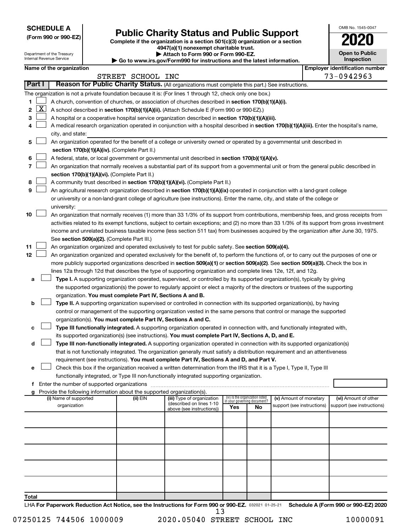**SCHEDULE A**

I

# **Public Charity Status and Public Support**

**(Form 990 or 990-EZ) Complete if the organization is a section 501(c)(3) organization or a section**

**4947(a)(1) nonexempt charitable trust.**

| <b>Open to Public</b><br>Inspection |
|-------------------------------------|
| r identification numbe              |

OMB No. 1545-0047

|              |                                                                                                  | Department of the Treasury<br>Internal Revenue Service |  |                                                                        | Attach to Form 990 or Form 990-EZ.<br>Go to www.irs.gov/Form990 for instructions and the latest information.                                                                                                                                              |                                                                |    |                            |  | <b>Open to Public</b><br>Inspection   |
|--------------|--------------------------------------------------------------------------------------------------|--------------------------------------------------------|--|------------------------------------------------------------------------|-----------------------------------------------------------------------------------------------------------------------------------------------------------------------------------------------------------------------------------------------------------|----------------------------------------------------------------|----|----------------------------|--|---------------------------------------|
|              |                                                                                                  | Name of the organization                               |  |                                                                        |                                                                                                                                                                                                                                                           |                                                                |    |                            |  | <b>Employer identification number</b> |
|              |                                                                                                  |                                                        |  | STREET SCHOOL INC                                                      |                                                                                                                                                                                                                                                           |                                                                |    |                            |  | 73-0942963                            |
|              | Part I                                                                                           |                                                        |  |                                                                        | Reason for Public Charity Status. (All organizations must complete this part.) See instructions.                                                                                                                                                          |                                                                |    |                            |  |                                       |
|              |                                                                                                  |                                                        |  |                                                                        | The organization is not a private foundation because it is: (For lines 1 through 12, check only one box.)                                                                                                                                                 |                                                                |    |                            |  |                                       |
| 1.           |                                                                                                  |                                                        |  |                                                                        | A church, convention of churches, or association of churches described in section 170(b)(1)(A)(i).                                                                                                                                                        |                                                                |    |                            |  |                                       |
| $\mathbf{2}$ | $\lfloor x \rfloor$                                                                              |                                                        |  |                                                                        | A school described in section 170(b)(1)(A)(ii). (Attach Schedule E (Form 990 or 990-EZ).)                                                                                                                                                                 |                                                                |    |                            |  |                                       |
| з            |                                                                                                  |                                                        |  |                                                                        | A hospital or a cooperative hospital service organization described in section 170(b)(1)(A)(iii).                                                                                                                                                         |                                                                |    |                            |  |                                       |
| 4            |                                                                                                  |                                                        |  |                                                                        | A medical research organization operated in conjunction with a hospital described in section 170(b)(1)(A)(iii). Enter the hospital's name,                                                                                                                |                                                                |    |                            |  |                                       |
|              |                                                                                                  | city, and state:                                       |  |                                                                        |                                                                                                                                                                                                                                                           |                                                                |    |                            |  |                                       |
| 5            |                                                                                                  |                                                        |  |                                                                        | An organization operated for the benefit of a college or university owned or operated by a governmental unit described in                                                                                                                                 |                                                                |    |                            |  |                                       |
|              |                                                                                                  |                                                        |  | section 170(b)(1)(A)(iv). (Complete Part II.)                          |                                                                                                                                                                                                                                                           |                                                                |    |                            |  |                                       |
| 6            | A federal, state, or local government or governmental unit described in section 170(b)(1)(A)(v). |                                                        |  |                                                                        |                                                                                                                                                                                                                                                           |                                                                |    |                            |  |                                       |
| 7            |                                                                                                  |                                                        |  |                                                                        | An organization that normally receives a substantial part of its support from a governmental unit or from the general public described in                                                                                                                 |                                                                |    |                            |  |                                       |
|              |                                                                                                  |                                                        |  | section 170(b)(1)(A)(vi). (Complete Part II.)                          |                                                                                                                                                                                                                                                           |                                                                |    |                            |  |                                       |
| 8            |                                                                                                  |                                                        |  |                                                                        | A community trust described in section 170(b)(1)(A)(vi). (Complete Part II.)                                                                                                                                                                              |                                                                |    |                            |  |                                       |
| 9            |                                                                                                  |                                                        |  |                                                                        | An agricultural research organization described in section 170(b)(1)(A)(ix) operated in conjunction with a land-grant college                                                                                                                             |                                                                |    |                            |  |                                       |
|              |                                                                                                  | university:                                            |  |                                                                        | or university or a non-land-grant college of agriculture (see instructions). Enter the name, city, and state of the college or                                                                                                                            |                                                                |    |                            |  |                                       |
| 10           |                                                                                                  |                                                        |  |                                                                        | An organization that normally receives (1) more than 33 1/3% of its support from contributions, membership fees, and gross receipts from                                                                                                                  |                                                                |    |                            |  |                                       |
|              |                                                                                                  |                                                        |  |                                                                        | activities related to its exempt functions, subject to certain exceptions; and (2) no more than 33 1/3% of its support from gross investment                                                                                                              |                                                                |    |                            |  |                                       |
|              |                                                                                                  |                                                        |  |                                                                        | income and unrelated business taxable income (less section 511 tax) from businesses acquired by the organization after June 30, 1975.                                                                                                                     |                                                                |    |                            |  |                                       |
|              |                                                                                                  |                                                        |  | See section 509(a)(2). (Complete Part III.)                            |                                                                                                                                                                                                                                                           |                                                                |    |                            |  |                                       |
| 11           |                                                                                                  |                                                        |  |                                                                        | An organization organized and operated exclusively to test for public safety. See section 509(a)(4).                                                                                                                                                      |                                                                |    |                            |  |                                       |
| 12           |                                                                                                  |                                                        |  |                                                                        | An organization organized and operated exclusively for the benefit of, to perform the functions of, or to carry out the purposes of one or                                                                                                                |                                                                |    |                            |  |                                       |
|              |                                                                                                  |                                                        |  |                                                                        | more publicly supported organizations described in section 509(a)(1) or section 509(a)(2). See section 509(a)(3). Check the box in                                                                                                                        |                                                                |    |                            |  |                                       |
|              |                                                                                                  |                                                        |  |                                                                        | lines 12a through 12d that describes the type of supporting organization and complete lines 12e, 12f, and 12g.                                                                                                                                            |                                                                |    |                            |  |                                       |
| а            |                                                                                                  |                                                        |  |                                                                        | Type I. A supporting organization operated, supervised, or controlled by its supported organization(s), typically by giving                                                                                                                               |                                                                |    |                            |  |                                       |
|              |                                                                                                  |                                                        |  |                                                                        | the supported organization(s) the power to regularly appoint or elect a majority of the directors or trustees of the supporting                                                                                                                           |                                                                |    |                            |  |                                       |
|              |                                                                                                  |                                                        |  | organization. You must complete Part IV, Sections A and B.             |                                                                                                                                                                                                                                                           |                                                                |    |                            |  |                                       |
| b            |                                                                                                  |                                                        |  |                                                                        | Type II. A supporting organization supervised or controlled in connection with its supported organization(s), by having                                                                                                                                   |                                                                |    |                            |  |                                       |
|              |                                                                                                  |                                                        |  |                                                                        | control or management of the supporting organization vested in the same persons that control or manage the supported                                                                                                                                      |                                                                |    |                            |  |                                       |
|              |                                                                                                  |                                                        |  | organization(s). You must complete Part IV, Sections A and C.          |                                                                                                                                                                                                                                                           |                                                                |    |                            |  |                                       |
| с            |                                                                                                  |                                                        |  |                                                                        | Type III functionally integrated. A supporting organization operated in connection with, and functionally integrated with,                                                                                                                                |                                                                |    |                            |  |                                       |
|              |                                                                                                  |                                                        |  |                                                                        | its supported organization(s) (see instructions). You must complete Part IV, Sections A, D, and E.                                                                                                                                                        |                                                                |    |                            |  |                                       |
| d            |                                                                                                  |                                                        |  |                                                                        | Type III non-functionally integrated. A supporting organization operated in connection with its supported organization(s)<br>that is not functionally integrated. The organization generally must satisfy a distribution requirement and an attentiveness |                                                                |    |                            |  |                                       |
|              |                                                                                                  |                                                        |  |                                                                        | requirement (see instructions). You must complete Part IV, Sections A and D, and Part V.                                                                                                                                                                  |                                                                |    |                            |  |                                       |
| е            |                                                                                                  |                                                        |  |                                                                        | Check this box if the organization received a written determination from the IRS that it is a Type I, Type II, Type III                                                                                                                                   |                                                                |    |                            |  |                                       |
|              |                                                                                                  |                                                        |  |                                                                        | functionally integrated, or Type III non-functionally integrated supporting organization.                                                                                                                                                                 |                                                                |    |                            |  |                                       |
|              |                                                                                                  |                                                        |  |                                                                        |                                                                                                                                                                                                                                                           |                                                                |    |                            |  |                                       |
|              |                                                                                                  |                                                        |  | Provide the following information about the supported organization(s). |                                                                                                                                                                                                                                                           |                                                                |    |                            |  |                                       |
|              |                                                                                                  | (i) Name of supported                                  |  | (ii) EIN                                                               | (iii) Type of organization<br>(described on lines 1-10                                                                                                                                                                                                    | (iv) Is the organization listed<br>in vour aoverning document? |    | (v) Amount of monetary     |  | (vi) Amount of other                  |
|              |                                                                                                  | organization                                           |  |                                                                        | above (see instructions))                                                                                                                                                                                                                                 | Yes                                                            | No | support (see instructions) |  | support (see instructions)            |
|              |                                                                                                  |                                                        |  |                                                                        |                                                                                                                                                                                                                                                           |                                                                |    |                            |  |                                       |
|              |                                                                                                  |                                                        |  |                                                                        |                                                                                                                                                                                                                                                           |                                                                |    |                            |  |                                       |
|              |                                                                                                  |                                                        |  |                                                                        |                                                                                                                                                                                                                                                           |                                                                |    |                            |  |                                       |
|              |                                                                                                  |                                                        |  |                                                                        |                                                                                                                                                                                                                                                           |                                                                |    |                            |  |                                       |
|              |                                                                                                  |                                                        |  |                                                                        |                                                                                                                                                                                                                                                           |                                                                |    |                            |  |                                       |
|              |                                                                                                  |                                                        |  |                                                                        |                                                                                                                                                                                                                                                           |                                                                |    |                            |  |                                       |
|              |                                                                                                  |                                                        |  |                                                                        |                                                                                                                                                                                                                                                           |                                                                |    |                            |  |                                       |
|              |                                                                                                  |                                                        |  |                                                                        |                                                                                                                                                                                                                                                           |                                                                |    |                            |  |                                       |
|              |                                                                                                  |                                                        |  |                                                                        |                                                                                                                                                                                                                                                           |                                                                |    |                            |  |                                       |
| Total        |                                                                                                  |                                                        |  |                                                                        |                                                                                                                                                                                                                                                           |                                                                |    |                            |  |                                       |

LHA For Paperwork Reduction Act Notice, see the Instructions for Form 990 or 990-EZ. 032021 01-25-21 Schedule A (Form 990 or 990-EZ) 2020 13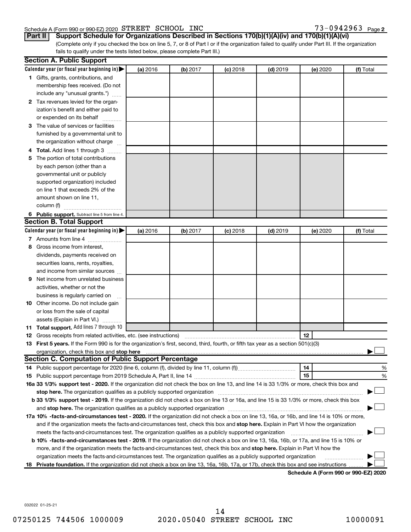# Schedule A (Form 990 or 990-EZ) 2020 STREET SCHOOL INC  $73-0942963$  Page

73-0942963 Page 2

(Complete only if you checked the box on line 5, 7, or 8 of Part I or if the organization failed to qualify under Part III. If the organization **Part II Support Schedule for Organizations Described in Sections 170(b)(1)(A)(iv) and 170(b)(1)(A)(vi)**

fails to qualify under the tests listed below, please complete Part III.)

|     | <b>Section A. Public Support</b>                                                                                                                                                                                              |          |          |            |            |                                      |           |
|-----|-------------------------------------------------------------------------------------------------------------------------------------------------------------------------------------------------------------------------------|----------|----------|------------|------------|--------------------------------------|-----------|
|     | Calendar year (or fiscal year beginning in) $\blacktriangleright$                                                                                                                                                             | (a) 2016 | (b) 2017 | $(c)$ 2018 | $(d)$ 2019 | (e) 2020                             | (f) Total |
|     | 1 Gifts, grants, contributions, and                                                                                                                                                                                           |          |          |            |            |                                      |           |
|     | membership fees received. (Do not                                                                                                                                                                                             |          |          |            |            |                                      |           |
|     | include any "unusual grants.")                                                                                                                                                                                                |          |          |            |            |                                      |           |
|     | 2 Tax revenues levied for the organ-                                                                                                                                                                                          |          |          |            |            |                                      |           |
|     | ization's benefit and either paid to                                                                                                                                                                                          |          |          |            |            |                                      |           |
|     | or expended on its behalf                                                                                                                                                                                                     |          |          |            |            |                                      |           |
|     | 3 The value of services or facilities                                                                                                                                                                                         |          |          |            |            |                                      |           |
|     | furnished by a governmental unit to                                                                                                                                                                                           |          |          |            |            |                                      |           |
|     | the organization without charge                                                                                                                                                                                               |          |          |            |            |                                      |           |
|     | Total. Add lines 1 through 3                                                                                                                                                                                                  |          |          |            |            |                                      |           |
| 5   | The portion of total contributions                                                                                                                                                                                            |          |          |            |            |                                      |           |
|     | by each person (other than a                                                                                                                                                                                                  |          |          |            |            |                                      |           |
|     | governmental unit or publicly                                                                                                                                                                                                 |          |          |            |            |                                      |           |
|     | supported organization) included                                                                                                                                                                                              |          |          |            |            |                                      |           |
|     | on line 1 that exceeds 2% of the                                                                                                                                                                                              |          |          |            |            |                                      |           |
|     | amount shown on line 11,                                                                                                                                                                                                      |          |          |            |            |                                      |           |
|     | column (f)                                                                                                                                                                                                                    |          |          |            |            |                                      |           |
|     | 6 Public support. Subtract line 5 from line 4.                                                                                                                                                                                |          |          |            |            |                                      |           |
|     | <b>Section B. Total Support</b>                                                                                                                                                                                               |          |          |            |            |                                      |           |
|     | Calendar year (or fiscal year beginning in) $\blacktriangleright$                                                                                                                                                             | (a) 2016 | (b) 2017 | $(c)$ 2018 | $(d)$ 2019 | (e) 2020                             | (f) Total |
|     | 7 Amounts from line 4                                                                                                                                                                                                         |          |          |            |            |                                      |           |
| 8   | Gross income from interest,                                                                                                                                                                                                   |          |          |            |            |                                      |           |
|     | dividends, payments received on                                                                                                                                                                                               |          |          |            |            |                                      |           |
|     | securities loans, rents, royalties,                                                                                                                                                                                           |          |          |            |            |                                      |           |
|     | and income from similar sources                                                                                                                                                                                               |          |          |            |            |                                      |           |
| 9   | Net income from unrelated business                                                                                                                                                                                            |          |          |            |            |                                      |           |
|     | activities, whether or not the                                                                                                                                                                                                |          |          |            |            |                                      |           |
|     | business is regularly carried on                                                                                                                                                                                              |          |          |            |            |                                      |           |
|     | 10 Other income. Do not include gain                                                                                                                                                                                          |          |          |            |            |                                      |           |
|     | or loss from the sale of capital                                                                                                                                                                                              |          |          |            |            |                                      |           |
|     | assets (Explain in Part VI.)                                                                                                                                                                                                  |          |          |            |            |                                      |           |
|     | <b>11 Total support.</b> Add lines 7 through 10                                                                                                                                                                               |          |          |            |            |                                      |           |
|     | <b>12</b> Gross receipts from related activities, etc. (see instructions)                                                                                                                                                     |          |          |            |            | 12                                   |           |
|     | 13 First 5 years. If the Form 990 is for the organization's first, second, third, fourth, or fifth tax year as a section 501(c)(3)                                                                                            |          |          |            |            |                                      |           |
|     | organization, check this box and stop here                                                                                                                                                                                    |          |          |            |            |                                      |           |
|     | <b>Section C. Computation of Public Support Percentage</b>                                                                                                                                                                    |          |          |            |            |                                      |           |
|     | 14 Public support percentage for 2020 (line 6, column (f), divided by line 11, column (f)                                                                                                                                     |          |          |            |            | 14                                   | %         |
|     |                                                                                                                                                                                                                               |          |          |            |            | 15                                   | %         |
|     | 16a 33 1/3% support test - 2020. If the organization did not check the box on line 13, and line 14 is 33 1/3% or more, check this box and                                                                                     |          |          |            |            |                                      |           |
|     | stop here. The organization qualifies as a publicly supported organization manufaction manufacture or the organization manufacture or the organization manufacture or the organization of the state of the state of the state |          |          |            |            |                                      |           |
|     | b 33 1/3% support test - 2019. If the organization did not check a box on line 13 or 16a, and line 15 is 33 1/3% or more, check this box                                                                                      |          |          |            |            |                                      |           |
|     |                                                                                                                                                                                                                               |          |          |            |            |                                      |           |
|     | 17a 10% -facts-and-circumstances test - 2020. If the organization did not check a box on line 13, 16a, or 16b, and line 14 is 10% or more,                                                                                    |          |          |            |            |                                      |           |
|     | and if the organization meets the facts-and-circumstances test, check this box and stop here. Explain in Part VI how the organization                                                                                         |          |          |            |            |                                      |           |
|     | meets the facts-and-circumstances test. The organization qualifies as a publicly supported organization                                                                                                                       |          |          |            |            |                                      |           |
|     | b 10% -facts-and-circumstances test - 2019. If the organization did not check a box on line 13, 16a, 16b, or 17a, and line 15 is 10% or                                                                                       |          |          |            |            |                                      |           |
|     | more, and if the organization meets the facts-and-circumstances test, check this box and stop here. Explain in Part VI how the                                                                                                |          |          |            |            |                                      |           |
|     |                                                                                                                                                                                                                               |          |          |            |            |                                      |           |
|     | organization meets the facts-and-circumstances test. The organization qualifies as a publicly supported organization                                                                                                          |          |          |            |            |                                      |           |
| 18. | Private foundation. If the organization did not check a box on line 13, 16a, 16b, 17a, or 17b, check this box and see instructions                                                                                            |          |          |            |            | Schodule A (Form 000 or 000 F7) 2020 |           |

**Schedule A (Form 990 or 990-EZ) 2020**

032022 01-25-21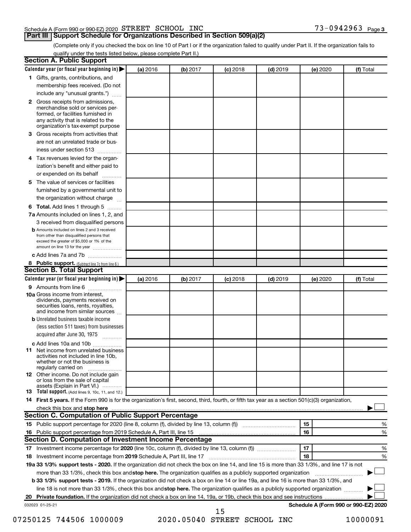#### Schedule A (Form 990 or 990-EZ) 2020 STREET SCHOOL INC  $73-0942963$  Page

# **Part III Support Schedule for Organizations Described in Section 509(a)(2)**

73-0942963 Page 3

(Complete only if you checked the box on line 10 of Part I or if the organization failed to qualify under Part II. If the organization fails to qualify under the tests listed below, please complete Part II.)

| <b>Section A. Public Support</b>                                                                                                                                                                                                                                       |          |          |          |            |          |                                      |
|------------------------------------------------------------------------------------------------------------------------------------------------------------------------------------------------------------------------------------------------------------------------|----------|----------|----------|------------|----------|--------------------------------------|
| Calendar year (or fiscal year beginning in)                                                                                                                                                                                                                            | (a) 2016 | (b) 2017 | (c) 2018 | $(d)$ 2019 | (e) 2020 | (f) Total                            |
| 1 Gifts, grants, contributions, and                                                                                                                                                                                                                                    |          |          |          |            |          |                                      |
| membership fees received. (Do not                                                                                                                                                                                                                                      |          |          |          |            |          |                                      |
| include any "unusual grants.")                                                                                                                                                                                                                                         |          |          |          |            |          |                                      |
| <b>2</b> Gross receipts from admissions,<br>merchandise sold or services per-<br>formed, or facilities furnished in<br>any activity that is related to the<br>organization's tax-exempt purpose                                                                        |          |          |          |            |          |                                      |
| 3 Gross receipts from activities that                                                                                                                                                                                                                                  |          |          |          |            |          |                                      |
| are not an unrelated trade or bus-                                                                                                                                                                                                                                     |          |          |          |            |          |                                      |
|                                                                                                                                                                                                                                                                        |          |          |          |            |          |                                      |
| iness under section 513                                                                                                                                                                                                                                                |          |          |          |            |          |                                      |
| 4 Tax revenues levied for the organ-<br>ization's benefit and either paid to                                                                                                                                                                                           |          |          |          |            |          |                                      |
| or expended on its behalf<br>.                                                                                                                                                                                                                                         |          |          |          |            |          |                                      |
| 5 The value of services or facilities                                                                                                                                                                                                                                  |          |          |          |            |          |                                      |
| furnished by a governmental unit to                                                                                                                                                                                                                                    |          |          |          |            |          |                                      |
| the organization without charge                                                                                                                                                                                                                                        |          |          |          |            |          |                                      |
| <b>6 Total.</b> Add lines 1 through 5                                                                                                                                                                                                                                  |          |          |          |            |          |                                      |
| 7a Amounts included on lines 1, 2, and                                                                                                                                                                                                                                 |          |          |          |            |          |                                      |
| 3 received from disqualified persons                                                                                                                                                                                                                                   |          |          |          |            |          |                                      |
| <b>b</b> Amounts included on lines 2 and 3 received<br>from other than disqualified persons that<br>exceed the greater of \$5,000 or 1% of the<br>amount on line 13 for the year                                                                                       |          |          |          |            |          |                                      |
| c Add lines 7a and 7b                                                                                                                                                                                                                                                  |          |          |          |            |          |                                      |
| 8 Public support. (Subtract line 7c from line 6.)                                                                                                                                                                                                                      |          |          |          |            |          |                                      |
| <b>Section B. Total Support</b>                                                                                                                                                                                                                                        |          |          |          |            |          |                                      |
| Calendar year (or fiscal year beginning in)                                                                                                                                                                                                                            | (a) 2016 | (b) 2017 | (c) 2018 | $(d)$ 2019 | (e) 2020 | (f) Total                            |
| <b>9</b> Amounts from line 6                                                                                                                                                                                                                                           |          |          |          |            |          |                                      |
| <b>10a</b> Gross income from interest,<br>dividends, payments received on<br>securities loans, rents, royalties,<br>and income from similar sources                                                                                                                    |          |          |          |            |          |                                      |
| <b>b</b> Unrelated business taxable income                                                                                                                                                                                                                             |          |          |          |            |          |                                      |
| (less section 511 taxes) from businesses<br>acquired after June 30, 1975                                                                                                                                                                                               |          |          |          |            |          |                                      |
| c Add lines 10a and 10b                                                                                                                                                                                                                                                |          |          |          |            |          |                                      |
| <b>11</b> Net income from unrelated business<br>activities not included in line 10b.<br>whether or not the business is<br>regularly carried on                                                                                                                         |          |          |          |            |          |                                      |
| 12 Other income. Do not include gain<br>or loss from the sale of capital<br>assets (Explain in Part VI.)                                                                                                                                                               |          |          |          |            |          |                                      |
| <b>13</b> Total support. (Add lines 9, 10c, 11, and 12.)                                                                                                                                                                                                               |          |          |          |            |          |                                      |
| 14 First 5 years. If the Form 990 is for the organization's first, second, third, fourth, or fifth tax year as a section 501(c)(3) organization,                                                                                                                       |          |          |          |            |          |                                      |
| check this box and stop here <b>construction and construction</b> and stop here <b>constructed</b> and stop here <b>constructed</b> and stop here <b>constructed</b> and <b>construction</b> and <b>construction</b> and <b>construction</b> and <b>construction</b> a |          |          |          |            |          |                                      |
| Section C. Computation of Public Support Percentage                                                                                                                                                                                                                    |          |          |          |            |          |                                      |
| 15 Public support percentage for 2020 (line 8, column (f), divided by line 13, column (f) <i></i>                                                                                                                                                                      |          |          |          |            | 15       | %                                    |
| 16 Public support percentage from 2019 Schedule A, Part III, line 15                                                                                                                                                                                                   |          |          |          |            | 16       | %                                    |
| Section D. Computation of Investment Income Percentage                                                                                                                                                                                                                 |          |          |          |            |          |                                      |
|                                                                                                                                                                                                                                                                        |          |          |          |            | 17       | %                                    |
| 18 Investment income percentage from 2019 Schedule A, Part III, line 17                                                                                                                                                                                                |          |          |          |            | 18       | %                                    |
| 19a 33 1/3% support tests - 2020. If the organization did not check the box on line 14, and line 15 is more than 33 1/3%, and line 17 is not                                                                                                                           |          |          |          |            |          |                                      |
| more than 33 1/3%, check this box and stop here. The organization qualifies as a publicly supported organization                                                                                                                                                       |          |          |          |            |          |                                      |
| b 33 1/3% support tests - 2019. If the organization did not check a box on line 14 or line 19a, and line 16 is more than 33 1/3%, and                                                                                                                                  |          |          |          |            |          |                                      |
| line 18 is not more than 33 1/3%, check this box and stop here. The organization qualifies as a publicly supported organization                                                                                                                                        |          |          |          |            |          |                                      |
|                                                                                                                                                                                                                                                                        |          |          |          |            |          |                                      |
|                                                                                                                                                                                                                                                                        |          |          |          |            |          | Schedule A (Form 990 or 990-EZ) 2020 |
| 032023 01-25-21                                                                                                                                                                                                                                                        |          |          | 15       |            |          |                                      |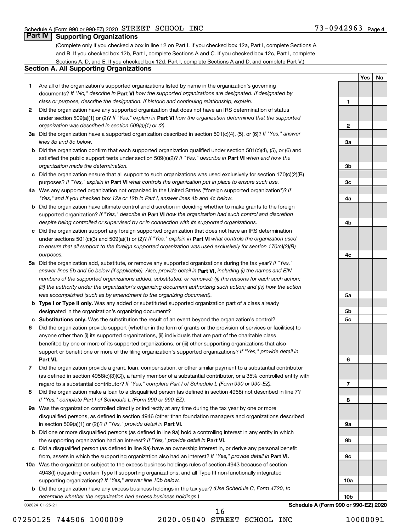**1**

**2**

**3a**

**3b**

**3c**

**4a**

**4b**

**4c**

**5a**

**5b 5c**

**6**

**7**

**8**

**9a**

**9b**

**9c**

**10a**

**Yes No**

# **Part IV Supporting Organizations**

(Complete only if you checked a box in line 12 on Part I. If you checked box 12a, Part I, complete Sections A and B. If you checked box 12b, Part I, complete Sections A and C. If you checked box 12c, Part I, complete Sections A, D, and E. If you checked box 12d, Part I, complete Sections A and D, and complete Part V.)

# **Section A. All Supporting Organizations**

- **1** Are all of the organization's supported organizations listed by name in the organization's governing documents? If "No," describe in Part VI how the supported organizations are designated. If designated by *class or purpose, describe the designation. If historic and continuing relationship, explain.*
- **2** Did the organization have any supported organization that does not have an IRS determination of status under section 509(a)(1) or (2)? If "Yes," explain in Part **VI** how the organization determined that the supported *organization was described in section 509(a)(1) or (2).*
- **3a** Did the organization have a supported organization described in section 501(c)(4), (5), or (6)? If "Yes," answer *lines 3b and 3c below.*
- **b** Did the organization confirm that each supported organization qualified under section 501(c)(4), (5), or (6) and satisfied the public support tests under section 509(a)(2)? If "Yes," describe in Part VI when and how the *organization made the determination.*
- **c** Did the organization ensure that all support to such organizations was used exclusively for section 170(c)(2)(B) purposes? If "Yes," explain in Part VI what controls the organization put in place to ensure such use.
- **4 a** *If* Was any supported organization not organized in the United States ("foreign supported organization")? *"Yes," and if you checked box 12a or 12b in Part I, answer lines 4b and 4c below.*
- **b** Did the organization have ultimate control and discretion in deciding whether to make grants to the foreign supported organization? If "Yes," describe in Part VI how the organization had such control and discretion *despite being controlled or supervised by or in connection with its supported organizations.*
- **c** Did the organization support any foreign supported organization that does not have an IRS determination under sections 501(c)(3) and 509(a)(1) or (2)? If "Yes," explain in Part VI what controls the organization used *to ensure that all support to the foreign supported organization was used exclusively for section 170(c)(2)(B) purposes.*
- **5a** Did the organization add, substitute, or remove any supported organizations during the tax year? If "Yes," answer lines 5b and 5c below (if applicable). Also, provide detail in **Part VI,** including (i) the names and EIN *numbers of the supported organizations added, substituted, or removed; (ii) the reasons for each such action; (iii) the authority under the organization's organizing document authorizing such action; and (iv) how the action was accomplished (such as by amendment to the organizing document).*
- **b** Type I or Type II only. Was any added or substituted supported organization part of a class already designated in the organization's organizing document?
- **c Substitutions only.**  Was the substitution the result of an event beyond the organization's control?
- **6** Did the organization provide support (whether in the form of grants or the provision of services or facilities) to **Part VI.** support or benefit one or more of the filing organization's supported organizations? If "Yes," provide detail in anyone other than (i) its supported organizations, (ii) individuals that are part of the charitable class benefited by one or more of its supported organizations, or (iii) other supporting organizations that also
- **7** Did the organization provide a grant, loan, compensation, or other similar payment to a substantial contributor regard to a substantial contributor? If "Yes," complete Part I of Schedule L (Form 990 or 990-EZ). (as defined in section 4958(c)(3)(C)), a family member of a substantial contributor, or a 35% controlled entity with
- **8** Did the organization make a loan to a disqualified person (as defined in section 4958) not described in line 7? *If "Yes," complete Part I of Schedule L (Form 990 or 990-EZ).*
- **9 a** Was the organization controlled directly or indirectly at any time during the tax year by one or more in section 509(a)(1) or (2))? If "Yes," provide detail in **Part VI.** disqualified persons, as defined in section 4946 (other than foundation managers and organizations described
- **b** Did one or more disqualified persons (as defined in line 9a) hold a controlling interest in any entity in which the supporting organization had an interest? If "Yes," provide detail in Part VI.
- **c** Did a disqualified person (as defined in line 9a) have an ownership interest in, or derive any personal benefit from, assets in which the supporting organization also had an interest? If "Yes," provide detail in Part VI.
- **10 a** Was the organization subject to the excess business holdings rules of section 4943 because of section supporting organizations)? If "Yes," answer line 10b below. 4943(f) (regarding certain Type II supporting organizations, and all Type III non-functionally integrated
	- **b** Did the organization have any excess business holdings in the tax year? (Use Schedule C, Form 4720, to *determine whether the organization had excess business holdings.)*

032024 01-25-21

**10b Schedule A (Form 990 or 990-EZ) 2020**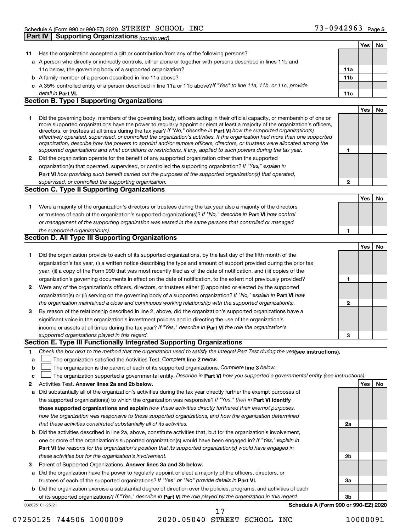|              |                                                                                                                                                                                                                                                                                                                                                                                                                                                                                                                          |                 | Yes | No |
|--------------|--------------------------------------------------------------------------------------------------------------------------------------------------------------------------------------------------------------------------------------------------------------------------------------------------------------------------------------------------------------------------------------------------------------------------------------------------------------------------------------------------------------------------|-----------------|-----|----|
| 11           | Has the organization accepted a gift or contribution from any of the following persons?                                                                                                                                                                                                                                                                                                                                                                                                                                  |                 |     |    |
|              | a A person who directly or indirectly controls, either alone or together with persons described in lines 11b and                                                                                                                                                                                                                                                                                                                                                                                                         |                 |     |    |
|              | 11c below, the governing body of a supported organization?                                                                                                                                                                                                                                                                                                                                                                                                                                                               | 11a             |     |    |
|              | <b>b</b> A family member of a person described in line 11a above?                                                                                                                                                                                                                                                                                                                                                                                                                                                        | 11 <sub>b</sub> |     |    |
|              | c A 35% controlled entity of a person described in line 11a or 11b above?If "Yes" to line 11a, 11b, or 11c, provide                                                                                                                                                                                                                                                                                                                                                                                                      |                 |     |    |
|              | detail in <b>Part VI.</b>                                                                                                                                                                                                                                                                                                                                                                                                                                                                                                | 11c             |     |    |
|              | <b>Section B. Type I Supporting Organizations</b>                                                                                                                                                                                                                                                                                                                                                                                                                                                                        |                 |     |    |
|              |                                                                                                                                                                                                                                                                                                                                                                                                                                                                                                                          |                 | Yes | No |
| 1            | Did the governing body, members of the governing body, officers acting in their official capacity, or membership of one or<br>more supported organizations have the power to regularly appoint or elect at least a majority of the organization's officers,<br>directors, or trustees at all times during the tax year? If "No," describe in Part VI how the supported organization(s)<br>effectively operated, supervised, or controlled the organization's activities. If the organization had more than one supported |                 |     |    |
|              | organization, describe how the powers to appoint and/or remove officers, directors, or trustees were allocated among the<br>supported organizations and what conditions or restrictions, if any, applied to such powers during the tax year.                                                                                                                                                                                                                                                                             | 1               |     |    |
| $\mathbf{2}$ | Did the organization operate for the benefit of any supported organization other than the supported                                                                                                                                                                                                                                                                                                                                                                                                                      |                 |     |    |
|              | organization(s) that operated, supervised, or controlled the supporting organization? If "Yes," explain in                                                                                                                                                                                                                                                                                                                                                                                                               |                 |     |    |
|              | Part VI how providing such benefit carried out the purposes of the supported organization(s) that operated,                                                                                                                                                                                                                                                                                                                                                                                                              |                 |     |    |
|              | supervised, or controlled the supporting organization.                                                                                                                                                                                                                                                                                                                                                                                                                                                                   | 2               |     |    |
|              | <b>Section C. Type II Supporting Organizations</b>                                                                                                                                                                                                                                                                                                                                                                                                                                                                       |                 |     |    |
|              |                                                                                                                                                                                                                                                                                                                                                                                                                                                                                                                          |                 | Yes | No |
| 1.           | Were a majority of the organization's directors or trustees during the tax year also a majority of the directors                                                                                                                                                                                                                                                                                                                                                                                                         |                 |     |    |
|              | or trustees of each of the organization's supported organization(s)? If "No," describe in Part VI how control                                                                                                                                                                                                                                                                                                                                                                                                            |                 |     |    |
|              | or management of the supporting organization was vested in the same persons that controlled or managed                                                                                                                                                                                                                                                                                                                                                                                                                   |                 |     |    |
|              | the supported organization(s).                                                                                                                                                                                                                                                                                                                                                                                                                                                                                           | 1               |     |    |
|              | <b>Section D. All Type III Supporting Organizations</b>                                                                                                                                                                                                                                                                                                                                                                                                                                                                  |                 |     |    |
|              |                                                                                                                                                                                                                                                                                                                                                                                                                                                                                                                          |                 | Yes | No |
| 1            | Did the organization provide to each of its supported organizations, by the last day of the fifth month of the                                                                                                                                                                                                                                                                                                                                                                                                           |                 |     |    |
|              | organization's tax year, (i) a written notice describing the type and amount of support provided during the prior tax                                                                                                                                                                                                                                                                                                                                                                                                    |                 |     |    |
|              | year, (ii) a copy of the Form 990 that was most recently filed as of the date of notification, and (iii) copies of the                                                                                                                                                                                                                                                                                                                                                                                                   |                 |     |    |
|              | organization's governing documents in effect on the date of notification, to the extent not previously provided?                                                                                                                                                                                                                                                                                                                                                                                                         | 1               |     |    |
| $\mathbf{2}$ | Were any of the organization's officers, directors, or trustees either (i) appointed or elected by the supported                                                                                                                                                                                                                                                                                                                                                                                                         |                 |     |    |
|              | organization(s) or (ii) serving on the governing body of a supported organization? If "No," explain in Part VI how                                                                                                                                                                                                                                                                                                                                                                                                       |                 |     |    |
|              | the organization maintained a close and continuous working relationship with the supported organization(s).                                                                                                                                                                                                                                                                                                                                                                                                              | 2               |     |    |
| 3            | By reason of the relationship described in line 2, above, did the organization's supported organizations have a                                                                                                                                                                                                                                                                                                                                                                                                          |                 |     |    |
|              | significant voice in the organization's investment policies and in directing the use of the organization's                                                                                                                                                                                                                                                                                                                                                                                                               |                 |     |    |
|              | income or assets at all times during the tax year? If "Yes," describe in Part VI the role the organization's                                                                                                                                                                                                                                                                                                                                                                                                             |                 |     |    |
|              |                                                                                                                                                                                                                                                                                                                                                                                                                                                                                                                          | З               |     |    |
|              | supported organizations played in this regard.<br>Section E. Type III Functionally Integrated Supporting Organizations                                                                                                                                                                                                                                                                                                                                                                                                   |                 |     |    |
|              | Check the box next to the method that the organization used to satisfy the Integral Part Test during the yealsee instructions).                                                                                                                                                                                                                                                                                                                                                                                          |                 |     |    |
| 1            | The organization satisfied the Activities Test. Complete line 2 below.                                                                                                                                                                                                                                                                                                                                                                                                                                                   |                 |     |    |
| а            | The organization is the parent of each of its supported organizations. Complete line 3 below.                                                                                                                                                                                                                                                                                                                                                                                                                            |                 |     |    |
| b            | The organization supported a governmental entity. Describe in Part VI how you supported a governmental entity (see instructions).                                                                                                                                                                                                                                                                                                                                                                                        |                 |     |    |
| c            | Activities Test. Answer lines 2a and 2b below.                                                                                                                                                                                                                                                                                                                                                                                                                                                                           |                 | Yes | No |
| 2            |                                                                                                                                                                                                                                                                                                                                                                                                                                                                                                                          |                 |     |    |
| а            | Did substantially all of the organization's activities during the tax year directly further the exempt purposes of<br>the supported organization(s) to which the organization was responsive? If "Yes," then in Part VI identify                                                                                                                                                                                                                                                                                         |                 |     |    |
|              | those supported organizations and explain how these activities directly furthered their exempt purposes,                                                                                                                                                                                                                                                                                                                                                                                                                 |                 |     |    |
|              | how the organization was responsive to those supported organizations, and how the organization determined                                                                                                                                                                                                                                                                                                                                                                                                                |                 |     |    |
|              | that these activities constituted substantially all of its activities.                                                                                                                                                                                                                                                                                                                                                                                                                                                   |                 |     |    |
|              |                                                                                                                                                                                                                                                                                                                                                                                                                                                                                                                          | 2a              |     |    |
| b            | Did the activities described in line 2a, above, constitute activities that, but for the organization's involvement,                                                                                                                                                                                                                                                                                                                                                                                                      |                 |     |    |
|              | one or more of the organization's supported organization(s) would have been engaged in? If "Yes," explain in                                                                                                                                                                                                                                                                                                                                                                                                             |                 |     |    |
|              | Part VI the reasons for the organization's position that its supported organization(s) would have engaged in                                                                                                                                                                                                                                                                                                                                                                                                             |                 |     |    |
|              | these activities but for the organization's involvement.                                                                                                                                                                                                                                                                                                                                                                                                                                                                 | 2b              |     |    |
| 3            | Parent of Supported Organizations. Answer lines 3a and 3b below.                                                                                                                                                                                                                                                                                                                                                                                                                                                         |                 |     |    |
|              | a Did the organization have the power to regularly appoint or elect a majority of the officers, directors, or                                                                                                                                                                                                                                                                                                                                                                                                            |                 |     |    |
|              | trustees of each of the supported organizations? If "Yes" or "No" provide details in Part VI.                                                                                                                                                                                                                                                                                                                                                                                                                            | За              |     |    |
|              | <b>b</b> Did the organization exercise a substantial degree of direction over the policies, programs, and activities of each                                                                                                                                                                                                                                                                                                                                                                                             |                 |     |    |
|              | of its supported organizations? If "Yes," describe in Part VI the role played by the organization in this regard.                                                                                                                                                                                                                                                                                                                                                                                                        | Зb              |     |    |

032025 01-25-21

**Schedule A (Form 990 or 990-EZ) 2020**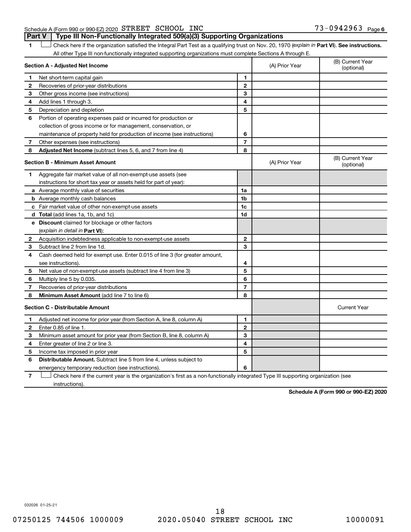Schedule A (Form 990 or 990-EZ) 2020 STREET SCHOOL INC  $73-0942963$  Page **Part V Type III Non-Functionally Integrated 509(a)(3) Supporting Organizations** 

1 **Letter See instructions.** Check here if the organization satisfied the Integral Part Test as a qualifying trust on Nov. 20, 1970 (*explain in* Part **VI**). See instructions. All other Type III non-functionally integrated supporting organizations must complete Sections A through E.

|   | Section A - Adjusted Net Income                                             |                | (A) Prior Year | (B) Current Year<br>(optional) |
|---|-----------------------------------------------------------------------------|----------------|----------------|--------------------------------|
| 1 | Net short-term capital gain                                                 | 1              |                |                                |
| 2 | Recoveries of prior-year distributions                                      | $\mathbf{2}$   |                |                                |
| 3 | Other gross income (see instructions)                                       | 3              |                |                                |
| 4 | Add lines 1 through 3.                                                      | 4              |                |                                |
| 5 | Depreciation and depletion                                                  | 5              |                |                                |
| 6 | Portion of operating expenses paid or incurred for production or            |                |                |                                |
|   | collection of gross income or for management, conservation, or              |                |                |                                |
|   | maintenance of property held for production of income (see instructions)    | 6              |                |                                |
| 7 | Other expenses (see instructions)                                           | $\overline{7}$ |                |                                |
| 8 | <b>Adjusted Net Income</b> (subtract lines 5, 6, and 7 from line 4)         | 8              |                |                                |
|   | <b>Section B - Minimum Asset Amount</b>                                     |                | (A) Prior Year | (B) Current Year<br>(optional) |
| 1 | Aggregate fair market value of all non-exempt-use assets (see               |                |                |                                |
|   | instructions for short tax year or assets held for part of year):           |                |                |                                |
|   | <b>a</b> Average monthly value of securities                                | 1a             |                |                                |
|   | <b>b</b> Average monthly cash balances                                      | 1 <sub>b</sub> |                |                                |
|   | <b>c</b> Fair market value of other non-exempt-use assets                   | 1c             |                |                                |
|   | d Total (add lines 1a, 1b, and 1c)                                          | 1d             |                |                                |
|   | e Discount claimed for blockage or other factors                            |                |                |                                |
|   | (explain in detail in <b>Part VI</b> ):                                     |                |                |                                |
| 2 | Acquisition indebtedness applicable to non-exempt-use assets                | $\mathbf{2}$   |                |                                |
| 3 | Subtract line 2 from line 1d.                                               | 3              |                |                                |
| 4 | Cash deemed held for exempt use. Enter 0.015 of line 3 (for greater amount, |                |                |                                |
|   | see instructions).                                                          | 4              |                |                                |
| 5 | Net value of non-exempt-use assets (subtract line 4 from line 3)            | 5              |                |                                |
| 6 | Multiply line 5 by 0.035.                                                   | 6              |                |                                |
| 7 | Recoveries of prior-year distributions                                      | $\overline{7}$ |                |                                |
| 8 | <b>Minimum Asset Amount (add line 7 to line 6)</b>                          | 8              |                |                                |
|   | <b>Section C - Distributable Amount</b>                                     |                |                | <b>Current Year</b>            |
| 1 | Adjusted net income for prior year (from Section A, line 8, column A)       | 1              |                |                                |
| 2 | Enter 0.85 of line 1.                                                       | $\mathbf{2}$   |                |                                |
| 3 | Minimum asset amount for prior year (from Section B, line 8, column A)      | 3              |                |                                |
| 4 | Enter greater of line 2 or line 3.                                          | 4              |                |                                |
| 5 | Income tax imposed in prior year                                            | 5              |                |                                |
| 6 | <b>Distributable Amount.</b> Subtract line 5 from line 4, unless subject to |                |                |                                |
|   | emergency temporary reduction (see instructions).                           | 6              |                |                                |
|   |                                                                             |                |                |                                |

**7** Check here if the current year is the organization's first as a non-functionally integrated Type III supporting organization (see † instructions).

**Schedule A (Form 990 or 990-EZ) 2020**

032026 01-25-21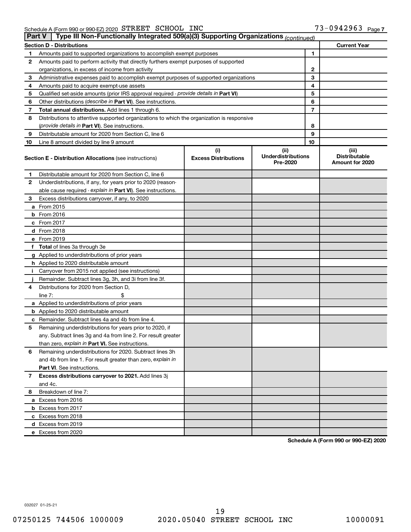| <b>Part V</b> | Type III Non-Functionally Integrated 509(a)(3) Supporting Organizations (continued)        |                                    |                                               |    |                                                  |
|---------------|--------------------------------------------------------------------------------------------|------------------------------------|-----------------------------------------------|----|--------------------------------------------------|
|               | <b>Section D - Distributions</b>                                                           |                                    |                                               |    | <b>Current Year</b>                              |
| 1             | Amounts paid to supported organizations to accomplish exempt purposes                      |                                    |                                               | 1  |                                                  |
| 2             | Amounts paid to perform activity that directly furthers exempt purposes of supported       |                                    |                                               |    |                                                  |
|               | organizations, in excess of income from activity                                           |                                    | 2                                             |    |                                                  |
| 3             | Administrative expenses paid to accomplish exempt purposes of supported organizations      |                                    |                                               | 3  |                                                  |
| 4             | Amounts paid to acquire exempt-use assets                                                  |                                    |                                               | 4  |                                                  |
| 5             | Qualified set-aside amounts (prior IRS approval required - provide details in Part VI)     |                                    |                                               | 5  |                                                  |
| 6             | Other distributions ( <i>describe in Part VI</i> ). See instructions.                      |                                    |                                               | 6  |                                                  |
| 7             | Total annual distributions. Add lines 1 through 6.                                         |                                    |                                               | 7  |                                                  |
| 8             | Distributions to attentive supported organizations to which the organization is responsive |                                    |                                               |    |                                                  |
|               | (provide details in Part VI). See instructions.                                            |                                    |                                               | 8  |                                                  |
| 9             | Distributable amount for 2020 from Section C, line 6                                       |                                    |                                               | 9  |                                                  |
| 10            | Line 8 amount divided by line 9 amount                                                     |                                    |                                               | 10 |                                                  |
|               | <b>Section E - Distribution Allocations (see instructions)</b>                             | (i)<br><b>Excess Distributions</b> | (ii)<br><b>Underdistributions</b><br>Pre-2020 |    | (iii)<br><b>Distributable</b><br>Amount for 2020 |
| 1             | Distributable amount for 2020 from Section C, line 6                                       |                                    |                                               |    |                                                  |
| 2             | Underdistributions, if any, for years prior to 2020 (reason-                               |                                    |                                               |    |                                                  |
|               | able cause required - explain in Part VI). See instructions.                               |                                    |                                               |    |                                                  |
| 3             | Excess distributions carryover, if any, to 2020                                            |                                    |                                               |    |                                                  |
|               | a From 2015                                                                                |                                    |                                               |    |                                                  |
|               | <b>b</b> From 2016                                                                         |                                    |                                               |    |                                                  |
|               | c From 2017                                                                                |                                    |                                               |    |                                                  |
|               | d From 2018                                                                                |                                    |                                               |    |                                                  |
|               | e From 2019                                                                                |                                    |                                               |    |                                                  |
|               | f Total of lines 3a through 3e                                                             |                                    |                                               |    |                                                  |
|               | g Applied to underdistributions of prior years                                             |                                    |                                               |    |                                                  |
|               | <b>h</b> Applied to 2020 distributable amount                                              |                                    |                                               |    |                                                  |
| Ť.            | Carryover from 2015 not applied (see instructions)                                         |                                    |                                               |    |                                                  |
|               | Remainder. Subtract lines 3g, 3h, and 3i from line 3f.                                     |                                    |                                               |    |                                                  |
| 4             | Distributions for 2020 from Section D,                                                     |                                    |                                               |    |                                                  |
|               | line $7:$                                                                                  |                                    |                                               |    |                                                  |
|               | a Applied to underdistributions of prior years                                             |                                    |                                               |    |                                                  |
|               | <b>b</b> Applied to 2020 distributable amount                                              |                                    |                                               |    |                                                  |
|               | c Remainder. Subtract lines 4a and 4b from line 4.                                         |                                    |                                               |    |                                                  |
| 5             | Remaining underdistributions for years prior to 2020, if                                   |                                    |                                               |    |                                                  |
|               | any. Subtract lines 3g and 4a from line 2. For result greater                              |                                    |                                               |    |                                                  |
|               | than zero, explain in Part VI. See instructions.                                           |                                    |                                               |    |                                                  |
| 6             | Remaining underdistributions for 2020. Subtract lines 3h                                   |                                    |                                               |    |                                                  |
|               | and 4b from line 1. For result greater than zero, explain in                               |                                    |                                               |    |                                                  |
|               | <b>Part VI.</b> See instructions.                                                          |                                    |                                               |    |                                                  |
| 7             | Excess distributions carryover to 2021. Add lines 3j                                       |                                    |                                               |    |                                                  |
|               | and 4c.                                                                                    |                                    |                                               |    |                                                  |
| 8             | Breakdown of line 7:                                                                       |                                    |                                               |    |                                                  |
|               | a Excess from 2016                                                                         |                                    |                                               |    |                                                  |
|               | <b>b</b> Excess from 2017                                                                  |                                    |                                               |    |                                                  |
|               | c Excess from 2018                                                                         |                                    |                                               |    |                                                  |
|               | d Excess from 2019                                                                         |                                    |                                               |    |                                                  |
|               | e Excess from 2020                                                                         |                                    |                                               |    |                                                  |

**Schedule A (Form 990 or 990-EZ) 2020**

032027 01-25-21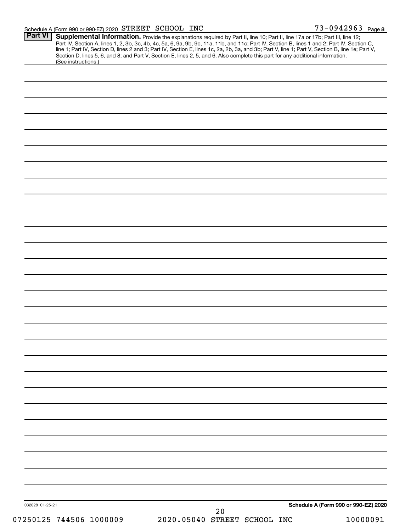| <b>Part VI</b><br>(See instructions.) | <b>Supplemental Information.</b> Provide the explanations required by Part II, line 10; Part II, line 17a or 17b; Part III, line 12;<br>Part IV, Section A, lines 1, 2, 3b, 3c, 4b, 4c, 5a, 6, 9a, 9b, 9c, 11a, 11b, and 11c; Part IV,<br>Section D, lines 5, 6, and 8; and Part V, Section E, lines 2, 5, and 6. Also complete this part for any additional information. |                                      |
|---------------------------------------|---------------------------------------------------------------------------------------------------------------------------------------------------------------------------------------------------------------------------------------------------------------------------------------------------------------------------------------------------------------------------|--------------------------------------|
|                                       |                                                                                                                                                                                                                                                                                                                                                                           |                                      |
|                                       |                                                                                                                                                                                                                                                                                                                                                                           |                                      |
|                                       |                                                                                                                                                                                                                                                                                                                                                                           |                                      |
|                                       |                                                                                                                                                                                                                                                                                                                                                                           |                                      |
|                                       |                                                                                                                                                                                                                                                                                                                                                                           |                                      |
|                                       |                                                                                                                                                                                                                                                                                                                                                                           |                                      |
|                                       |                                                                                                                                                                                                                                                                                                                                                                           |                                      |
|                                       |                                                                                                                                                                                                                                                                                                                                                                           |                                      |
|                                       |                                                                                                                                                                                                                                                                                                                                                                           |                                      |
|                                       |                                                                                                                                                                                                                                                                                                                                                                           |                                      |
|                                       |                                                                                                                                                                                                                                                                                                                                                                           |                                      |
|                                       |                                                                                                                                                                                                                                                                                                                                                                           |                                      |
|                                       |                                                                                                                                                                                                                                                                                                                                                                           |                                      |
|                                       |                                                                                                                                                                                                                                                                                                                                                                           |                                      |
|                                       |                                                                                                                                                                                                                                                                                                                                                                           |                                      |
|                                       |                                                                                                                                                                                                                                                                                                                                                                           |                                      |
|                                       |                                                                                                                                                                                                                                                                                                                                                                           |                                      |
|                                       |                                                                                                                                                                                                                                                                                                                                                                           |                                      |
|                                       |                                                                                                                                                                                                                                                                                                                                                                           |                                      |
|                                       |                                                                                                                                                                                                                                                                                                                                                                           |                                      |
|                                       |                                                                                                                                                                                                                                                                                                                                                                           |                                      |
|                                       |                                                                                                                                                                                                                                                                                                                                                                           |                                      |
|                                       |                                                                                                                                                                                                                                                                                                                                                                           |                                      |
|                                       |                                                                                                                                                                                                                                                                                                                                                                           |                                      |
|                                       |                                                                                                                                                                                                                                                                                                                                                                           |                                      |
|                                       |                                                                                                                                                                                                                                                                                                                                                                           |                                      |
|                                       |                                                                                                                                                                                                                                                                                                                                                                           |                                      |
|                                       |                                                                                                                                                                                                                                                                                                                                                                           |                                      |
|                                       |                                                                                                                                                                                                                                                                                                                                                                           |                                      |
|                                       |                                                                                                                                                                                                                                                                                                                                                                           |                                      |
|                                       |                                                                                                                                                                                                                                                                                                                                                                           |                                      |
|                                       |                                                                                                                                                                                                                                                                                                                                                                           |                                      |
|                                       |                                                                                                                                                                                                                                                                                                                                                                           |                                      |
|                                       |                                                                                                                                                                                                                                                                                                                                                                           |                                      |
| 032028 01-25-21                       | 20                                                                                                                                                                                                                                                                                                                                                                        | Schedule A (Form 990 or 990-EZ) 2020 |
| 07250125 744506 1000009               | 2020.05040 STREET SCHOOL INC                                                                                                                                                                                                                                                                                                                                              | 10000091                             |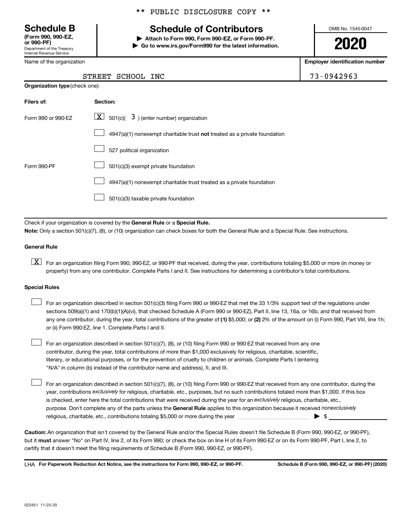Department of the Treasury Internal Revenue Service **(Form 990, 990-EZ,**

Name of the organization

# \*\* PUBLIC DISCLOSURE COPY \*\*

# **Schedule B Schedule of Contributors**

**or 990-PF) | Attach to Form 990, Form 990-EZ, or Form 990-PF. | Go to www.irs.gov/Form990 for the latest information.** OMB No. 1545-0047

**2020**

**Employer identification number**

| $3 - 0942963$ |  |  |  |
|---------------|--|--|--|
|               |  |  |  |

| STREET SCHOOL INC | 73-0942963 |  |
|-------------------|------------|--|
|                   |            |  |

| <b>Organization type (check one):</b> |                                                                           |  |  |  |
|---------------------------------------|---------------------------------------------------------------------------|--|--|--|
| Filers of:                            | Section:                                                                  |  |  |  |
| Form 990 or 990-EZ                    | $ \mathbf{X} $ 501(c)( 3) (enter number) organization                     |  |  |  |
|                                       | 4947(a)(1) nonexempt charitable trust not treated as a private foundation |  |  |  |
|                                       | 527 political organization                                                |  |  |  |
| Form 990-PF                           | 501(c)(3) exempt private foundation                                       |  |  |  |
|                                       | 4947(a)(1) nonexempt charitable trust treated as a private foundation     |  |  |  |
|                                       | 501(c)(3) taxable private foundation                                      |  |  |  |

Check if your organization is covered by the General Rule or a Special Rule.

**Note:**  Only a section 501(c)(7), (8), or (10) organization can check boxes for both the General Rule and a Special Rule. See instructions.

#### **General Rule**

**K** For an organization filing Form 990, 990-EZ, or 990-PF that received, during the year, contributions totaling \$5,000 or more (in money or property) from any one contributor. Complete Parts I and II. See instructions for determining a contributor's total contributions.

#### **Special Rules**

 $\Box$ 

any one contributor, during the year, total contributions of the greater of (1) \$5,000; or (2) 2% of the amount on (i) Form 990, Part VIII, line 1h; For an organization described in section 501(c)(3) filing Form 990 or 990-EZ that met the 33 1/3% support test of the regulations under sections 509(a)(1) and 170(b)(1)(A)(vi), that checked Schedule A (Form 990 or 990-EZ), Part II, line 13, 16a, or 16b, and that received from or (ii) Form 990-EZ, line 1. Complete Parts I and II.  $\Box$ 

For an organization described in section 501(c)(7), (8), or (10) filing Form 990 or 990-EZ that received from any one contributor, during the year, total contributions of more than \$1,000 exclusively for religious, charitable, scientific, literary, or educational purposes, or for the prevention of cruelty to children or animals. Complete Parts I (entering "N/A" in column (b) instead of the contributor name and address), II, and III.  $\Box$ 

purpose. Don't complete any of the parts unless the General Rule applies to this organization because it received nonexclusively year, contributions exclusively for religious, charitable, etc., purposes, but no such contributions totaled more than \$1,000. If this box is checked, enter here the total contributions that were received during the year for an exclusively religious, charitable, etc., For an organization described in section 501(c)(7), (8), or (10) filing Form 990 or 990-EZ that received from any one contributor, during the religious, charitable, etc., contributions totaling \$5,000 or more during the year  $~\ldots\ldots\ldots\ldots\ldots\ldots\ldots\ldots\blacktriangleright~$ \$

**Caution:**  An organization that isn't covered by the General Rule and/or the Special Rules doesn't file Schedule B (Form 990, 990-EZ, or 990-PF),  **must** but it answer "No" on Part IV, line 2, of its Form 990; or check the box on line H of its Form 990-EZ or on its Form 990-PF, Part I, line 2, to certify that it doesn't meet the filing requirements of Schedule B (Form 990, 990-EZ, or 990-PF).

**For Paperwork Reduction Act Notice, see the instructions for Form 990, 990-EZ, or 990-PF. Schedule B (Form 990, 990-EZ, or 990-PF) (2020)** LHA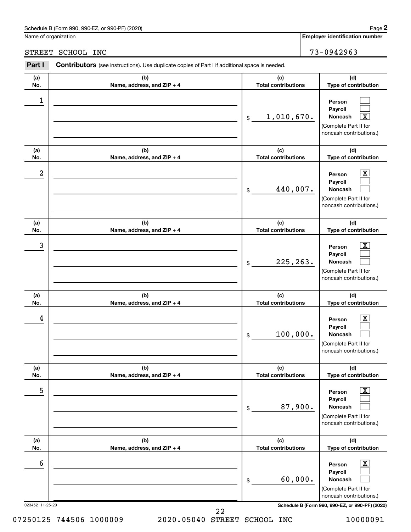Name of organization

# STREET SCHOOL INC 73-0942963

| Part I           | Contributors (see instructions). Use duplicate copies of Part I if additional space is needed. |                                   |                                                                                                                  |
|------------------|------------------------------------------------------------------------------------------------|-----------------------------------|------------------------------------------------------------------------------------------------------------------|
| (a)<br>No.       | (b)<br>Name, address, and ZIP + 4                                                              | (c)<br><b>Total contributions</b> | (d)<br>Type of contribution                                                                                      |
| $\mathbf 1$      |                                                                                                | 1,010,670.<br>$$\mathbb{S}$$      | Person<br>Payroll<br>$\overline{\texttt{x}}$<br>Noncash<br>(Complete Part II for<br>noncash contributions.)      |
| (a)<br>No.       | (b)<br>Name, address, and ZIP + 4                                                              | (c)<br><b>Total contributions</b> | (d)<br>Type of contribution                                                                                      |
| $\boldsymbol{2}$ |                                                                                                | 440,007.<br>\$                    | $\overline{\text{X}}$<br>Person<br>Payroll<br>Noncash<br>(Complete Part II for<br>noncash contributions.)        |
| (a)<br>No.       | (b)<br>Name, address, and ZIP + 4                                                              | (c)<br><b>Total contributions</b> | (d)<br>Type of contribution                                                                                      |
| 3                |                                                                                                | 225, 263.<br>\$                   | $\overline{\text{X}}$<br>Person<br>Payroll<br>Noncash<br>(Complete Part II for<br>noncash contributions.)        |
| (a)<br>No.       | (b)<br>Name, address, and ZIP + 4                                                              | (c)<br><b>Total contributions</b> | (d)<br>Type of contribution                                                                                      |
| 4                |                                                                                                | 100,000.<br>\$                    | х<br>Person<br>Payroll<br>Noncash<br>(Complete Part II for<br>noncash contributions.)                            |
| (a)<br>No.       | (b)<br>Name, address, and ZIP + 4                                                              | (c)<br><b>Total contributions</b> | (d)<br>Type of contribution                                                                                      |
| 5                |                                                                                                | 87,900.<br>\$                     | $\overline{\text{X}}$<br>Person<br>Payroll<br>Noncash<br>(Complete Part II for<br>noncash contributions.)        |
| (a)<br>No.       | (b)<br>Name, address, and ZIP + 4                                                              | (c)<br><b>Total contributions</b> | (d)<br>Type of contribution                                                                                      |
| 6                |                                                                                                | 60,000.<br>\$                     | $\overline{\text{X}}$<br>Person<br>Payroll<br><b>Noncash</b><br>(Complete Part II for<br>noncash contributions.) |

023452 11-25-20 **Schedule B (Form 990, 990-EZ, or 990-PF) (2020)**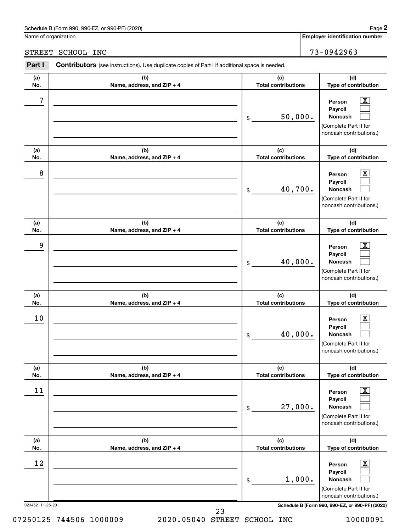Name of organization

**Employer identification number**

STREET SCHOOL INC 73-0942963

| Part I          | Contributors (see instructions). Use duplicate copies of Part I if additional space is needed. |                                   |                                                                                                                  |
|-----------------|------------------------------------------------------------------------------------------------|-----------------------------------|------------------------------------------------------------------------------------------------------------------|
| (a)<br>No.      | (b)<br>Name, address, and ZIP + 4                                                              | (c)<br><b>Total contributions</b> | (d)<br>Type of contribution                                                                                      |
| 7               |                                                                                                | 50,000.<br>\$                     | $\overline{\text{X}}$<br>Person<br>Payroll<br><b>Noncash</b><br>(Complete Part II for<br>noncash contributions.) |
| (a)<br>No.      | (b)<br>Name, address, and ZIP + 4                                                              | (c)<br><b>Total contributions</b> | (d)<br>Type of contribution                                                                                      |
| 8               |                                                                                                | 40,700.<br>\$                     | x<br>Person<br>Payroll<br><b>Noncash</b><br>(Complete Part II for<br>noncash contributions.)                     |
| (a)<br>No.      | (b)<br>Name, address, and ZIP + 4                                                              | (c)<br><b>Total contributions</b> | (d)<br>Type of contribution                                                                                      |
| 9               |                                                                                                | 40,000.<br>\$                     | $\overline{\text{X}}$<br>Person<br>Payroll<br><b>Noncash</b><br>(Complete Part II for<br>noncash contributions.) |
| (a)<br>No.      | (b)<br>Name, address, and ZIP + 4                                                              | (c)<br><b>Total contributions</b> | (d)<br>Type of contribution                                                                                      |
| 10              |                                                                                                | 40,000.<br>\$                     | x<br>Person<br>Payroll<br><b>Noncash</b><br>(Complete Part II for<br>noncash contributions.)                     |
| (a)<br>No.      | (b)<br>Name, address, and ZIP + 4                                                              | (c)<br><b>Total contributions</b> | (d)<br>Type of contribution                                                                                      |
| 11              |                                                                                                | 27,000.<br>\$                     | $\overline{\text{X}}$<br>Person<br>Payroll<br><b>Noncash</b><br>(Complete Part II for<br>noncash contributions.) |
| (a)<br>No.      | (b)<br>Name, address, and ZIP + 4                                                              | (c)<br><b>Total contributions</b> | (d)<br>Type of contribution                                                                                      |
| 12              |                                                                                                | 1,000.<br>\$                      | x<br>Person<br>Payroll<br><b>Noncash</b><br>(Complete Part II for<br>noncash contributions.)                     |
| 023452 11-25-20 |                                                                                                |                                   | Schedule B (Form 990, 990-EZ, or 990-PF) (2020                                                                   |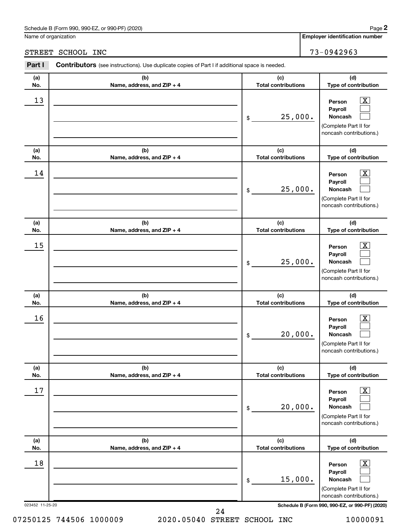Name of organization

**(a) No.**

**Part I** 

**(a) No.**

# STREET SCHOOL INC 73-0942963

| ırt I          | <b>Contributors</b> (see instructions). Use duplicate copies of Part I if additional space is needed. |                            |                                                                                                |
|----------------|-------------------------------------------------------------------------------------------------------|----------------------------|------------------------------------------------------------------------------------------------|
| (a)            | (b)                                                                                                   | (c)                        | (d)                                                                                            |
| ١o.            | Name, address, and ZIP + 4                                                                            | <b>Total contributions</b> | <b>Type of contribution</b>                                                                    |
| $\frac{13}{1}$ |                                                                                                       | 25,000.<br>\$              | <u>x</u><br>Person<br>Payroll<br><b>Noncash</b>                                                |
|                |                                                                                                       |                            | (Complete Part II for<br>noncash contributions.)                                               |
| (a)            | (b)                                                                                                   | (c)                        | (d)                                                                                            |
| ١o.            | Name, address, and ZIP + 4                                                                            | <b>Total contributions</b> | <b>Type of contribution</b>                                                                    |
| 14             |                                                                                                       | 25,000.<br>\$              | Person<br><b>Payroll</b><br><b>Noncash</b><br>(Complete Part II for<br>noncash contributions.) |

|                 |                                   |                                   | Complete Fart in for<br>noncash contributions.)                                                             |
|-----------------|-----------------------------------|-----------------------------------|-------------------------------------------------------------------------------------------------------------|
| (a)<br>No.      | (b)<br>Name, address, and ZIP + 4 | (c)<br><b>Total contributions</b> | (d)<br>Type of contribution                                                                                 |
| 15              |                                   | 25,000.<br>$$\mathbb{S}$$         | $\overline{\text{X}}$<br>Person<br>Payroll<br>Noncash<br>(Complete Part II for<br>noncash contributions.)   |
| (a)<br>No.      | (b)<br>Name, address, and ZIP + 4 | (c)<br><b>Total contributions</b> | (d)<br>Type of contribution                                                                                 |
| 16              |                                   | 20,000.<br>\$                     | $\overline{\textbf{X}}$<br>Person<br>Payroll<br>Noncash<br>(Complete Part II for<br>noncash contributions.) |
| (a)<br>No.      | (b)<br>Name, address, and ZIP + 4 | (c)<br><b>Total contributions</b> | (d)<br>Type of contribution                                                                                 |
| 17              |                                   | 20,000.<br>\$                     | $\boxed{\textbf{X}}$<br>Person<br>Payroll<br>Noncash<br>(Complete Part II for<br>noncash contributions.)    |
| (a)<br>No.      | (b)<br>Name, address, and ZIP + 4 | (c)<br><b>Total contributions</b> | (d)<br>Type of contribution                                                                                 |
| 18              |                                   | 15,000.<br>\$                     | $\overline{\mathbf{X}}$<br>Person<br>Payroll<br>Noncash<br>(Complete Part II for<br>noncash contributions.) |
| 023452 11-25-20 | 24                                |                                   | Schedule B (Form 990, 990-EZ, or 990-PF) (2020)                                                             |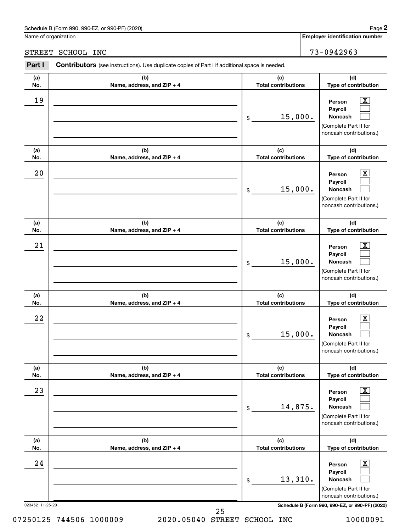Name of organization

STREET SCHOOL INC 73-0942963 **Part I** Contributors (see instructions). Use duplicate copies of Part I if additional space is needed. Τ **(c)** Τ **(d) Total contributions**

| (a)<br>No.            | (b)<br>Name, address, and ZIP + 4 | (c)<br><b>Total contributions</b> | (d)<br>Type of contribution                                                                                                                               |
|-----------------------|-----------------------------------|-----------------------------------|-----------------------------------------------------------------------------------------------------------------------------------------------------------|
| 19                    |                                   | 15,000.<br>$\$$                   | $\boxed{\textbf{X}}$<br>Person<br>Payroll<br>Noncash<br>(Complete Part II for<br>noncash contributions.)                                                  |
| (a)<br>No.            | (b)<br>Name, address, and ZIP + 4 | (c)<br><b>Total contributions</b> | (d)<br>Type of contribution                                                                                                                               |
| 20                    |                                   | 15,000.<br>$\$$                   | $\boxed{\textbf{X}}$<br>Person<br>Payroll<br><b>Noncash</b><br>(Complete Part II for<br>noncash contributions.)                                           |
| (a)<br>No.            | (b)<br>Name, address, and ZIP + 4 | (c)<br><b>Total contributions</b> | (d)<br>Type of contribution                                                                                                                               |
| 21                    |                                   | 15,000.<br>$\mathfrak{S}$         | $\overline{\mathbf{X}}$<br>Person<br>Payroll<br><b>Noncash</b><br>(Complete Part II for<br>noncash contributions.)                                        |
| (a)<br>No.            | (b)<br>Name, address, and ZIP + 4 | (c)<br><b>Total contributions</b> | (d)<br>Type of contribution                                                                                                                               |
| 22                    |                                   | 15,000.<br>$\frac{1}{2}$          | $\overline{\mathbf{X}}$<br>Person<br>Payroll<br><b>Noncash</b><br>(Complete Part II for<br>noncash contributions.)                                        |
| (a)<br>No.            | (b)<br>Name, address, and ZIP + 4 | (c)<br><b>Total contributions</b> | (d)<br>Type of contribution                                                                                                                               |
| 23                    |                                   | 14,875.<br>\$                     | $\boxed{\text{X}}$<br>Person<br>Payroll<br>Noncash<br>(Complete Part II for<br>noncash contributions.)                                                    |
| (a)<br>No.            | (b)<br>Name, address, and ZIP + 4 | (c)<br><b>Total contributions</b> | (d)<br>Type of contribution                                                                                                                               |
| 24<br>023452 11-25-20 |                                   | 13,310.<br>$\$$                   | $\boxed{\text{X}}$<br>Person<br>Payroll<br>Noncash<br>(Complete Part II for<br>noncash contributions.)<br>Schedule B (Form 990, 990-EZ, or 990-PF) (2020) |
|                       | 25                                |                                   |                                                                                                                                                           |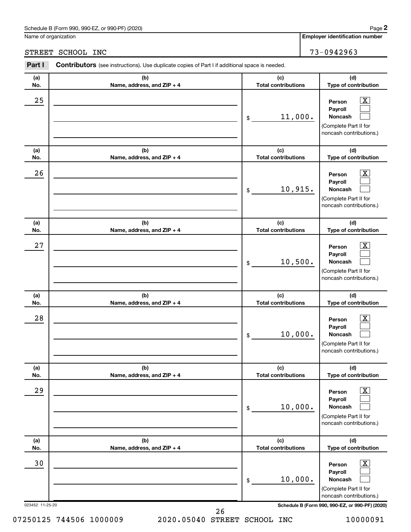Name of organization

# STREET SCHOOL INC<br>
73-0942963

| Part I                | <b>Contributors</b> (see instructions). Use duplicate copies of Part I if additional space is needed. |                                   |                                                                                                                                                             |
|-----------------------|-------------------------------------------------------------------------------------------------------|-----------------------------------|-------------------------------------------------------------------------------------------------------------------------------------------------------------|
| (a)<br>No.            | (b)<br>Name, address, and ZIP + 4                                                                     | (c)<br><b>Total contributions</b> | (d)<br>Type of contribution                                                                                                                                 |
| 25                    |                                                                                                       | 11,000.<br>\$                     | $\boxed{\text{X}}$<br>Person<br>Payroll<br>Noncash<br>(Complete Part II for<br>noncash contributions.)                                                      |
| (a)<br>No.            | (b)<br>Name, address, and ZIP + 4                                                                     | (c)<br><b>Total contributions</b> | (d)<br>Type of contribution                                                                                                                                 |
| 26                    |                                                                                                       | 10,915.<br>\$                     | $\boxed{\textbf{X}}$<br>Person<br>Payroll<br>Noncash<br>(Complete Part II for<br>noncash contributions.)                                                    |
| (a)<br>No.            | (b)<br>Name, address, and ZIP + 4                                                                     | (c)<br><b>Total contributions</b> | (d)<br>Type of contribution                                                                                                                                 |
| 27                    |                                                                                                       | 10,500.<br>\$                     | $\boxed{\text{X}}$<br>Person<br>Payroll<br>Noncash<br>(Complete Part II for<br>noncash contributions.)                                                      |
| (a)<br>No.            | (b)<br>Name, address, and ZIP + 4                                                                     | (c)<br><b>Total contributions</b> | (d)<br>Type of contribution                                                                                                                                 |
| 28                    |                                                                                                       | 10,000.<br>\$                     | $\boxed{\textbf{X}}$<br>Person<br>Payroll<br>Noncash<br>(Complete Part II for<br>noncash contributions.)                                                    |
| (a)<br>No.            | (b)<br>Name, address, and ZIP + 4                                                                     | (c)<br><b>Total contributions</b> | (d)<br>Type of contribution                                                                                                                                 |
| 29                    |                                                                                                       | 10,000.<br>\$                     | $\boxed{\text{X}}$<br>Person<br>Payroll<br>Noncash<br>(Complete Part II for<br>noncash contributions.)                                                      |
| (a)<br>No.            | (b)<br>Name, address, and ZIP + 4                                                                     | (c)<br><b>Total contributions</b> | (d)<br>Type of contribution                                                                                                                                 |
| 30<br>023452 11-25-20 |                                                                                                       | 10,000.<br>\$                     | $\boxed{\textbf{X}}$<br>Person<br>Payroll<br>Noncash<br>(Complete Part II for<br>noncash contributions.)<br>Schedule B (Form 990, 990-EZ, or 990-PF) (2020) |
|                       | 26                                                                                                    |                                   |                                                                                                                                                             |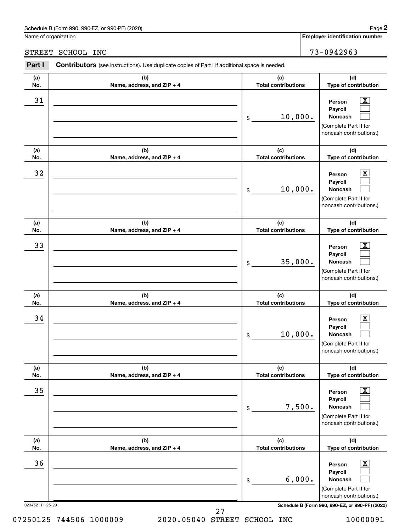Name of organization

# STREET SCHOOL INC 73-0942963

**Part I** Contributors (see instructions). Use duplicate copies of Part I if additional space is needed. Т Τ **(c) (d) Total contributions**

| (a)<br>No.            | (b)<br>Name, address, and ZIP + 4 | (c)<br><b>Total contributions</b> | (d)<br>Type of contribution                                                                                                                               |  |  |  |
|-----------------------|-----------------------------------|-----------------------------------|-----------------------------------------------------------------------------------------------------------------------------------------------------------|--|--|--|
| 31                    |                                   | 10,000.<br>\$                     | $\overline{\mathbf{x}}$<br>Person<br>Payroll<br>Noncash<br>(Complete Part II for<br>noncash contributions.)                                               |  |  |  |
| (a)<br>No.            | (b)<br>Name, address, and ZIP + 4 | (c)<br><b>Total contributions</b> | (d)<br>Type of contribution                                                                                                                               |  |  |  |
| 32                    |                                   | 10,000.<br>\$                     | $\overline{\mathbf{X}}$<br>Person<br>Payroll<br>Noncash<br>(Complete Part II for<br>noncash contributions.)                                               |  |  |  |
| (a)<br>No.            | (b)<br>Name, address, and ZIP + 4 | (c)<br><b>Total contributions</b> | (d)<br>Type of contribution                                                                                                                               |  |  |  |
| 33                    |                                   | 35,000.<br>\$                     | $\overline{\mathbf{X}}$<br>Person<br>Payroll<br>Noncash<br>(Complete Part II for<br>noncash contributions.)                                               |  |  |  |
| (a)<br>No.            | (b)<br>Name, address, and ZIP + 4 | (c)<br><b>Total contributions</b> | (d)<br>Type of contribution                                                                                                                               |  |  |  |
| 34                    |                                   | 10,000.<br>\$                     | $\overline{\text{X}}$<br>Person<br>Payroll<br>Noncash<br>(Complete Part II for<br>noncash contributions.)                                                 |  |  |  |
| (a)<br>No.            | (b)<br>Name, address, and ZIP + 4 | (c)<br><b>Total contributions</b> | (d)<br>Type of contribution                                                                                                                               |  |  |  |
| 35                    |                                   | 7,500.<br>\$                      | $\overline{\mathbf{X}}$<br>Person<br>Payroll<br>Noncash<br>(Complete Part II for<br>noncash contributions.)                                               |  |  |  |
| (a)<br>No.            | (b)<br>Name, address, and ZIP + 4 | (c)<br><b>Total contributions</b> | (d)<br>Type of contribution                                                                                                                               |  |  |  |
| 36<br>023452 11-25-20 |                                   | 6,000.<br>\$                      | $\boxed{\text{X}}$<br>Person<br>Payroll<br>Noncash<br>(Complete Part II for<br>noncash contributions.)<br>Schedule B (Form 990, 990-EZ, or 990-PF) (2020) |  |  |  |
|                       | 27                                |                                   |                                                                                                                                                           |  |  |  |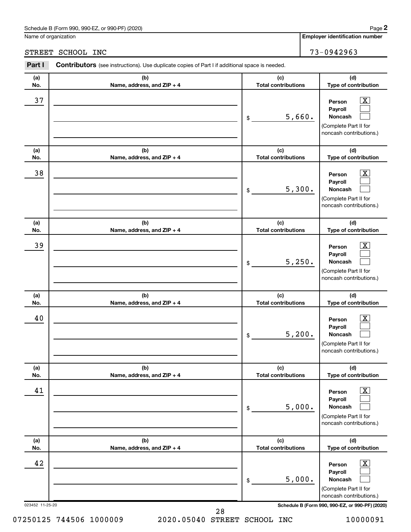Name of organization

# STREET SCHOOL INC 73-0942963

| Part I          | Contributors (see instructions). Use duplicate copies of Part I if additional space is needed. |                                   |                                                                                                                    |  |  |  |  |
|-----------------|------------------------------------------------------------------------------------------------|-----------------------------------|--------------------------------------------------------------------------------------------------------------------|--|--|--|--|
| (a)             | (b)                                                                                            | (c)                               | (d)                                                                                                                |  |  |  |  |
| No.             | Name, address, and ZIP + 4                                                                     | <b>Total contributions</b>        | Type of contribution                                                                                               |  |  |  |  |
| 37              |                                                                                                | 5,660.<br>\$                      | $\overline{\mathbf{X}}$<br>Person<br>Payroll<br><b>Noncash</b><br>(Complete Part II for<br>noncash contributions.) |  |  |  |  |
| (a)             | (b)                                                                                            | (c)                               | (d)                                                                                                                |  |  |  |  |
| No.             | Name, address, and ZIP + 4                                                                     | <b>Total contributions</b>        | Type of contribution                                                                                               |  |  |  |  |
| 38              |                                                                                                | 5,300.<br>\$                      | $\overline{\text{X}}$<br>Person<br>Payroll<br>Noncash<br>(Complete Part II for<br>noncash contributions.)          |  |  |  |  |
| (a)<br>No.      | (b)<br>Name, address, and ZIP + 4                                                              | (c)<br><b>Total contributions</b> | (d)<br>Type of contribution                                                                                        |  |  |  |  |
| 39              |                                                                                                | 5,250.<br>\$                      | $\overline{\mathbf{X}}$<br>Person<br>Payroll<br>Noncash<br>(Complete Part II for<br>noncash contributions.)        |  |  |  |  |
| (a)<br>No.      | (b)<br>Name, address, and ZIP + 4                                                              | (c)<br><b>Total contributions</b> | (d)<br>Type of contribution                                                                                        |  |  |  |  |
| 40              |                                                                                                | 5,200.<br>\$                      | $\overline{\text{X}}$<br>Person<br>Payroll<br>Noncash<br>(Complete Part II for<br>noncash contributions.)          |  |  |  |  |
| (a)<br>No.      | (b)<br>Name, address, and ZIP + 4                                                              | (c)<br><b>Total contributions</b> | (d)<br>Type of contribution                                                                                        |  |  |  |  |
| 41              |                                                                                                | 5,000.<br>\$                      | $\overline{\textbf{x}}$<br>Person<br>Payroll<br>Noncash<br>(Complete Part II for<br>noncash contributions.)        |  |  |  |  |
| (a)<br>No.      | (b)<br>Name, address, and ZIP + 4                                                              | (c)<br><b>Total contributions</b> | (d)<br>Type of contribution                                                                                        |  |  |  |  |
| 42              |                                                                                                | 5,000.<br>\$                      | $\overline{\textbf{x}}$<br>Person<br>Payroll<br>Noncash<br>(Complete Part II for<br>noncash contributions.)        |  |  |  |  |
| 023452 11-25-20 |                                                                                                |                                   | Schedule B (Form 990, 990-EZ, or 990-PF) (2020)                                                                    |  |  |  |  |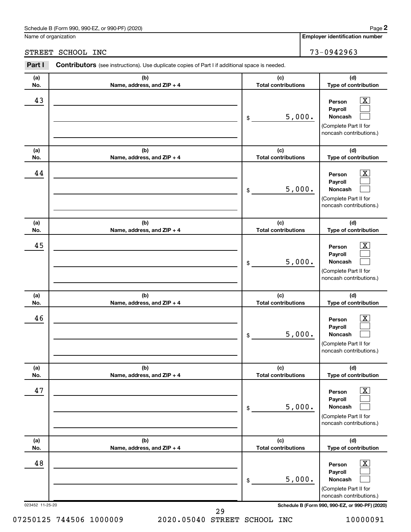Name of organization

| STREET | SCHOOL INC                                                                                            |                            | 73-0942963                                                                                                         |
|--------|-------------------------------------------------------------------------------------------------------|----------------------------|--------------------------------------------------------------------------------------------------------------------|
| Part I | <b>Contributors</b> (see instructions). Use duplicate copies of Part I if additional space is needed. |                            |                                                                                                                    |
| (a)    | (b)                                                                                                   | (c)                        | (d)                                                                                                                |
| No.    | Name, address, and ZIP + 4                                                                            | <b>Total contributions</b> | Type of contribution                                                                                               |
| 43     |                                                                                                       | 5,000.<br>\$               | $\overline{\textbf{X}}$<br>Person<br>Payroll<br><b>Noncash</b><br>(Complete Part II for<br>noncash contributions.) |
| (a)    | (b)                                                                                                   | (c)                        | (d)                                                                                                                |
| No.    | Name, address, and ZIP + 4                                                                            | <b>Total contributions</b> | Type of contribution                                                                                               |
| 44     |                                                                                                       | 5,000.<br>\$               | $\overline{\mathbf{X}}$<br>Person<br>Payroll<br><b>Noncash</b><br>(Complete Part II for<br>noncash contributions.) |
| (a)    | (b)                                                                                                   | (c)                        | (d)                                                                                                                |
| No.    | Name, address, and ZIP + 4                                                                            | <b>Total contributions</b> | Type of contribution                                                                                               |
| 45     |                                                                                                       |                            | $\mathbf{X}$<br>Person                                                                                             |

| No.             | Name, address, and ZIP + 4        | <b>Total contributions</b>        | Type of contribution                                                                                               |
|-----------------|-----------------------------------|-----------------------------------|--------------------------------------------------------------------------------------------------------------------|
| 45              |                                   | 5,000.<br>\$                      | $\overline{\mathbf{X}}$<br>Person<br>Payroll<br>Noncash<br>(Complete Part II for<br>noncash contributions.)        |
| (a)<br>No.      | (b)<br>Name, address, and ZIP + 4 | (c)<br><b>Total contributions</b> | (d)<br>Type of contribution                                                                                        |
| 46              |                                   | 5,000.<br>\$                      | $\overline{\mathbf{x}}$<br>Person<br>Payroll<br>Noncash<br>(Complete Part II for<br>noncash contributions.)        |
| (a)<br>No.      | (b)<br>Name, address, and ZIP + 4 | (c)<br><b>Total contributions</b> | (d)<br>Type of contribution                                                                                        |
| 47              |                                   | 5,000.<br>\$                      | $\overline{\mathbf{x}}$<br>Person<br>Payroll<br>Noncash<br>(Complete Part II for<br>noncash contributions.)        |
| (a)<br>No.      | (b)<br>Name, address, and ZIP + 4 | (c)<br><b>Total contributions</b> | (d)<br>Type of contribution                                                                                        |
| 48              |                                   | 5,000.<br>\$                      | $\overline{\mathbf{X}}$<br>Person<br>Payroll<br><b>Noncash</b><br>(Complete Part II for<br>noncash contributions.) |
| 023452 11-25-20 | 29                                |                                   | Schedule B (Form 990, 990-EZ, or 990-PF) (2020)                                                                    |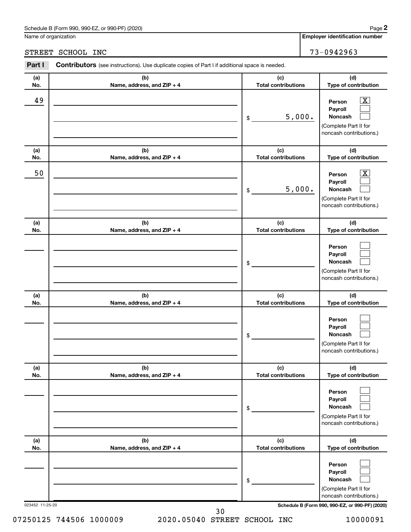Name of organization

# STREET SCHOOL INC 73-0942963

| Part I          | Contributors (see instructions). Use duplicate copies of Part I if additional space is needed. |                                   |                                                                                                                                     |
|-----------------|------------------------------------------------------------------------------------------------|-----------------------------------|-------------------------------------------------------------------------------------------------------------------------------------|
| (a)<br>No.      | (b)<br>Name, address, and ZIP + 4                                                              | (c)<br><b>Total contributions</b> | (d)<br>Type of contribution                                                                                                         |
| 49              |                                                                                                | 5,000.<br>\$                      | $\overline{\mathbf{X}}$<br>Person<br>Payroll<br>Noncash<br>(Complete Part II for<br>noncash contributions.)                         |
| (a)<br>No.      | (b)<br>Name, address, and ZIP + 4                                                              | (c)<br><b>Total contributions</b> | (d)<br>Type of contribution                                                                                                         |
| 50              |                                                                                                | 5,000.<br>\$                      | X.<br>Person<br>Payroll<br>Noncash<br>(Complete Part II for<br>noncash contributions.)                                              |
| (a)<br>No.      | (b)<br>Name, address, and ZIP + 4                                                              | (c)<br><b>Total contributions</b> | (d)<br>Type of contribution                                                                                                         |
|                 |                                                                                                | \$                                | Person<br>Payroll<br>Noncash<br>(Complete Part II for<br>noncash contributions.)                                                    |
| (a)<br>No.      | (b)<br>Name, address, and ZIP + 4                                                              | (c)<br><b>Total contributions</b> | (d)<br>Type of contribution                                                                                                         |
|                 |                                                                                                | \$                                | Person<br>Payroll<br>Noncash<br>(Complete Part II for<br>noncash contributions.)                                                    |
| (a)<br>No.      | (b)<br>Name, address, and ZIP + 4                                                              | (c)<br><b>Total contributions</b> | (d)<br>Type of contribution                                                                                                         |
|                 |                                                                                                | \$                                | Person<br>Payroll<br>Noncash<br>(Complete Part II for<br>noncash contributions.)                                                    |
| (a)<br>No.      | (b)<br>Name, address, and ZIP + 4                                                              | (c)<br><b>Total contributions</b> | (d)<br>Type of contribution                                                                                                         |
| 023452 11-25-20 |                                                                                                | \$                                | Person<br>Payroll<br>Noncash<br>(Complete Part II for<br>noncash contributions.)<br>Schedule B (Form 990, 990-EZ, or 990-PF) (2020) |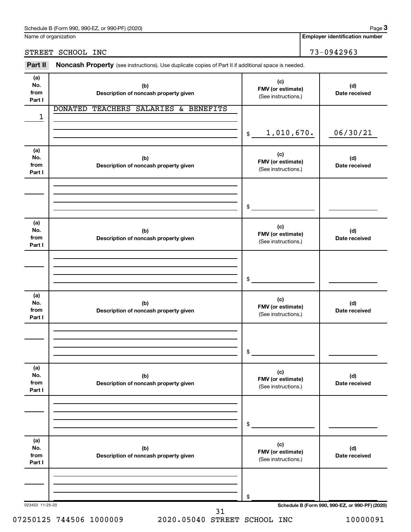Name of organization

# STREET SCHOOL INC 73-0942963

**Employer identification number**

| (a)<br>No.<br>from<br>Part I | (b)<br>Description of noncash property given   | (c)<br>FMV (or estimate)<br>(See instructions.) | (d)<br>Date received                            |  |
|------------------------------|------------------------------------------------|-------------------------------------------------|-------------------------------------------------|--|
| 1                            | TEACHERS SALARIES & BENEFITS<br><b>DONATED</b> |                                                 |                                                 |  |
|                              |                                                | 1,010,670.<br>$$\mathbb{S}$$                    | 06/30/21                                        |  |
| (a)<br>No.<br>from<br>Part I | (b)<br>Description of noncash property given   | (c)<br>FMV (or estimate)<br>(See instructions.) | (d)<br>Date received                            |  |
|                              |                                                | \$                                              |                                                 |  |
| (a)<br>No.<br>from<br>Part I | (b)<br>Description of noncash property given   | (c)<br>FMV (or estimate)<br>(See instructions.) | (d)<br>Date received                            |  |
|                              |                                                | \$                                              |                                                 |  |
| (a)<br>No.<br>from<br>Part I | (b)<br>Description of noncash property given   | (c)<br>FMV (or estimate)<br>(See instructions.) | (d)<br>Date received                            |  |
|                              |                                                | \$                                              |                                                 |  |
| (a)<br>No.<br>from<br>Part I | (b)<br>Description of noncash property given   | (c)<br>FMV (or estimate)<br>(See instructions.) | (d)<br>Date received                            |  |
|                              |                                                | \$                                              |                                                 |  |
| (a)<br>No.<br>from<br>Part I | (b)<br>Description of noncash property given   | (c)<br>FMV (or estimate)<br>(See instructions.) | (d)<br>Date received                            |  |
|                              |                                                | \$                                              |                                                 |  |
| 023453 11-25-20              |                                                |                                                 | Schedule B (Form 990, 990-EZ, or 990-PF) (2020) |  |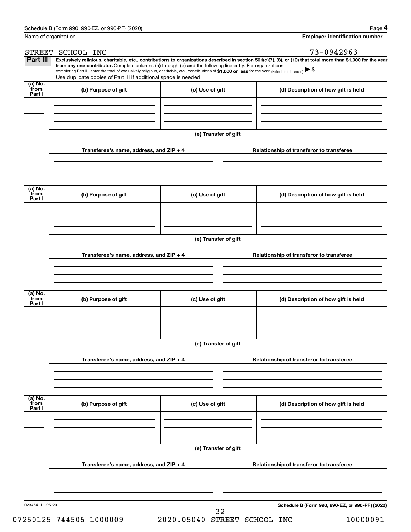| Name of organization      |                                                                                                                                                                                                                                                                                                                                                                                                                                                                                                             |                      | <b>Employer identification number</b>           |
|---------------------------|-------------------------------------------------------------------------------------------------------------------------------------------------------------------------------------------------------------------------------------------------------------------------------------------------------------------------------------------------------------------------------------------------------------------------------------------------------------------------------------------------------------|----------------------|-------------------------------------------------|
|                           | STREET SCHOOL INC                                                                                                                                                                                                                                                                                                                                                                                                                                                                                           |                      | 73-0942963                                      |
| Part III                  | Exclusively religious, charitable, etc., contributions to organizations described in section 501(c)(7), (8), or (10) that total more than \$1,000 for the year<br>from any one contributor. Complete columns (a) through (e) and the following line entry. For organizations<br>completing Part III, enter the total of exclusively religious, charitable, etc., contributions of \$1,000 or less for the year. (Enter this info. once.)<br>Use duplicate copies of Part III if additional space is needed. |                      |                                                 |
| (a) No.                   |                                                                                                                                                                                                                                                                                                                                                                                                                                                                                                             |                      |                                                 |
| from<br>Part I            | (b) Purpose of gift                                                                                                                                                                                                                                                                                                                                                                                                                                                                                         | (c) Use of gift      | (d) Description of how gift is held             |
|                           |                                                                                                                                                                                                                                                                                                                                                                                                                                                                                                             | (e) Transfer of gift |                                                 |
|                           | Transferee's name, address, and ZIP + 4                                                                                                                                                                                                                                                                                                                                                                                                                                                                     |                      | Relationship of transferor to transferee        |
| (a) No.<br>from           | (b) Purpose of gift                                                                                                                                                                                                                                                                                                                                                                                                                                                                                         | (c) Use of gift      | (d) Description of how gift is held             |
| Part I                    |                                                                                                                                                                                                                                                                                                                                                                                                                                                                                                             |                      |                                                 |
|                           |                                                                                                                                                                                                                                                                                                                                                                                                                                                                                                             | (e) Transfer of gift |                                                 |
|                           | Transferee's name, address, and $ZIP + 4$                                                                                                                                                                                                                                                                                                                                                                                                                                                                   |                      | Relationship of transferor to transferee        |
|                           |                                                                                                                                                                                                                                                                                                                                                                                                                                                                                                             |                      |                                                 |
| (a) No.<br>from<br>Part I | (b) Purpose of gift                                                                                                                                                                                                                                                                                                                                                                                                                                                                                         | (c) Use of gift      | (d) Description of how gift is held             |
|                           |                                                                                                                                                                                                                                                                                                                                                                                                                                                                                                             |                      |                                                 |
|                           | Transferee's name, address, and $ZIP + 4$                                                                                                                                                                                                                                                                                                                                                                                                                                                                   | (e) Transfer of gift | Relationship of transferor to transferee        |
|                           |                                                                                                                                                                                                                                                                                                                                                                                                                                                                                                             |                      |                                                 |
| (a) No.<br>from<br>Part I | (b) Purpose of gift                                                                                                                                                                                                                                                                                                                                                                                                                                                                                         | (c) Use of gift      | (d) Description of how gift is held             |
|                           |                                                                                                                                                                                                                                                                                                                                                                                                                                                                                                             |                      |                                                 |
|                           |                                                                                                                                                                                                                                                                                                                                                                                                                                                                                                             | (e) Transfer of gift |                                                 |
|                           | Transferee's name, address, and $ZIP + 4$                                                                                                                                                                                                                                                                                                                                                                                                                                                                   |                      | Relationship of transferor to transferee        |
|                           |                                                                                                                                                                                                                                                                                                                                                                                                                                                                                                             |                      |                                                 |
| 023454 11-25-20           |                                                                                                                                                                                                                                                                                                                                                                                                                                                                                                             | 32                   | Schedule B (Form 990, 990-EZ, or 990-PF) (2020) |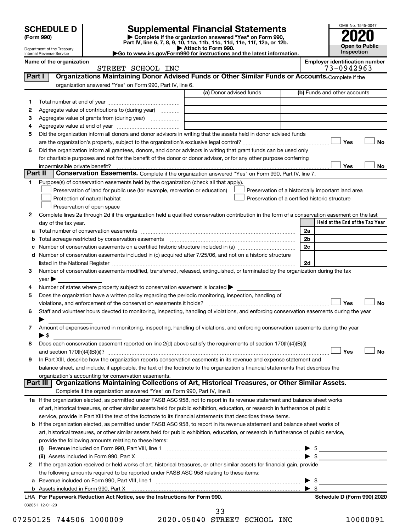| <b>SCHEDULE D</b> |  |
|-------------------|--|
|-------------------|--|

| (Form 990) |
|------------|
|------------|

# **SCHEDULE D Supplemental Financial Statements**<br> **Form 990 2020**<br> **Part IV** line 6.7.8.9.10, 11a, 11b, 11d, 11d, 11d, 11d, 11d, 12a, 0r, 12b

**(Form 990) | Complete if the organization answered "Yes" on Form 990, Part IV, line 6, 7, 8, 9, 10, 11a, 11b, 11c, 11d, 11e, 11f, 12a, or 12b.**

**| Attach to Form 990. |Go to www.irs.gov/Form990 for instructions and the latest information.**



Department of the Treasury Internal Revenue Service **Name of the organization <b>Employer is a set of the organization Employer in the organization Employer is a set of the organization Employer in the organization Employer is a set of the organization Employer in t** 

|  |  | ployer identification number                                                                                                                                                                                                                                                                                                                                                         |  |  |
|--|--|--------------------------------------------------------------------------------------------------------------------------------------------------------------------------------------------------------------------------------------------------------------------------------------------------------------------------------------------------------------------------------------|--|--|
|  |  | $\overline{z}$ $\overline{z}$ $\overline{z}$ $\overline{z}$ $\overline{z}$ $\overline{z}$ $\overline{z}$ $\overline{z}$ $\overline{z}$ $\overline{z}$ $\overline{z}$ $\overline{z}$ $\overline{z}$ $\overline{z}$ $\overline{z}$ $\overline{z}$ $\overline{z}$ $\overline{z}$ $\overline{z}$ $\overline{z}$ $\overline{z}$ $\overline{z}$ $\overline{z}$ $\overline{z}$ $\overline{$ |  |  |

|         | STREET SCHOOL INC                                                                                                                                                 |                                                | 73-0942963                                         |
|---------|-------------------------------------------------------------------------------------------------------------------------------------------------------------------|------------------------------------------------|----------------------------------------------------|
| Part I  | Organizations Maintaining Donor Advised Funds or Other Similar Funds or Accounts. Complete if the                                                                 |                                                |                                                    |
|         | organization answered "Yes" on Form 990, Part IV, line 6.                                                                                                         |                                                |                                                    |
|         | (a) Donor advised funds                                                                                                                                           |                                                | (b) Funds and other accounts                       |
| 1.      |                                                                                                                                                                   |                                                |                                                    |
| 2       | Aggregate value of contributions to (during year)                                                                                                                 |                                                |                                                    |
| з       | Aggregate value of grants from (during year)                                                                                                                      |                                                |                                                    |
| 4       |                                                                                                                                                                   |                                                |                                                    |
| 5       | Did the organization inform all donors and donor advisors in writing that the assets held in donor advised funds                                                  |                                                |                                                    |
|         |                                                                                                                                                                   |                                                | Yes<br>No                                          |
| 6       | Did the organization inform all grantees, donors, and donor advisors in writing that grant funds can be used only                                                 |                                                |                                                    |
|         | for charitable purposes and not for the benefit of the donor or donor advisor, or for any other purpose conferring                                                |                                                |                                                    |
|         | impermissible private benefit?                                                                                                                                    |                                                | Yes<br>No                                          |
| Part II | Conservation Easements. Complete if the organization answered "Yes" on Form 990, Part IV, line 7.                                                                 |                                                |                                                    |
| 1.      | Purpose(s) of conservation easements held by the organization (check all that apply).                                                                             |                                                |                                                    |
|         | Preservation of land for public use (for example, recreation or education)                                                                                        |                                                |                                                    |
|         | Protection of natural habitat                                                                                                                                     | Preservation of a certified historic structure | Preservation of a historically important land area |
|         | Preservation of open space                                                                                                                                        |                                                |                                                    |
|         |                                                                                                                                                                   |                                                |                                                    |
| 2       | Complete lines 2a through 2d if the organization held a qualified conservation contribution in the form of a conservation easement on the last                    |                                                | Held at the End of the Tax Year                    |
|         | day of the tax year.                                                                                                                                              |                                                |                                                    |
| а       |                                                                                                                                                                   |                                                | 2a                                                 |
|         | Total acreage restricted by conservation easements [11] [11] Total acreage restricted by conservation easements                                                   |                                                | 2b                                                 |
|         |                                                                                                                                                                   |                                                | 2c                                                 |
| d       | Number of conservation easements included in (c) acquired after 7/25/06, and not on a historic structure                                                          |                                                |                                                    |
|         |                                                                                                                                                                   |                                                | 2d                                                 |
| 3       | Number of conservation easements modified, transferred, released, extinguished, or terminated by the organization during the tax                                  |                                                |                                                    |
|         | year                                                                                                                                                              |                                                |                                                    |
| 4       | Number of states where property subject to conservation easement is located >                                                                                     |                                                |                                                    |
| 5       | Does the organization have a written policy regarding the periodic monitoring, inspection, handling of                                                            |                                                |                                                    |
|         | violations, and enforcement of the conservation easements it holds?                                                                                               |                                                | Yes<br>No                                          |
| 6       | Staff and volunteer hours devoted to monitoring, inspecting, handling of violations, and enforcing conservation easements during the year                         |                                                |                                                    |
|         |                                                                                                                                                                   |                                                |                                                    |
| 7       | Amount of expenses incurred in monitoring, inspecting, handling of violations, and enforcing conservation easements during the year                               |                                                |                                                    |
|         | $\blacktriangleright$ s                                                                                                                                           |                                                |                                                    |
| 8       | Does each conservation easement reported on line 2(d) above satisfy the requirements of section 170(h)(4)(B)(i)                                                   |                                                |                                                    |
|         |                                                                                                                                                                   |                                                | Yes<br>No                                          |
| 9       | In Part XIII, describe how the organization reports conservation easements in its revenue and expense statement and                                               |                                                |                                                    |
|         | balance sheet, and include, if applicable, the text of the footnote to the organization's financial statements that describes the                                 |                                                |                                                    |
|         | organization's accounting for conservation easements.<br>Organizations Maintaining Collections of Art, Historical Treasures, or Other Similar Assets.<br>Part III |                                                |                                                    |
|         | Complete if the organization answered "Yes" on Form 990, Part IV, line 8.                                                                                         |                                                |                                                    |
|         |                                                                                                                                                                   |                                                |                                                    |
|         | 1a If the organization elected, as permitted under FASB ASC 958, not to report in its revenue statement and balance sheet works                                   |                                                |                                                    |
|         | of art, historical treasures, or other similar assets held for public exhibition, education, or research in furtherance of public                                 |                                                |                                                    |
|         | service, provide in Part XIII the text of the footnote to its financial statements that describes these items.                                                    |                                                |                                                    |
| b       | If the organization elected, as permitted under FASB ASC 958, to report in its revenue statement and balance sheet works of                                       |                                                |                                                    |
|         | art, historical treasures, or other similar assets held for public exhibition, education, or research in furtherance of public service,                           |                                                |                                                    |
|         | provide the following amounts relating to these items:                                                                                                            |                                                |                                                    |
|         |                                                                                                                                                                   |                                                | \$                                                 |
|         | (ii) Assets included in Form 990, Part X                                                                                                                          |                                                | - \$                                               |
| 2       | If the organization received or held works of art, historical treasures, or other similar assets for financial gain, provide                                      |                                                |                                                    |
|         | the following amounts required to be reported under FASB ASC 958 relating to these items:                                                                         |                                                |                                                    |
| а       |                                                                                                                                                                   |                                                | \$                                                 |
|         |                                                                                                                                                                   |                                                | -\$                                                |
|         | LHA For Paperwork Reduction Act Notice, see the Instructions for Form 990.                                                                                        |                                                | Schedule D (Form 990) 2020                         |
|         | 032051 12-01-20                                                                                                                                                   |                                                |                                                    |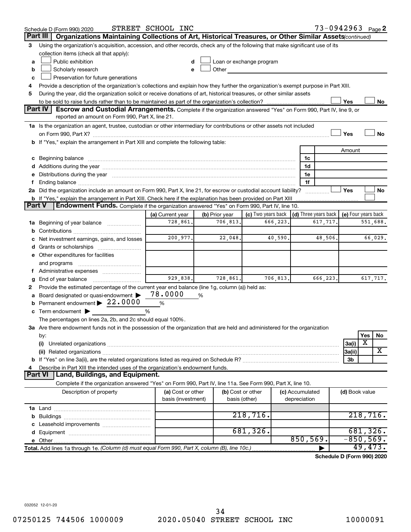|               | Schedule D (Form 990) 2020                                                                                                                                                                                                     | STREET SCHOOL INC  |                |                                                         |           |                 | 73-0942963 Page 2          |                     |             |          |
|---------------|--------------------------------------------------------------------------------------------------------------------------------------------------------------------------------------------------------------------------------|--------------------|----------------|---------------------------------------------------------|-----------|-----------------|----------------------------|---------------------|-------------|----------|
|               | Organizations Maintaining Collections of Art, Historical Treasures, or Other Similar Assets (continued)<br>Part III                                                                                                            |                    |                |                                                         |           |                 |                            |                     |             |          |
| 3             | Using the organization's acquisition, accession, and other records, check any of the following that make significant use of its                                                                                                |                    |                |                                                         |           |                 |                            |                     |             |          |
|               | collection items (check all that apply):                                                                                                                                                                                       |                    |                |                                                         |           |                 |                            |                     |             |          |
| a             | Public exhibition                                                                                                                                                                                                              |                    |                | Loan or exchange program                                |           |                 |                            |                     |             |          |
| b             | Scholarly research                                                                                                                                                                                                             |                    | Other          |                                                         |           |                 |                            |                     |             |          |
| c             | Preservation for future generations                                                                                                                                                                                            |                    |                |                                                         |           |                 |                            |                     |             |          |
| 4             | Provide a description of the organization's collections and explain how they further the organization's exempt purpose in Part XIII.                                                                                           |                    |                |                                                         |           |                 |                            |                     |             |          |
| 5             | During the year, did the organization solicit or receive donations of art, historical treasures, or other similar assets                                                                                                       |                    |                |                                                         |           |                 |                            |                     |             |          |
|               | Yes<br>No                                                                                                                                                                                                                      |                    |                |                                                         |           |                 |                            |                     |             |          |
|               | <b>Part IV</b><br><b>Escrow and Custodial Arrangements.</b> Complete if the organization answered "Yes" on Form 990, Part IV, line 9, or<br>reported an amount on Form 990, Part X, line 21.                                   |                    |                |                                                         |           |                 |                            |                     |             |          |
|               |                                                                                                                                                                                                                                |                    |                |                                                         |           |                 |                            |                     |             |          |
|               | 1a Is the organization an agent, trustee, custodian or other intermediary for contributions or other assets not included                                                                                                       |                    |                |                                                         |           |                 |                            | Yes                 |             | No       |
|               | b If "Yes," explain the arrangement in Part XIII and complete the following table:                                                                                                                                             |                    |                |                                                         |           |                 |                            |                     |             |          |
|               |                                                                                                                                                                                                                                |                    |                |                                                         |           |                 |                            | Amount              |             |          |
|               | c Beginning balance measurements and the contract of the contract of the contract of the contract of the contract of the contract of the contract of the contract of the contract of the contract of the contract of the contr |                    |                |                                                         |           | 1c              |                            |                     |             |          |
|               |                                                                                                                                                                                                                                |                    |                |                                                         |           | 1d              |                            |                     |             |          |
|               | e Distributions during the year manufactured and contain an account of the year manufactured and the year manufactured and the year manufactured and the year manufactured and the year manufactured and the year manufactured |                    |                |                                                         |           | 1e              |                            |                     |             |          |
|               |                                                                                                                                                                                                                                |                    |                |                                                         |           | 1f              |                            |                     |             |          |
|               | 2a Did the organization include an amount on Form 990, Part X, line 21, for escrow or custodial account liability?                                                                                                             |                    |                |                                                         |           |                 |                            | Yes                 |             | No       |
|               | b If "Yes," explain the arrangement in Part XIII. Check here if the explanation has been provided on Part XIII                                                                                                                 |                    |                |                                                         |           |                 |                            |                     |             |          |
| <b>Part V</b> | Endowment Funds. Complete if the organization answered "Yes" on Form 990, Part IV, line 10.                                                                                                                                    |                    |                |                                                         |           |                 |                            |                     |             |          |
|               |                                                                                                                                                                                                                                | (a) Current year   | (b) Prior year | (c) Two years back $\vert$ (d) Three years back $\vert$ |           |                 |                            | (e) Four years back |             |          |
|               | 1a Beginning of year balance                                                                                                                                                                                                   | 728,861.           | 706, 813.      |                                                         | 666,223.  |                 | 617,717.                   |                     |             | 551,688. |
| b             |                                                                                                                                                                                                                                |                    |                |                                                         |           |                 |                            |                     |             |          |
|               | c Net investment earnings, gains, and losses                                                                                                                                                                                   | 200,977.           | 22,048.        |                                                         | 40,590.   |                 | 48,506.                    |                     |             | 66,029.  |
|               |                                                                                                                                                                                                                                |                    |                |                                                         |           |                 |                            |                     |             |          |
|               | e Other expenditures for facilities                                                                                                                                                                                            |                    |                |                                                         |           |                 |                            |                     |             |          |
|               | and programs                                                                                                                                                                                                                   |                    |                |                                                         |           |                 |                            |                     |             |          |
|               |                                                                                                                                                                                                                                |                    |                |                                                         |           |                 |                            |                     |             |          |
| g             |                                                                                                                                                                                                                                | 929,838.           | 728,861.       |                                                         | 706, 813. |                 | 666,223.                   |                     |             | 617,717. |
| 2             | Provide the estimated percentage of the current year end balance (line 1g, column (a)) held as:                                                                                                                                |                    |                |                                                         |           |                 |                            |                     |             |          |
| a             | Board designated or quasi-endowment                                                                                                                                                                                            | 78.0000            | %              |                                                         |           |                 |                            |                     |             |          |
|               | <b>b</b> Permanent endowment $\blacktriangleright$ 22.0000                                                                                                                                                                     | %                  |                |                                                         |           |                 |                            |                     |             |          |
|               | c Term endowment $\blacktriangleright$<br>The percentages on lines 2a, 2b, and 2c should equal 100%.                                                                                                                           | %                  |                |                                                         |           |                 |                            |                     |             |          |
|               | 3a Are there endowment funds not in the possession of the organization that are held and administered for the organization                                                                                                     |                    |                |                                                         |           |                 |                            |                     |             |          |
|               | by:                                                                                                                                                                                                                            |                    |                |                                                         |           |                 |                            |                     | Yes         | No       |
|               | (i)                                                                                                                                                                                                                            |                    |                |                                                         |           |                 |                            | 3a(i)               | X           |          |
|               |                                                                                                                                                                                                                                |                    |                |                                                         |           |                 |                            | 3a(ii)              |             | X        |
|               |                                                                                                                                                                                                                                |                    |                |                                                         |           |                 |                            | 3b                  |             |          |
| 4             | Describe in Part XIII the intended uses of the organization's endowment funds.                                                                                                                                                 |                    |                |                                                         |           |                 |                            |                     |             |          |
|               | <b>Land, Buildings, and Equipment.</b><br><b>Part VI</b>                                                                                                                                                                       |                    |                |                                                         |           |                 |                            |                     |             |          |
|               | Complete if the organization answered "Yes" on Form 990, Part IV, line 11a. See Form 990, Part X, line 10.                                                                                                                     |                    |                |                                                         |           |                 |                            |                     |             |          |
|               | Description of property                                                                                                                                                                                                        | (a) Cost or other  |                | (b) Cost or other                                       |           | (c) Accumulated |                            | (d) Book value      |             |          |
|               |                                                                                                                                                                                                                                | basis (investment) |                | basis (other)                                           |           | depreciation    |                            |                     |             |          |
|               |                                                                                                                                                                                                                                |                    |                |                                                         |           |                 |                            |                     |             |          |
|               |                                                                                                                                                                                                                                |                    |                | 218,716.                                                |           |                 |                            |                     | 218,716.    |          |
|               |                                                                                                                                                                                                                                |                    |                |                                                         |           |                 |                            |                     |             |          |
|               |                                                                                                                                                                                                                                |                    |                | 681, 326.                                               |           |                 |                            |                     | 681, 326.   |          |
|               |                                                                                                                                                                                                                                |                    |                |                                                         |           | 850,569.        |                            |                     | $-850,569.$ |          |
|               | Total. Add lines 1a through 1e. (Column (d) must equal Form 990, Part X, column (B), line 10c.)                                                                                                                                |                    |                |                                                         |           |                 |                            |                     | 49,473.     |          |
|               |                                                                                                                                                                                                                                |                    |                |                                                         |           |                 | Schodule D (Form 000) 2020 |                     |             |          |

**Schedule D (Form 990) 2020**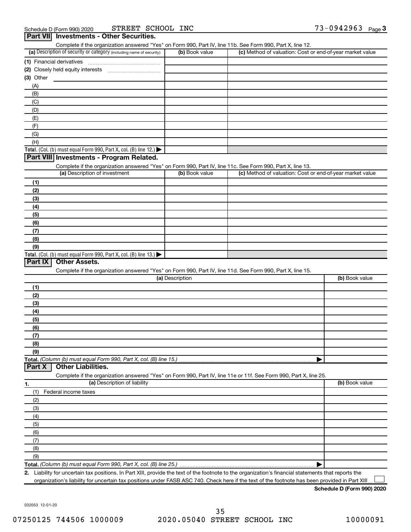| Complete if the organization answered "Yes" on Form 990, Part IV, line 11b. See Form 990, Part X, line 12.<br>(a) Description of security or category (including name of security) | (b) Book value  | (c) Method of valuation: Cost or end-of-year market value |                |
|------------------------------------------------------------------------------------------------------------------------------------------------------------------------------------|-----------------|-----------------------------------------------------------|----------------|
| (1) Financial derivatives                                                                                                                                                          |                 |                                                           |                |
|                                                                                                                                                                                    |                 |                                                           |                |
| $(3)$ Other                                                                                                                                                                        |                 |                                                           |                |
| (A)                                                                                                                                                                                |                 |                                                           |                |
| (B)                                                                                                                                                                                |                 |                                                           |                |
|                                                                                                                                                                                    |                 |                                                           |                |
| (C)                                                                                                                                                                                |                 |                                                           |                |
| (D)                                                                                                                                                                                |                 |                                                           |                |
| (E)                                                                                                                                                                                |                 |                                                           |                |
| (F)                                                                                                                                                                                |                 |                                                           |                |
| (G)                                                                                                                                                                                |                 |                                                           |                |
| (H)                                                                                                                                                                                |                 |                                                           |                |
| Total. (Col. (b) must equal Form 990, Part X, col. (B) line 12.) $\blacktriangleright$                                                                                             |                 |                                                           |                |
| Part VIII Investments - Program Related.                                                                                                                                           |                 |                                                           |                |
| Complete if the organization answered "Yes" on Form 990, Part IV, line 11c. See Form 990, Part X, line 13.                                                                         |                 |                                                           |                |
| (a) Description of investment                                                                                                                                                      | (b) Book value  | (c) Method of valuation: Cost or end-of-year market value |                |
| (1)                                                                                                                                                                                |                 |                                                           |                |
| (2)                                                                                                                                                                                |                 |                                                           |                |
| (3)                                                                                                                                                                                |                 |                                                           |                |
| (4)                                                                                                                                                                                |                 |                                                           |                |
| (5)                                                                                                                                                                                |                 |                                                           |                |
| (6)                                                                                                                                                                                |                 |                                                           |                |
| (7)                                                                                                                                                                                |                 |                                                           |                |
| (8)                                                                                                                                                                                |                 |                                                           |                |
|                                                                                                                                                                                    |                 |                                                           |                |
|                                                                                                                                                                                    |                 |                                                           |                |
| (9)                                                                                                                                                                                |                 |                                                           |                |
| Total. (Col. (b) must equal Form 990, Part X, col. (B) line 13.) $\blacktriangleright$                                                                                             |                 |                                                           |                |
| <b>Other Assets.</b>                                                                                                                                                               |                 |                                                           |                |
| Complete if the organization answered "Yes" on Form 990, Part IV, line 11d. See Form 990, Part X, line 15.                                                                         |                 |                                                           |                |
|                                                                                                                                                                                    | (a) Description |                                                           | (b) Book value |
| (1)                                                                                                                                                                                |                 |                                                           |                |
| (2)                                                                                                                                                                                |                 |                                                           |                |
| (3)                                                                                                                                                                                |                 |                                                           |                |
| (4)                                                                                                                                                                                |                 |                                                           |                |
| (5)                                                                                                                                                                                |                 |                                                           |                |
| (6)                                                                                                                                                                                |                 |                                                           |                |
|                                                                                                                                                                                    |                 |                                                           |                |
| (7)                                                                                                                                                                                |                 |                                                           |                |
| (8)<br>(9)                                                                                                                                                                         |                 |                                                           |                |
|                                                                                                                                                                                    |                 |                                                           |                |
|                                                                                                                                                                                    |                 |                                                           |                |
| <b>Other Liabilities.</b>                                                                                                                                                          |                 |                                                           |                |
| Complete if the organization answered "Yes" on Form 990, Part IV, line 11e or 11f. See Form 990, Part X, line 25.                                                                  |                 |                                                           |                |
| (a) Description of liability                                                                                                                                                       |                 |                                                           | (b) Book value |
| (1)<br>Federal income taxes                                                                                                                                                        |                 |                                                           |                |
| (2)                                                                                                                                                                                |                 |                                                           |                |
| (3)                                                                                                                                                                                |                 |                                                           |                |
| (4)                                                                                                                                                                                |                 |                                                           |                |
| (5)                                                                                                                                                                                |                 |                                                           |                |
| (6)                                                                                                                                                                                |                 |                                                           |                |
| (7)                                                                                                                                                                                |                 |                                                           |                |
|                                                                                                                                                                                    |                 |                                                           |                |
| Part IX<br>Part X<br>1.<br>(8)<br>(9)                                                                                                                                              |                 |                                                           |                |

**2.** Liability for uncertain tax positions. In Part XIII, provide the text of the footnote to the organization's financial statements that reports the organization's liability for uncertain tax positions under FASB ASC 740. Check here if the text of the footnote has been provided in Part XIII  $\perp$ 

**Schedule D (Form 990) 2020**

032053 12-01-20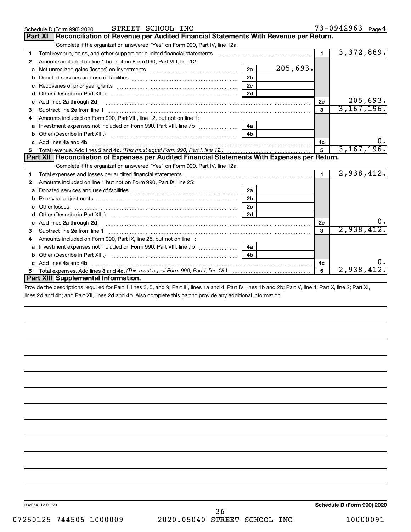|    | STREET SCHOOL INC<br>Schedule D (Form 990) 2020                                                                                                                                                                                     |                |          |                | 73-0942963 Page 4 |
|----|-------------------------------------------------------------------------------------------------------------------------------------------------------------------------------------------------------------------------------------|----------------|----------|----------------|-------------------|
|    | Reconciliation of Revenue per Audited Financial Statements With Revenue per Return.<br><b>Part XI</b>                                                                                                                               |                |          |                |                   |
|    | Complete if the organization answered "Yes" on Form 990, Part IV, line 12a.                                                                                                                                                         |                |          |                |                   |
| 1  | Total revenue, gains, and other support per audited financial statements [111] [11] Total revenue, gains, and other support per audited financial statements                                                                        |                |          | $\blacksquare$ | 3,372,889.        |
| 2  | Amounts included on line 1 but not on Form 990, Part VIII, line 12:                                                                                                                                                                 |                |          |                |                   |
|    | Net unrealized gains (losses) on investments [11] [11] Net unrealized gains (losses) on investments [11] [12]                                                                                                                       | 2a             | 205,693. |                |                   |
| b  |                                                                                                                                                                                                                                     | 2 <sub>b</sub> |          |                |                   |
| c  |                                                                                                                                                                                                                                     | 2c             |          |                |                   |
| d  |                                                                                                                                                                                                                                     | 2d             |          |                |                   |
| е  | Add lines 2a through 2d <b>continuum continuum contract and continuum contract a</b> through 2d continuum contract and continuum contract a term of the contract of the contract and contract a term of the contract of the contrac |                |          | 2e             | 205,693.          |
| 3  |                                                                                                                                                                                                                                     |                |          | $\mathbf{a}$   | 3,167,196.        |
| 4  | Amounts included on Form 990, Part VIII, line 12, but not on line 1:                                                                                                                                                                |                |          |                |                   |
| a  | Investment expenses not included on Form 990, Part VIII, line 7b [ <i>[[[[[[[[[[[]]]</i>                                                                                                                                            | 4a             |          |                |                   |
|    |                                                                                                                                                                                                                                     | 4 <sub>h</sub> |          |                |                   |
|    | c Add lines 4a and 4b                                                                                                                                                                                                               |                |          | 4c             |                   |
|    |                                                                                                                                                                                                                                     |                |          | 5              | 3, 167, 196.      |
|    | Part XII   Reconciliation of Expenses per Audited Financial Statements With Expenses per Return.                                                                                                                                    |                |          |                |                   |
|    | Complete if the organization answered "Yes" on Form 990, Part IV, line 12a.                                                                                                                                                         |                |          |                |                   |
| 1  |                                                                                                                                                                                                                                     |                |          | $\blacksquare$ | 2,938,412.        |
| 2  | Amounts included on line 1 but not on Form 990, Part IX, line 25:                                                                                                                                                                   |                |          |                |                   |
| a  |                                                                                                                                                                                                                                     | 2a             |          |                |                   |
| b  |                                                                                                                                                                                                                                     | 2 <sub>b</sub> |          |                |                   |
|    |                                                                                                                                                                                                                                     | 2c             |          |                |                   |
| d  |                                                                                                                                                                                                                                     | 2d             |          |                |                   |
|    |                                                                                                                                                                                                                                     |                |          | 2е             |                   |
| з  |                                                                                                                                                                                                                                     |                |          | $\mathbf{a}$   | 2,938,412.        |
| 4  | Amounts included on Form 990, Part IX, line 25, but not on line 1:                                                                                                                                                                  |                |          |                |                   |
| a  |                                                                                                                                                                                                                                     | 4a             |          |                |                   |
|    |                                                                                                                                                                                                                                     | 4 <sub>b</sub> |          |                |                   |
|    | c Add lines 4a and 4b                                                                                                                                                                                                               |                |          | 4c             | υ.                |
| 5. |                                                                                                                                                                                                                                     |                |          | 5              | 2,938,41          |
|    | Part XIII Supplemental Information.                                                                                                                                                                                                 |                |          |                |                   |

Provide the descriptions required for Part II, lines 3, 5, and 9; Part III, lines 1a and 4; Part IV, lines 1b and 2b; Part V, line 4; Part X, line 2; Part XI, lines 2d and 4b; and Part XII, lines 2d and 4b. Also complete this part to provide any additional information.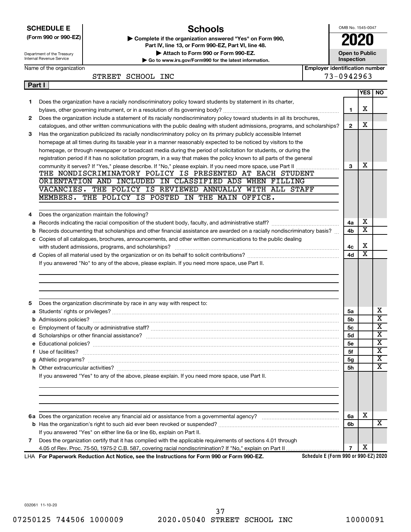|        | <b>Schools</b><br><b>SCHEDULE E</b><br>(Form 990 or 990-EZ)<br>Complete if the organization answered "Yes" on Form 990,<br>Part IV, line 13, or Form 990-EZ, Part VI, line 48.<br>Attach to Form 990 or Form 990-EZ.<br>Department of the Treasury<br>Internal Revenue Service<br>Go to www.irs.gov/Form990 for the latest information. | OMB No. 1545-0047<br><b>Open to Public</b><br>Inspection | 2020                  |                         |
|--------|-----------------------------------------------------------------------------------------------------------------------------------------------------------------------------------------------------------------------------------------------------------------------------------------------------------------------------------------|----------------------------------------------------------|-----------------------|-------------------------|
|        | <b>Employer identification number</b><br>Name of the organization                                                                                                                                                                                                                                                                       |                                                          |                       |                         |
|        | STREET SCHOOL INC                                                                                                                                                                                                                                                                                                                       | 73-0942963                                               |                       |                         |
| Part I |                                                                                                                                                                                                                                                                                                                                         |                                                          | <b>YES</b>            | <b>NO</b>               |
| 1      | Does the organization have a racially nondiscriminatory policy toward students by statement in its charter,                                                                                                                                                                                                                             |                                                          |                       |                         |
|        |                                                                                                                                                                                                                                                                                                                                         | 1                                                        | х                     |                         |
| 2      | Does the organization include a statement of its racially nondiscriminatory policy toward students in all its brochures,                                                                                                                                                                                                                |                                                          |                       |                         |
|        | catalogues, and other written communications with the public dealing with student admissions, programs, and scholarships?                                                                                                                                                                                                               | $\mathbf{2}$                                             | X                     |                         |
| 3      | Has the organization publicized its racially nondiscriminatory policy on its primary publicly accessible Internet                                                                                                                                                                                                                       |                                                          |                       |                         |
|        | homepage at all times during its taxable year in a manner reasonably expected to be noticed by visitors to the                                                                                                                                                                                                                          |                                                          |                       |                         |
|        | homepage, or through newspaper or broadcast media during the period of solicitation for students, or during the                                                                                                                                                                                                                         |                                                          |                       |                         |
|        | registration period if it has no solicitation program, in a way that makes the policy known to all parts of the general                                                                                                                                                                                                                 |                                                          |                       |                         |
|        |                                                                                                                                                                                                                                                                                                                                         | 3                                                        | х                     |                         |
|        | THE NONDISCRIMINATORY POLICY IS PRESENTED AT EACH STUDENT                                                                                                                                                                                                                                                                               |                                                          |                       |                         |
|        | ORIENTATION AND INCLUDED IN CLASSIFIED ADS WHEN FILLING                                                                                                                                                                                                                                                                                 |                                                          |                       |                         |
|        | VACANCIES. THE POLICY IS REVIEWED ANNUALLY WITH ALL STAFF                                                                                                                                                                                                                                                                               |                                                          |                       |                         |
|        | MEMBERS. THE POLICY IS POSTED IN THE MAIN OFFICE.                                                                                                                                                                                                                                                                                       |                                                          |                       |                         |
|        |                                                                                                                                                                                                                                                                                                                                         |                                                          |                       |                         |
| 4      | Does the organization maintain the following?                                                                                                                                                                                                                                                                                           |                                                          |                       |                         |
|        |                                                                                                                                                                                                                                                                                                                                         | 4a                                                       | х<br>X                |                         |
|        | b Records documenting that scholarships and other financial assistance are awarded on a racially nondiscriminatory basis?                                                                                                                                                                                                               | 4b                                                       |                       |                         |
|        | c Copies of all catalogues, brochures, announcements, and other written communications to the public dealing                                                                                                                                                                                                                            |                                                          | X                     |                         |
|        |                                                                                                                                                                                                                                                                                                                                         | 4с<br>4d                                                 | $\overline{\text{x}}$ |                         |
|        | If you answered "No" to any of the above, please explain. If you need more space, use Part II.                                                                                                                                                                                                                                          |                                                          |                       |                         |
|        |                                                                                                                                                                                                                                                                                                                                         |                                                          |                       |                         |
|        |                                                                                                                                                                                                                                                                                                                                         |                                                          |                       |                         |
|        | Does the organization discriminate by race in any way with respect to:                                                                                                                                                                                                                                                                  |                                                          |                       |                         |
|        |                                                                                                                                                                                                                                                                                                                                         | 5a                                                       |                       | х                       |
|        |                                                                                                                                                                                                                                                                                                                                         | 5b                                                       |                       | $\overline{\text{x}}$   |
|        |                                                                                                                                                                                                                                                                                                                                         | 5с                                                       |                       | $\overline{\textbf{x}}$ |
|        |                                                                                                                                                                                                                                                                                                                                         | 5d                                                       |                       | x                       |
|        |                                                                                                                                                                                                                                                                                                                                         | 5 <sub>e</sub>                                           |                       | X                       |
|        | f Use of facilities?                                                                                                                                                                                                                                                                                                                    | 5f                                                       |                       | $\overline{\mathbf{X}}$ |
|        |                                                                                                                                                                                                                                                                                                                                         | 5g                                                       |                       | $\overline{\textbf{X}}$ |
|        |                                                                                                                                                                                                                                                                                                                                         | 5h                                                       |                       | х                       |
|        | If you answered "Yes" to any of the above, please explain. If you need more space, use Part II.                                                                                                                                                                                                                                         |                                                          |                       |                         |
|        |                                                                                                                                                                                                                                                                                                                                         |                                                          |                       |                         |
|        |                                                                                                                                                                                                                                                                                                                                         | 6a                                                       | х                     |                         |
|        |                                                                                                                                                                                                                                                                                                                                         | 6b                                                       |                       | х                       |
|        | If you answered "Yes" on either line 6a or line 6b, explain on Part II.                                                                                                                                                                                                                                                                 |                                                          |                       |                         |
| 7      | Does the organization certify that it has complied with the applicable requirements of sections 4.01 through                                                                                                                                                                                                                            |                                                          |                       |                         |
|        |                                                                                                                                                                                                                                                                                                                                         | $\overline{7}$                                           | х                     |                         |
|        | Schedule E (Form 990 or 990-EZ) 2020<br>LHA For Paperwork Reduction Act Notice, see the Instructions for Form 990 or Form 990-EZ.                                                                                                                                                                                                       |                                                          |                       |                         |

032061 11-10-20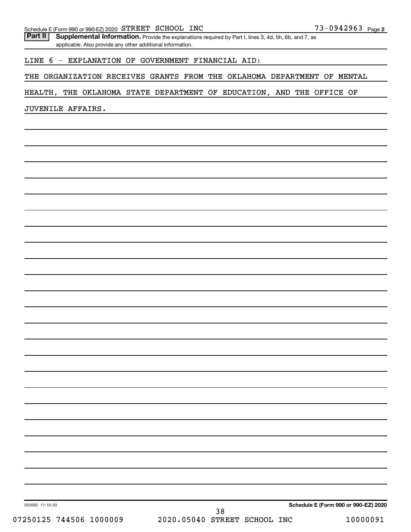Part II | Supplemental Information. Provide the explanations required by Part I, lines 3, 4d, 5h, 6b, and 7, as applicable. Also provide any other additional information.

# LINE 6 - EXPLANATION OF GOVERNMENT FINANCIAL AID:

THE ORGANIZATION RECEIVES GRANTS FROM THE OKLAHOMA DEPARTMENT OF MENTAL

# HEALTH, THE OKLAHOMA STATE DEPARTMENT OF EDUCATION, AND THE OFFICE OF

JUVENILE AFFAIRS.

032062 11-10-20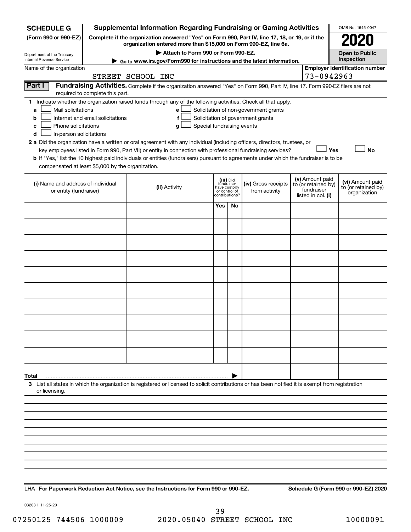| (Form 990 or 990-EZ)<br>Complete if the organization answered "Yes" on Form 990, Part IV, line 17, 18, or 19, or if the<br>organization entered more than \$15,000 on Form 990-EZ, line 6a.<br>Attach to Form 990 or Form 990-EZ.<br><b>Open to Public</b><br>Department of the Treasury<br>Inspection<br>Internal Revenue Service<br>► Go to www.irs.gov/Form990 for instructions and the latest information.<br><b>Employer identification number</b><br>Name of the organization<br>73-0942963<br>STREET SCHOOL INC<br>Part I<br>Fundraising Activities. Complete if the organization answered "Yes" on Form 990, Part IV, line 17. Form 990-EZ filers are not<br>required to complete this part.<br>1 Indicate whether the organization raised funds through any of the following activities. Check all that apply.<br>Mail solicitations<br>Solicitation of non-government grants<br>a<br>е<br>Internet and email solicitations<br>Solicitation of government grants<br>b<br>f<br>Phone solicitations<br>Special fundraising events<br>с<br>g<br>In-person solicitations<br>d<br>2 a Did the organization have a written or oral agreement with any individual (including officers, directors, trustees, or<br><b>No</b><br>key employees listed in Form 990, Part VII) or entity in connection with professional fundraising services?<br>Yes<br>b If "Yes," list the 10 highest paid individuals or entities (fundraisers) pursuant to agreements under which the fundraiser is to be<br>compensated at least \$5,000 by the organization.<br>(v) Amount paid<br>(iii) Did<br>fundraiser<br>(vi) Amount paid<br>(i) Name and address of individual<br>(iv) Gross receipts<br>to (or retained by)<br>(ii) Activity<br>to (or retained by)<br>have custody<br>fundraiser<br>or entity (fundraiser)<br>from activity<br>or control of<br>organization<br>listed in col. (i)<br>contributions?<br>Yes<br>No<br>Total<br>3 List all states in which the organization is registered or licensed to solicit contributions or has been notified it is exempt from registration<br>or licensing. | <b>SCHEDULE G</b> |  | <b>Supplemental Information Regarding Fundraising or Gaming Activities</b> |  |  |  |  |  | OMB No. 1545-0047 |
|------------------------------------------------------------------------------------------------------------------------------------------------------------------------------------------------------------------------------------------------------------------------------------------------------------------------------------------------------------------------------------------------------------------------------------------------------------------------------------------------------------------------------------------------------------------------------------------------------------------------------------------------------------------------------------------------------------------------------------------------------------------------------------------------------------------------------------------------------------------------------------------------------------------------------------------------------------------------------------------------------------------------------------------------------------------------------------------------------------------------------------------------------------------------------------------------------------------------------------------------------------------------------------------------------------------------------------------------------------------------------------------------------------------------------------------------------------------------------------------------------------------------------------------------------------------------------------------------------------------------------------------------------------------------------------------------------------------------------------------------------------------------------------------------------------------------------------------------------------------------------------------------------------------------------------------------------------------------------------------------------------------------------------------------------------------------------------------------|-------------------|--|----------------------------------------------------------------------------|--|--|--|--|--|-------------------|
|                                                                                                                                                                                                                                                                                                                                                                                                                                                                                                                                                                                                                                                                                                                                                                                                                                                                                                                                                                                                                                                                                                                                                                                                                                                                                                                                                                                                                                                                                                                                                                                                                                                                                                                                                                                                                                                                                                                                                                                                                                                                                                |                   |  |                                                                            |  |  |  |  |  |                   |
|                                                                                                                                                                                                                                                                                                                                                                                                                                                                                                                                                                                                                                                                                                                                                                                                                                                                                                                                                                                                                                                                                                                                                                                                                                                                                                                                                                                                                                                                                                                                                                                                                                                                                                                                                                                                                                                                                                                                                                                                                                                                                                |                   |  |                                                                            |  |  |  |  |  |                   |
|                                                                                                                                                                                                                                                                                                                                                                                                                                                                                                                                                                                                                                                                                                                                                                                                                                                                                                                                                                                                                                                                                                                                                                                                                                                                                                                                                                                                                                                                                                                                                                                                                                                                                                                                                                                                                                                                                                                                                                                                                                                                                                |                   |  |                                                                            |  |  |  |  |  |                   |
|                                                                                                                                                                                                                                                                                                                                                                                                                                                                                                                                                                                                                                                                                                                                                                                                                                                                                                                                                                                                                                                                                                                                                                                                                                                                                                                                                                                                                                                                                                                                                                                                                                                                                                                                                                                                                                                                                                                                                                                                                                                                                                |                   |  |                                                                            |  |  |  |  |  |                   |
|                                                                                                                                                                                                                                                                                                                                                                                                                                                                                                                                                                                                                                                                                                                                                                                                                                                                                                                                                                                                                                                                                                                                                                                                                                                                                                                                                                                                                                                                                                                                                                                                                                                                                                                                                                                                                                                                                                                                                                                                                                                                                                |                   |  |                                                                            |  |  |  |  |  |                   |
|                                                                                                                                                                                                                                                                                                                                                                                                                                                                                                                                                                                                                                                                                                                                                                                                                                                                                                                                                                                                                                                                                                                                                                                                                                                                                                                                                                                                                                                                                                                                                                                                                                                                                                                                                                                                                                                                                                                                                                                                                                                                                                |                   |  |                                                                            |  |  |  |  |  |                   |
|                                                                                                                                                                                                                                                                                                                                                                                                                                                                                                                                                                                                                                                                                                                                                                                                                                                                                                                                                                                                                                                                                                                                                                                                                                                                                                                                                                                                                                                                                                                                                                                                                                                                                                                                                                                                                                                                                                                                                                                                                                                                                                |                   |  |                                                                            |  |  |  |  |  |                   |
|                                                                                                                                                                                                                                                                                                                                                                                                                                                                                                                                                                                                                                                                                                                                                                                                                                                                                                                                                                                                                                                                                                                                                                                                                                                                                                                                                                                                                                                                                                                                                                                                                                                                                                                                                                                                                                                                                                                                                                                                                                                                                                |                   |  |                                                                            |  |  |  |  |  |                   |
|                                                                                                                                                                                                                                                                                                                                                                                                                                                                                                                                                                                                                                                                                                                                                                                                                                                                                                                                                                                                                                                                                                                                                                                                                                                                                                                                                                                                                                                                                                                                                                                                                                                                                                                                                                                                                                                                                                                                                                                                                                                                                                |                   |  |                                                                            |  |  |  |  |  |                   |
|                                                                                                                                                                                                                                                                                                                                                                                                                                                                                                                                                                                                                                                                                                                                                                                                                                                                                                                                                                                                                                                                                                                                                                                                                                                                                                                                                                                                                                                                                                                                                                                                                                                                                                                                                                                                                                                                                                                                                                                                                                                                                                |                   |  |                                                                            |  |  |  |  |  |                   |
|                                                                                                                                                                                                                                                                                                                                                                                                                                                                                                                                                                                                                                                                                                                                                                                                                                                                                                                                                                                                                                                                                                                                                                                                                                                                                                                                                                                                                                                                                                                                                                                                                                                                                                                                                                                                                                                                                                                                                                                                                                                                                                |                   |  |                                                                            |  |  |  |  |  |                   |
|                                                                                                                                                                                                                                                                                                                                                                                                                                                                                                                                                                                                                                                                                                                                                                                                                                                                                                                                                                                                                                                                                                                                                                                                                                                                                                                                                                                                                                                                                                                                                                                                                                                                                                                                                                                                                                                                                                                                                                                                                                                                                                |                   |  |                                                                            |  |  |  |  |  |                   |
|                                                                                                                                                                                                                                                                                                                                                                                                                                                                                                                                                                                                                                                                                                                                                                                                                                                                                                                                                                                                                                                                                                                                                                                                                                                                                                                                                                                                                                                                                                                                                                                                                                                                                                                                                                                                                                                                                                                                                                                                                                                                                                |                   |  |                                                                            |  |  |  |  |  |                   |
|                                                                                                                                                                                                                                                                                                                                                                                                                                                                                                                                                                                                                                                                                                                                                                                                                                                                                                                                                                                                                                                                                                                                                                                                                                                                                                                                                                                                                                                                                                                                                                                                                                                                                                                                                                                                                                                                                                                                                                                                                                                                                                |                   |  |                                                                            |  |  |  |  |  |                   |
|                                                                                                                                                                                                                                                                                                                                                                                                                                                                                                                                                                                                                                                                                                                                                                                                                                                                                                                                                                                                                                                                                                                                                                                                                                                                                                                                                                                                                                                                                                                                                                                                                                                                                                                                                                                                                                                                                                                                                                                                                                                                                                |                   |  |                                                                            |  |  |  |  |  |                   |
|                                                                                                                                                                                                                                                                                                                                                                                                                                                                                                                                                                                                                                                                                                                                                                                                                                                                                                                                                                                                                                                                                                                                                                                                                                                                                                                                                                                                                                                                                                                                                                                                                                                                                                                                                                                                                                                                                                                                                                                                                                                                                                |                   |  |                                                                            |  |  |  |  |  |                   |
|                                                                                                                                                                                                                                                                                                                                                                                                                                                                                                                                                                                                                                                                                                                                                                                                                                                                                                                                                                                                                                                                                                                                                                                                                                                                                                                                                                                                                                                                                                                                                                                                                                                                                                                                                                                                                                                                                                                                                                                                                                                                                                |                   |  |                                                                            |  |  |  |  |  |                   |
|                                                                                                                                                                                                                                                                                                                                                                                                                                                                                                                                                                                                                                                                                                                                                                                                                                                                                                                                                                                                                                                                                                                                                                                                                                                                                                                                                                                                                                                                                                                                                                                                                                                                                                                                                                                                                                                                                                                                                                                                                                                                                                |                   |  |                                                                            |  |  |  |  |  |                   |
|                                                                                                                                                                                                                                                                                                                                                                                                                                                                                                                                                                                                                                                                                                                                                                                                                                                                                                                                                                                                                                                                                                                                                                                                                                                                                                                                                                                                                                                                                                                                                                                                                                                                                                                                                                                                                                                                                                                                                                                                                                                                                                |                   |  |                                                                            |  |  |  |  |  |                   |
|                                                                                                                                                                                                                                                                                                                                                                                                                                                                                                                                                                                                                                                                                                                                                                                                                                                                                                                                                                                                                                                                                                                                                                                                                                                                                                                                                                                                                                                                                                                                                                                                                                                                                                                                                                                                                                                                                                                                                                                                                                                                                                |                   |  |                                                                            |  |  |  |  |  |                   |
|                                                                                                                                                                                                                                                                                                                                                                                                                                                                                                                                                                                                                                                                                                                                                                                                                                                                                                                                                                                                                                                                                                                                                                                                                                                                                                                                                                                                                                                                                                                                                                                                                                                                                                                                                                                                                                                                                                                                                                                                                                                                                                |                   |  |                                                                            |  |  |  |  |  |                   |
|                                                                                                                                                                                                                                                                                                                                                                                                                                                                                                                                                                                                                                                                                                                                                                                                                                                                                                                                                                                                                                                                                                                                                                                                                                                                                                                                                                                                                                                                                                                                                                                                                                                                                                                                                                                                                                                                                                                                                                                                                                                                                                |                   |  |                                                                            |  |  |  |  |  |                   |
|                                                                                                                                                                                                                                                                                                                                                                                                                                                                                                                                                                                                                                                                                                                                                                                                                                                                                                                                                                                                                                                                                                                                                                                                                                                                                                                                                                                                                                                                                                                                                                                                                                                                                                                                                                                                                                                                                                                                                                                                                                                                                                |                   |  |                                                                            |  |  |  |  |  |                   |
|                                                                                                                                                                                                                                                                                                                                                                                                                                                                                                                                                                                                                                                                                                                                                                                                                                                                                                                                                                                                                                                                                                                                                                                                                                                                                                                                                                                                                                                                                                                                                                                                                                                                                                                                                                                                                                                                                                                                                                                                                                                                                                |                   |  |                                                                            |  |  |  |  |  |                   |
|                                                                                                                                                                                                                                                                                                                                                                                                                                                                                                                                                                                                                                                                                                                                                                                                                                                                                                                                                                                                                                                                                                                                                                                                                                                                                                                                                                                                                                                                                                                                                                                                                                                                                                                                                                                                                                                                                                                                                                                                                                                                                                |                   |  |                                                                            |  |  |  |  |  |                   |
|                                                                                                                                                                                                                                                                                                                                                                                                                                                                                                                                                                                                                                                                                                                                                                                                                                                                                                                                                                                                                                                                                                                                                                                                                                                                                                                                                                                                                                                                                                                                                                                                                                                                                                                                                                                                                                                                                                                                                                                                                                                                                                |                   |  |                                                                            |  |  |  |  |  |                   |

**For Paperwork Reduction Act Notice, see the Instructions for Form 990 or 990-EZ. Schedule G (Form 990 or 990-EZ) 2020** LHA

032081 11-25-20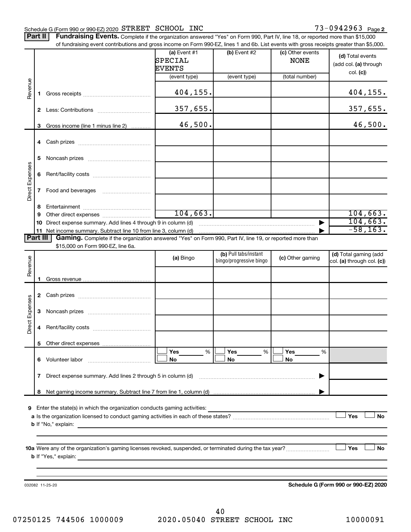#### Schedule G (Form 990 or 990-EZ) 2020 STREET SCHOOL INC  $73-0942963$  Page

Part II | Fundraising Events. Complete if the organization answered "Yes" on Form 990, Part IV, line 18, or reported more than \$15,000

|                 |              | of fundraising event contributions and gross income on Form 990-EZ, lines 1 and 6b. List events with gross receipts greater than \$5,000.           |                           |                                                  |                                 |                                                     |
|-----------------|--------------|-----------------------------------------------------------------------------------------------------------------------------------------------------|---------------------------|--------------------------------------------------|---------------------------------|-----------------------------------------------------|
|                 |              |                                                                                                                                                     | (a) Event $#1$<br>SPECIAL | $(b)$ Event #2                                   | (c) Other events<br><b>NONE</b> | (d) Total events<br>(add col. (a) through           |
|                 |              |                                                                                                                                                     | EVENTS<br>(event type)    | (event type)                                     | (total number)                  | col. (c)                                            |
| Revenue         | 1.           |                                                                                                                                                     | 404,155.                  |                                                  |                                 | 404, 155.                                           |
|                 | $\mathbf{2}$ |                                                                                                                                                     | 357,655.                  |                                                  |                                 | 357,655.                                            |
|                 | 3            | Gross income (line 1 minus line 2)                                                                                                                  | 46,500.                   |                                                  |                                 | 46,500.                                             |
|                 |              |                                                                                                                                                     |                           |                                                  |                                 |                                                     |
|                 |              |                                                                                                                                                     |                           |                                                  |                                 |                                                     |
|                 | 5            |                                                                                                                                                     |                           |                                                  |                                 |                                                     |
| Direct Expenses | 6            |                                                                                                                                                     |                           |                                                  |                                 |                                                     |
|                 | 7            | Food and beverages                                                                                                                                  |                           |                                                  |                                 |                                                     |
|                 | 8            |                                                                                                                                                     |                           |                                                  |                                 |                                                     |
|                 | 9            |                                                                                                                                                     | 104, 663.                 |                                                  |                                 | 104,663.                                            |
|                 | 10           | Direct expense summary. Add lines 4 through 9 in column (d)                                                                                         |                           |                                                  |                                 | 104,663.                                            |
|                 |              | 11 Net income summary. Subtract line 10 from line 3, column (d)                                                                                     |                           |                                                  |                                 | $-58, 163.$                                         |
|                 | Part III     | Gaming. Complete if the organization answered "Yes" on Form 990, Part IV, line 19, or reported more than                                            |                           |                                                  |                                 |                                                     |
|                 |              | \$15,000 on Form 990-EZ, line 6a.                                                                                                                   |                           |                                                  |                                 |                                                     |
| Revenue         |              |                                                                                                                                                     | (a) Bingo                 | (b) Pull tabs/instant<br>bingo/progressive bingo | (c) Other gaming                | (d) Total gaming (add<br>col. (a) through col. (c)) |
|                 | 1.           |                                                                                                                                                     |                           |                                                  |                                 |                                                     |
|                 |              |                                                                                                                                                     |                           |                                                  |                                 |                                                     |
|                 | 2            |                                                                                                                                                     |                           |                                                  |                                 |                                                     |
| Direct Expenses | 3            |                                                                                                                                                     |                           |                                                  |                                 |                                                     |
|                 | 4            |                                                                                                                                                     |                           |                                                  |                                 |                                                     |
|                 |              | 5 Other direct expenses                                                                                                                             |                           |                                                  |                                 |                                                     |
|                 |              |                                                                                                                                                     | %<br><b>Yes</b>           | Yes<br>%                                         | Yes<br>%                        |                                                     |
|                 |              | 6 Volunteer labor                                                                                                                                   | No                        | No                                               | No                              |                                                     |
|                 | 7            | Direct expense summary. Add lines 2 through 5 in column (d)                                                                                         |                           |                                                  |                                 |                                                     |
|                 |              |                                                                                                                                                     |                           |                                                  |                                 |                                                     |
|                 |              |                                                                                                                                                     |                           |                                                  |                                 |                                                     |
| 9               |              | Enter the state(s) in which the organization conducts gaming activities:                                                                            |                           |                                                  |                                 |                                                     |
|                 |              |                                                                                                                                                     |                           |                                                  |                                 | Yes<br><b>No</b>                                    |
|                 |              | <b>b</b> If "No," explain:<br><u> 1989 - Johann Stoff, deutscher Stoff, der Stoff, der Stoff, der Stoff, der Stoff, der Stoff, der Stoff, der S</u> |                           |                                                  |                                 |                                                     |
|                 |              |                                                                                                                                                     |                           |                                                  |                                 |                                                     |
|                 |              |                                                                                                                                                     |                           |                                                  |                                 | Yes<br>No                                           |
|                 |              | 10a Were any of the organization's gaming licenses revoked, suspended, or terminated during the tax year?                                           |                           |                                                  |                                 |                                                     |
|                 |              |                                                                                                                                                     |                           |                                                  |                                 |                                                     |
|                 |              |                                                                                                                                                     |                           |                                                  |                                 |                                                     |
|                 |              | 032082 11-25-20                                                                                                                                     |                           |                                                  |                                 | Schedule G (Form 990 or 990-EZ) 2020                |
|                 |              |                                                                                                                                                     |                           |                                                  |                                 |                                                     |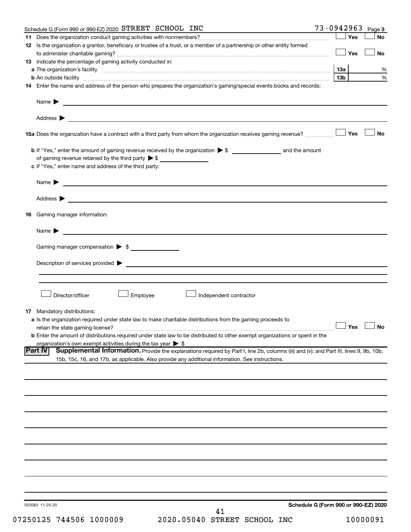| Schedule G (Form 990 or 990-EZ) 2020 STREET SCHOOL INC                                                                                                                                                                         | 73-0942963 |                 |       | Page 3               |
|--------------------------------------------------------------------------------------------------------------------------------------------------------------------------------------------------------------------------------|------------|-----------------|-------|----------------------|
|                                                                                                                                                                                                                                |            |                 | ∫ Yes | <b>No</b>            |
| 12 Is the organization a grantor, beneficiary or trustee of a trust, or a member of a partnership or other entity formed                                                                                                       |            |                 |       |                      |
|                                                                                                                                                                                                                                |            |                 | Yes   | No                   |
|                                                                                                                                                                                                                                |            |                 |       |                      |
| 13 Indicate the percentage of gaming activity conducted in:                                                                                                                                                                    |            |                 |       |                      |
|                                                                                                                                                                                                                                |            |                 |       | %                    |
| <b>b</b> An outside facility <i>www.communicality.communicality.communicality www.communicality.communicality.communicality</i>                                                                                                |            | 13 <sub>b</sub> |       | $\%$                 |
| 14 Enter the name and address of the person who prepares the organization's gaming/special events books and records:                                                                                                           |            |                 |       |                      |
|                                                                                                                                                                                                                                |            |                 |       |                      |
| Name $\blacktriangleright$<br><u> 1989 - Johann Barbara, martin amerikan basal dan berasal dan berasal dalam basal dan berasal dan berasal dan</u>                                                                             |            |                 |       |                      |
|                                                                                                                                                                                                                                |            |                 |       |                      |
|                                                                                                                                                                                                                                |            |                 |       |                      |
|                                                                                                                                                                                                                                |            |                 |       |                      |
| 158 Yes                                                                                                                                                                                                                        |            |                 |       | <b>No</b>            |
|                                                                                                                                                                                                                                |            |                 |       |                      |
|                                                                                                                                                                                                                                |            |                 |       |                      |
|                                                                                                                                                                                                                                |            |                 |       |                      |
| of gaming revenue retained by the third party $\triangleright$ \$                                                                                                                                                              |            |                 |       |                      |
| c If "Yes," enter name and address of the third party:                                                                                                                                                                         |            |                 |       |                      |
|                                                                                                                                                                                                                                |            |                 |       |                      |
| <u> 1989 - Andrea Stadt Britain, amerikansk politiker (</u><br>Name $\blacktriangleright$                                                                                                                                      |            |                 |       |                      |
|                                                                                                                                                                                                                                |            |                 |       |                      |
| Address $\blacktriangleright$                                                                                                                                                                                                  |            |                 |       |                      |
|                                                                                                                                                                                                                                |            |                 |       |                      |
| <b>16</b> Gaming manager information:                                                                                                                                                                                          |            |                 |       |                      |
|                                                                                                                                                                                                                                |            |                 |       |                      |
| Name $\blacktriangleright$                                                                                                                                                                                                     |            |                 |       |                      |
|                                                                                                                                                                                                                                |            |                 |       |                      |
|                                                                                                                                                                                                                                |            |                 |       |                      |
| Gaming manager compensation > \$                                                                                                                                                                                               |            |                 |       |                      |
|                                                                                                                                                                                                                                |            |                 |       |                      |
| Description of services provided states and the contract of the contract of the contract of the contract of the contract of the contract of the contract of the contract of the contract of the contract of the contract of th |            |                 |       |                      |
|                                                                                                                                                                                                                                |            |                 |       |                      |
|                                                                                                                                                                                                                                |            |                 |       |                      |
|                                                                                                                                                                                                                                |            |                 |       |                      |
| Director/officer<br>Employee<br>Independent contractor                                                                                                                                                                         |            |                 |       |                      |
|                                                                                                                                                                                                                                |            |                 |       |                      |
| <b>17</b> Mandatory distributions:                                                                                                                                                                                             |            |                 |       |                      |
| <b>a</b> Is the organization required under state law to make charitable distributions from the gaming proceeds to                                                                                                             |            |                 |       |                      |
|                                                                                                                                                                                                                                |            |                 |       | $\Box$ Yes $\Box$ No |
| <b>b</b> Enter the amount of distributions required under state law to be distributed to other exempt organizations or spent in the                                                                                            |            |                 |       |                      |
| organization's own exempt activities during the tax year $\triangleright$ \$                                                                                                                                                   |            |                 |       |                      |
| <b>Part IV</b><br>Supplemental Information. Provide the explanations required by Part I, line 2b, columns (iii) and (v); and Part III, lines 9, 9b, 10b,                                                                       |            |                 |       |                      |
| 15b, 15c, 16, and 17b, as applicable. Also provide any additional information. See instructions.                                                                                                                               |            |                 |       |                      |
|                                                                                                                                                                                                                                |            |                 |       |                      |
|                                                                                                                                                                                                                                |            |                 |       |                      |
|                                                                                                                                                                                                                                |            |                 |       |                      |
|                                                                                                                                                                                                                                |            |                 |       |                      |
|                                                                                                                                                                                                                                |            |                 |       |                      |
|                                                                                                                                                                                                                                |            |                 |       |                      |
|                                                                                                                                                                                                                                |            |                 |       |                      |
|                                                                                                                                                                                                                                |            |                 |       |                      |
|                                                                                                                                                                                                                                |            |                 |       |                      |
|                                                                                                                                                                                                                                |            |                 |       |                      |
|                                                                                                                                                                                                                                |            |                 |       |                      |
|                                                                                                                                                                                                                                |            |                 |       |                      |
|                                                                                                                                                                                                                                |            |                 |       |                      |
|                                                                                                                                                                                                                                |            |                 |       |                      |
|                                                                                                                                                                                                                                |            |                 |       |                      |
|                                                                                                                                                                                                                                |            |                 |       |                      |
|                                                                                                                                                                                                                                |            |                 |       |                      |
|                                                                                                                                                                                                                                |            |                 |       |                      |
|                                                                                                                                                                                                                                |            |                 |       |                      |
| Schedule G (Form 990 or 990-EZ) 2020<br>032083 11-25-20                                                                                                                                                                        |            |                 |       |                      |
| 41                                                                                                                                                                                                                             |            |                 |       |                      |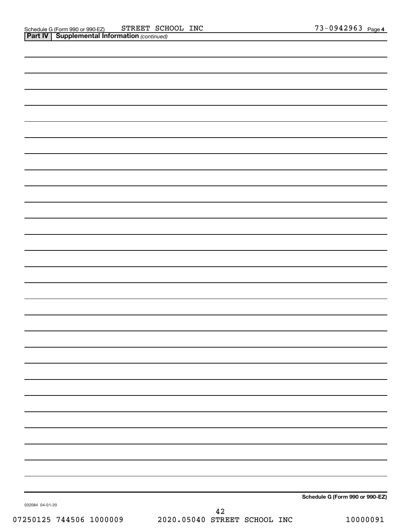|                 | Schedule G (Form 990 or 990-EZ) |
|-----------------|---------------------------------|
| 032084 04-01-20 |                                 |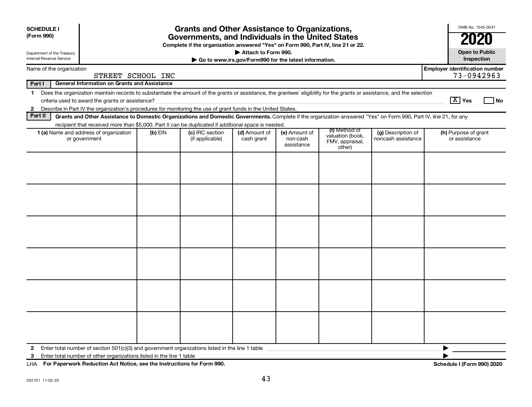| <b>SCHEDULE I</b><br>(Form 990)<br>Department of the Treasury<br>Internal Revenue Service |                                                                                                                                                                                                                                                                           |                   | <b>Grants and Other Assistance to Organizations,</b><br>Governments, and Individuals in the United States<br>Complete if the organization answered "Yes" on Form 990, Part IV, line 21 or 22. | Attach to Form 990.         | Go to www.irs.gov/Form990 for the latest information. |                                                                |                                          | OMB No. 1545-0047<br><b>Open to Public</b><br>Inspection |
|-------------------------------------------------------------------------------------------|---------------------------------------------------------------------------------------------------------------------------------------------------------------------------------------------------------------------------------------------------------------------------|-------------------|-----------------------------------------------------------------------------------------------------------------------------------------------------------------------------------------------|-----------------------------|-------------------------------------------------------|----------------------------------------------------------------|------------------------------------------|----------------------------------------------------------|
|                                                                                           | Name of the organization                                                                                                                                                                                                                                                  |                   |                                                                                                                                                                                               |                             |                                                       |                                                                |                                          | <b>Employer identification number</b>                    |
|                                                                                           |                                                                                                                                                                                                                                                                           | STREET SCHOOL INC |                                                                                                                                                                                               |                             |                                                       |                                                                |                                          | 73-0942963                                               |
| Part I                                                                                    | <b>General Information on Grants and Assistance</b>                                                                                                                                                                                                                       |                   |                                                                                                                                                                                               |                             |                                                       |                                                                |                                          |                                                          |
| $\mathbf 1$                                                                               | Does the organization maintain records to substantiate the amount of the grants or assistance, the grantees' eligibility for the grants or assistance, and the selection                                                                                                  |                   |                                                                                                                                                                                               |                             |                                                       |                                                                |                                          | $\boxed{\text{X}}$ Yes<br>l No                           |
| $\mathbf{2}$<br>Part II                                                                   | Describe in Part IV the organization's procedures for monitoring the use of grant funds in the United States.                                                                                                                                                             |                   |                                                                                                                                                                                               |                             |                                                       |                                                                |                                          |                                                          |
|                                                                                           | Grants and Other Assistance to Domestic Organizations and Domestic Governments. Complete if the organization answered "Yes" on Form 990, Part IV, line 21, for any<br>recipient that received more than \$5,000. Part II can be duplicated if additional space is needed. |                   |                                                                                                                                                                                               |                             |                                                       |                                                                |                                          |                                                          |
|                                                                                           | 1 (a) Name and address of organization<br>or government                                                                                                                                                                                                                   | (b) EIN           | (c) IRC section<br>(if applicable)                                                                                                                                                            | (d) Amount of<br>cash grant | (e) Amount of<br>non-cash<br>assistance               | (f) Method of<br>valuation (book,<br>FMV, appraisal,<br>other) | (g) Description of<br>noncash assistance | (h) Purpose of grant<br>or assistance                    |
|                                                                                           |                                                                                                                                                                                                                                                                           |                   |                                                                                                                                                                                               |                             |                                                       |                                                                |                                          |                                                          |
|                                                                                           |                                                                                                                                                                                                                                                                           |                   |                                                                                                                                                                                               |                             |                                                       |                                                                |                                          |                                                          |
|                                                                                           |                                                                                                                                                                                                                                                                           |                   |                                                                                                                                                                                               |                             |                                                       |                                                                |                                          |                                                          |
|                                                                                           |                                                                                                                                                                                                                                                                           |                   |                                                                                                                                                                                               |                             |                                                       |                                                                |                                          |                                                          |
|                                                                                           |                                                                                                                                                                                                                                                                           |                   |                                                                                                                                                                                               |                             |                                                       |                                                                |                                          |                                                          |
| $\mathbf{2}$<br>3                                                                         |                                                                                                                                                                                                                                                                           |                   |                                                                                                                                                                                               |                             |                                                       |                                                                |                                          |                                                          |

**For Paperwork Reduction Act Notice, see the Instructions for Form 990. Schedule I (Form 990) 2020** LHA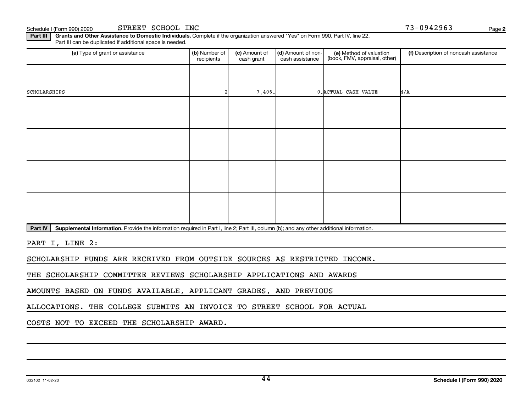Schedule I (Form 990) 2020 Page STREET SCHOOL INC

**2**

Part III | Grants and Other Assistance to Domestic Individuals. Complete if the organization answered "Yes" on Form 990, Part IV, line 22. Part III can be duplicated if additional space is needed.

| (a) Type of grant or assistance | (b) Number of<br>recipients | (c) Amount of<br>cash grant | (d) Amount of non-<br>cash assistance | (e) Method of valuation<br>(book, FMV, appraisal, other) | (f) Description of noncash assistance |
|---------------------------------|-----------------------------|-----------------------------|---------------------------------------|----------------------------------------------------------|---------------------------------------|
|                                 |                             |                             |                                       |                                                          |                                       |
| SCHOLARSHIPS                    |                             | 7,406.                      |                                       | 0. ACTUAL CASH VALUE                                     | N/A                                   |
|                                 |                             |                             |                                       |                                                          |                                       |
|                                 |                             |                             |                                       |                                                          |                                       |
|                                 |                             |                             |                                       |                                                          |                                       |
|                                 |                             |                             |                                       |                                                          |                                       |
|                                 |                             |                             |                                       |                                                          |                                       |
|                                 |                             |                             |                                       |                                                          |                                       |
|                                 |                             |                             |                                       |                                                          |                                       |
|                                 |                             |                             |                                       |                                                          |                                       |

Part IV | Supplemental Information. Provide the information required in Part I, line 2; Part III, column (b); and any other additional information.

PART I, LINE 2:

SCHOLARSHIP FUNDS ARE RECEIVED FROM OUTSIDE SOURCES AS RESTRICTED INCOME.

THE SCHOLARSHIP COMMITTEE REVIEWS SCHOLARSHIP APPLICATIONS AND AWARDS

AMOUNTS BASED ON FUNDS AVAILABLE, APPLICANT GRADES, AND PREVIOUS

ALLOCATIONS. THE COLLEGE SUBMITS AN INVOICE TO STREET SCHOOL FOR ACTUAL

COSTS NOT TO EXCEED THE SCHOLARSHIP AWARD.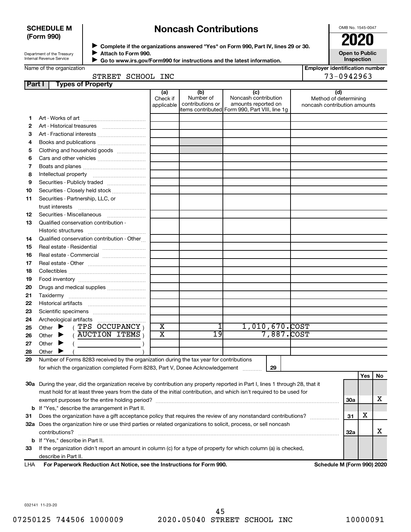# **SCHEDULE M (Form 990)**

# **Noncash Contributions**

OMB No. 1545-0047

**Employer identification number**

| Department of the Treasury |  |
|----------------------------|--|
| Internal Revenue Service   |  |

◆ Complete if the organizations answered "Yes" on Form 990, Part IV, lines 29 or 30.<br>● Complete if the organizations answered "Yes" on Form 990, Part IV, lines 29 or 30. **Attach to Form 990.**  $\blacktriangleright$ 

 **Go to www.irs.gov/Form990 for instructions and the latest information.**

**Open to Public Inspection**

|  |  | Name of the organization |  |
|--|--|--------------------------|--|
|--|--|--------------------------|--|

 $\blacktriangleright$ 

| STREET SCHOOL INC |  | 73-0942963 |
|-------------------|--|------------|
|-------------------|--|------------|

| <b>Part I</b> | <b>Types of Property</b>                                                                                                       |                               |                                                                                        |                                                    |                |                                                              |            |     |    |  |
|---------------|--------------------------------------------------------------------------------------------------------------------------------|-------------------------------|----------------------------------------------------------------------------------------|----------------------------------------------------|----------------|--------------------------------------------------------------|------------|-----|----|--|
|               |                                                                                                                                | (a)<br>Check if<br>applicable | (b)<br>Number of<br>contributions or<br>items contributed Form 990, Part VIII, line 1g | (c)<br>Noncash contribution<br>amounts reported on |                | (d)<br>Method of determining<br>noncash contribution amounts |            |     |    |  |
| 1.            |                                                                                                                                |                               |                                                                                        |                                                    |                |                                                              |            |     |    |  |
| 2             |                                                                                                                                |                               |                                                                                        |                                                    |                |                                                              |            |     |    |  |
| З             | Art - Fractional interests                                                                                                     |                               |                                                                                        |                                                    |                |                                                              |            |     |    |  |
| 4             | Books and publications                                                                                                         |                               |                                                                                        |                                                    |                |                                                              |            |     |    |  |
| 5             | Clothing and household goods                                                                                                   |                               |                                                                                        |                                                    |                |                                                              |            |     |    |  |
| 6             |                                                                                                                                |                               |                                                                                        |                                                    |                |                                                              |            |     |    |  |
| 7             |                                                                                                                                |                               |                                                                                        |                                                    |                |                                                              |            |     |    |  |
| 8             |                                                                                                                                |                               |                                                                                        |                                                    |                |                                                              |            |     |    |  |
| 9             | Securities - Publicly traded                                                                                                   |                               |                                                                                        |                                                    |                |                                                              |            |     |    |  |
| 10            | Securities - Closely held stock                                                                                                |                               |                                                                                        |                                                    |                |                                                              |            |     |    |  |
| 11            | Securities - Partnership, LLC, or                                                                                              |                               |                                                                                        |                                                    |                |                                                              |            |     |    |  |
|               | trust interests                                                                                                                |                               |                                                                                        |                                                    |                |                                                              |            |     |    |  |
| 12            |                                                                                                                                |                               |                                                                                        |                                                    |                |                                                              |            |     |    |  |
| 13            | Qualified conservation contribution -                                                                                          |                               |                                                                                        |                                                    |                |                                                              |            |     |    |  |
|               |                                                                                                                                |                               |                                                                                        |                                                    |                |                                                              |            |     |    |  |
| 14            | Qualified conservation contribution - Other                                                                                    |                               |                                                                                        |                                                    |                |                                                              |            |     |    |  |
| 15            |                                                                                                                                |                               |                                                                                        |                                                    |                |                                                              |            |     |    |  |
| 16            | Real estate - Commercial                                                                                                       |                               |                                                                                        |                                                    |                |                                                              |            |     |    |  |
| 17            |                                                                                                                                |                               |                                                                                        |                                                    |                |                                                              |            |     |    |  |
| 18            |                                                                                                                                |                               |                                                                                        |                                                    |                |                                                              |            |     |    |  |
| 19            |                                                                                                                                |                               |                                                                                        |                                                    |                |                                                              |            |     |    |  |
| 20            | Drugs and medical supplies                                                                                                     |                               |                                                                                        |                                                    |                |                                                              |            |     |    |  |
| 21            |                                                                                                                                |                               |                                                                                        |                                                    |                |                                                              |            |     |    |  |
| 22            |                                                                                                                                |                               |                                                                                        |                                                    |                |                                                              |            |     |    |  |
| 23            |                                                                                                                                |                               |                                                                                        |                                                    |                |                                                              |            |     |    |  |
| 24            | Archeological artifacts                                                                                                        |                               |                                                                                        |                                                    |                |                                                              |            |     |    |  |
| 25            | $($ TPS OCCUPANCY $)$<br>Other $\blacktriangleright$                                                                           | X                             |                                                                                        |                                                    | 1,010,670.COST |                                                              |            |     |    |  |
| 26            | $($ AUCTION ITEMS $)$<br>Other $\blacktriangleright$                                                                           | $\overline{\text{x}}$         | 19                                                                                     |                                                    | 7,887.COST     |                                                              |            |     |    |  |
| 27            | Other $\blacktriangleright$                                                                                                    |                               |                                                                                        |                                                    |                |                                                              |            |     |    |  |
| 28            | Other                                                                                                                          |                               |                                                                                        |                                                    |                |                                                              |            |     |    |  |
| 29            | Number of Forms 8283 received by the organization during the tax year for contributions                                        |                               |                                                                                        |                                                    |                |                                                              |            |     |    |  |
|               | for which the organization completed Form 8283, Part V, Donee Acknowledgement                                                  |                               |                                                                                        |                                                    |                |                                                              |            |     |    |  |
|               |                                                                                                                                |                               |                                                                                        |                                                    |                |                                                              |            | Yes | No |  |
|               | 30a During the year, did the organization receive by contribution any property reported in Part I, lines 1 through 28, that it |                               |                                                                                        |                                                    |                |                                                              |            |     |    |  |
|               | must hold for at least three years from the date of the initial contribution, and which isn't required to be used for          |                               |                                                                                        |                                                    |                |                                                              |            |     |    |  |
|               |                                                                                                                                |                               |                                                                                        |                                                    |                |                                                              | <b>30a</b> |     | x  |  |
| b             | If "Yes," describe the arrangement in Part II.                                                                                 |                               |                                                                                        |                                                    |                |                                                              |            | X   |    |  |
| 31            | Does the organization have a gift acceptance policy that requires the review of any nonstandard contributions?                 |                               |                                                                                        |                                                    |                |                                                              |            |     |    |  |
|               | 32a Does the organization hire or use third parties or related organizations to solicit, process, or sell noncash              |                               |                                                                                        |                                                    |                |                                                              |            |     |    |  |
|               | contributions?                                                                                                                 |                               |                                                                                        |                                                    |                |                                                              | 32a        |     | x  |  |
|               | <b>b</b> If "Yes," describe in Part II.                                                                                        |                               |                                                                                        |                                                    |                |                                                              |            |     |    |  |
| 33            | If the organization didn't report an amount in column (c) for a type of property for which column (a) is checked,              |                               |                                                                                        |                                                    |                |                                                              |            |     |    |  |
|               | describe in Part II.                                                                                                           |                               |                                                                                        |                                                    |                |                                                              |            |     |    |  |

**For Paperwork Reduction Act Notice, see the Instructions for Form 990. Schedule M (Form 990) 2020** LHA

032141 11-23-20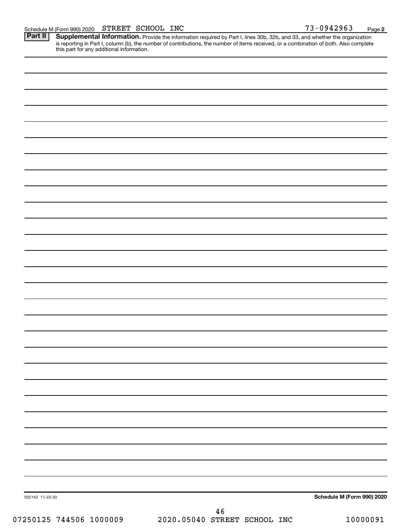**2**

Provide the information required by Part I, lines 30b, 32b, and 33, and whether the organization is reporting in Part I, column (b), the number of contributions, the number of items received, or a combination of both. Also complete this part for any additional information. **Part II Supplemental Information.** 

|                 | 46 |                            |
|-----------------|----|----------------------------|
| 032142 11-23-20 |    | Schedule M (Form 990) 2020 |
|                 |    |                            |
|                 |    |                            |
|                 |    |                            |
|                 |    |                            |
|                 |    |                            |
|                 |    |                            |
|                 |    |                            |
|                 |    |                            |
|                 |    |                            |
|                 |    |                            |
|                 |    |                            |
|                 |    |                            |
|                 |    |                            |
|                 |    |                            |
|                 |    |                            |
|                 |    |                            |
|                 |    |                            |
|                 |    |                            |
|                 |    |                            |
|                 |    |                            |
|                 |    |                            |
|                 |    |                            |
|                 |    |                            |
|                 |    |                            |
|                 |    |                            |
|                 |    |                            |
|                 |    |                            |
|                 |    |                            |
|                 |    |                            |
|                 |    |                            |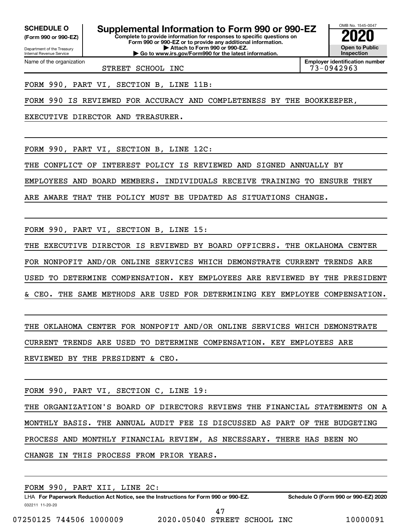Department of the Treasury **(Form 990 or 990-EZ)**

Name of the organization

Internal Revenue Service

**SCHEDULE O Supplemental Information to Form 990 or 990-EZ 2020**<br>(Form 990 or 990-EZ) Complete to provide information for responses to specific questions on

**Complete to provide information for responses to specific questions on Form 990 or 990-EZ or to provide any additional information. | Attach to Form 990 or 990-EZ. | Go to www.irs.gov/Form990 for the latest information.**



**Employer identification number**

STREET SCHOOL INC 73-0942963

FORM 990, PART VI, SECTION B, LINE 11B:

FORM 990 IS REVIEWED FOR ACCURACY AND COMPLETENESS BY THE BOOKKEEPER,

EXECUTIVE DIRECTOR AND TREASURER.

FORM 990, PART VI, SECTION B, LINE 12C:

THE CONFLICT OF INTEREST POLICY IS REVIEWED AND SIGNED ANNUALLY BY

EMPLOYEES AND BOARD MEMBERS. INDIVIDUALS RECEIVE TRAINING TO ENSURE THEY

ARE AWARE THAT THE POLICY MUST BE UPDATED AS SITUATIONS CHANGE.

FORM 990, PART VI, SECTION B, LINE 15:

THE EXECUTIVE DIRECTOR IS REVIEWED BY BOARD OFFICERS. THE OKLAHOMA CENTER FOR NONPOFIT AND/OR ONLINE SERVICES WHICH DEMONSTRATE CURRENT TRENDS ARE USED TO DETERMINE COMPENSATION. KEY EMPLOYEES ARE REVIEWED BY THE PRESIDENT & CEO. THE SAME METHODS ARE USED FOR DETERMINING KEY EMPLOYEE COMPENSATION.

THE OKLAHOMA CENTER FOR NONPOFIT AND/OR ONLINE SERVICES WHICH DEMONSTRATE CURRENT TRENDS ARE USED TO DETERMINE COMPENSATION. KEY EMPLOYEES ARE REVIEWED BY THE PRESIDENT & CEO.

FORM 990, PART VI, SECTION C, LINE 19:

THE ORGANIZATION'S BOARD OF DIRECTORS REVIEWS THE FINANCIAL STATEMENTS ON A MONTHLY BASIS. THE ANNUAL AUDIT FEE IS DISCUSSED AS PART OF THE BUDGETING PROCESS AND MONTHLY FINANCIAL REVIEW, AS NECESSARY. THERE HAS BEEN NO CHANGE IN THIS PROCESS FROM PRIOR YEARS.

032211 11-20-20 **For Paperwork Reduction Act Notice, see the Instructions for Form 990 or 990-EZ. Schedule O (Form 990 or 990-EZ) 2020** LHA FORM 990, PART XII, LINE 2C: 47